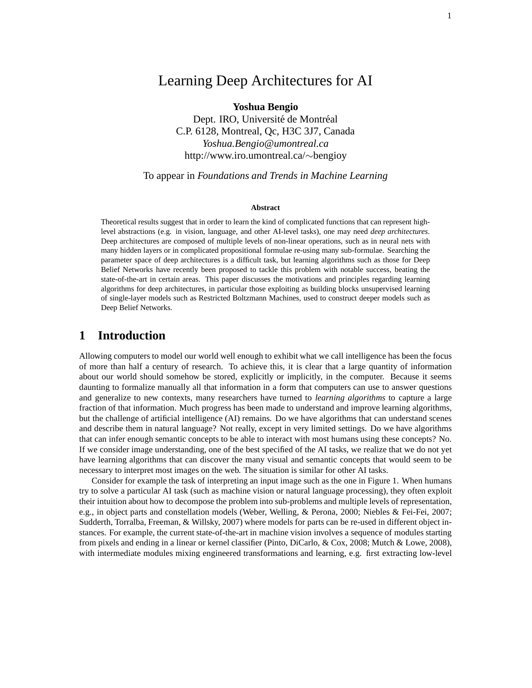# Learning Deep Architectures for AI

**Yoshua Bengio**

Dept. IRO, Université de Montréal C.P. 6128, Montreal, Qc, H3C 3J7, Canada *Yoshua.Bengio@umontreal.ca* http://www.iro.umontreal.ca/∼bengioy

To appear in *Foundations and Trends in Machine Learning*

#### **Abstract**

Theoretical results suggest that in order to learn the kind of complicated functions that can represent highlevel abstractions (e.g. in vision, language, and other AI-level tasks), one may need *deep architectures*. Deep architectures are composed of multiple levels of non-linear operations, such as in neural nets with many hidden layers or in complicated propositional formulae re-using many sub-formulae. Searching the parameter space of deep architectures is a difficult task, but learning algorithms such as those for Deep Belief Networks have recently been proposed to tackle this problem with notable success, beating the state-of-the-art in certain areas. This paper discusses the motivations and principles regarding learning algorithms for deep architectures, in particular those exploiting as building blocks unsupervised learning of single-layer models such as Restricted Boltzmann Machines, used to construct deeper models such as Deep Belief Networks.

# **1 Introduction**

Allowing computers to model our world well enough to exhibit what we call intelligence has been the focus of more than half a century of research. To achieve this, it is clear that a large quantity of information about our world should somehow be stored, explicitly or implicitly, in the computer. Because it seems daunting to formalize manually all that information in a form that computers can use to answer questions and generalize to new contexts, many researchers have turned to *learning algorithms* to capture a large fraction of that information. Much progress has been made to understand and improve learning algorithms, but the challenge of artificial intelligence (AI) remains. Do we have algorithms that can understand scenes and describe them in natural language? Not really, except in very limited settings. Do we have algorithms that can infer enough semantic concepts to be able to interact with most humans using these concepts? No. If we consider image understanding, one of the best specified of the AI tasks, we realize that we do not yet have learning algorithms that can discover the many visual and semantic concepts that would seem to be necessary to interpret most images on the web. The situation is similar for other AI tasks.

Consider for example the task of interpreting an input image such as the one in Figure 1. When humans try to solve a particular AI task (such as machine vision or natural language processing), they often exploit their intuition about how to decompose the problem into sub-problems and multiple levels of representation, e.g., in object parts and constellation models (Weber, Welling, & Perona, 2000; Niebles & Fei-Fei, 2007; Sudderth, Torralba, Freeman, & Willsky, 2007) where models for parts can be re-used in different object instances. For example, the current state-of-the-art in machine vision involves a sequence of modules starting from pixels and ending in a linear or kernel classifier (Pinto, DiCarlo, & Cox, 2008; Mutch & Lowe, 2008), with intermediate modules mixing engineered transformations and learning, e.g. first extracting low-level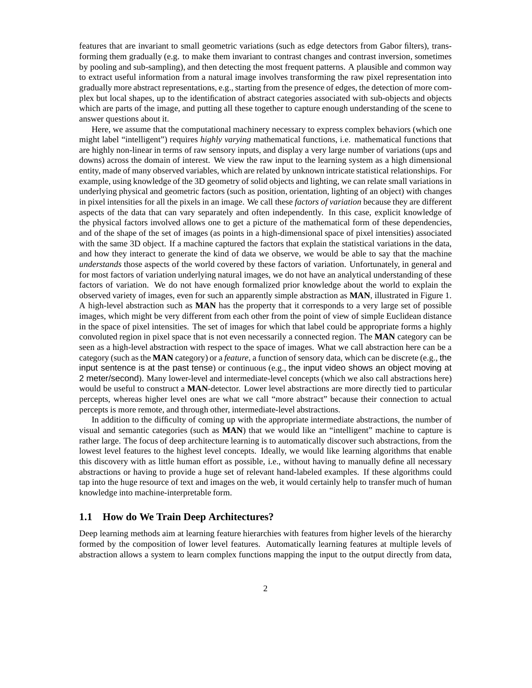features that are invariant to small geometric variations (such as edge detectors from Gabor filters), transforming them gradually (e.g. to make them invariant to contrast changes and contrast inversion, sometimes by pooling and sub-sampling), and then detecting the most frequent patterns. A plausible and common way to extract useful information from a natural image involves transforming the raw pixel representation into gradually more abstract representations, e.g., starting from the presence of edges, the detection of more complex but local shapes, up to the identification of abstract categories associated with sub-objects and objects which are parts of the image, and putting all these together to capture enough understanding of the scene to answer questions about it.

Here, we assume that the computational machinery necessary to express complex behaviors (which one might label "intelligent") requires *highly varying* mathematical functions, i.e. mathematical functions that are highly non-linear in terms of raw sensory inputs, and display a very large number of variations (ups and downs) across the domain of interest. We view the raw input to the learning system as a high dimensional entity, made of many observed variables, which are related by unknown intricate statistical relationships. For example, using knowledge of the 3D geometry of solid objects and lighting, we can relate small variations in underlying physical and geometric factors (such as position, orientation, lighting of an object) with changes in pixel intensities for all the pixels in an image. We call these *factors of variation* because they are different aspects of the data that can vary separately and often independently. In this case, explicit knowledge of the physical factors involved allows one to get a picture of the mathematical form of these dependencies, and of the shape of the set of images (as points in a high-dimensional space of pixel intensities) associated with the same 3D object. If a machine captured the factors that explain the statistical variations in the data, and how they interact to generate the kind of data we observe, we would be able to say that the machine *understands* those aspects of the world covered by these factors of variation. Unfortunately, in general and for most factors of variation underlying natural images, we do not have an analytical understanding of these factors of variation. We do not have enough formalized prior knowledge about the world to explain the observed variety of images, even for such an apparently simple abstraction as **MAN**, illustrated in Figure 1. A high-level abstraction such as **MAN** has the property that it corresponds to a very large set of possible images, which might be very different from each other from the point of view of simple Euclidean distance in the space of pixel intensities. The set of images for which that label could be appropriate forms a highly convoluted region in pixel space that is not even necessarily a connected region. The **MAN** category can be seen as a high-level abstraction with respect to the space of images. What we call abstraction here can be a category (such as the **MAN** category) or a *feature*, a function of sensory data, which can be discrete (e.g., the input sentence is at the past tense) or continuous (e.g., the input video shows an object moving at 2 meter/second). Many lower-level and intermediate-level concepts (which we also call abstractions here) would be useful to construct a **MAN**-detector. Lower level abstractions are more directly tied to particular percepts, whereas higher level ones are what we call "more abstract" because their connection to actual percepts is more remote, and through other, intermediate-level abstractions.

In addition to the difficulty of coming up with the appropriate intermediate abstractions, the number of visual and semantic categories (such as **MAN**) that we would like an "intelligent" machine to capture is rather large. The focus of deep architecture learning is to automatically discover such abstractions, from the lowest level features to the highest level concepts. Ideally, we would like learning algorithms that enable this discovery with as little human effort as possible, i.e., without having to manually define all necessary abstractions or having to provide a huge set of relevant hand-labeled examples. If these algorithms could tap into the huge resource of text and images on the web, it would certainly help to transfer much of human knowledge into machine-interpretable form.

## **1.1 How do We Train Deep Architectures?**

Deep learning methods aim at learning feature hierarchies with features from higher levels of the hierarchy formed by the composition of lower level features. Automatically learning features at multiple levels of abstraction allows a system to learn complex functions mapping the input to the output directly from data,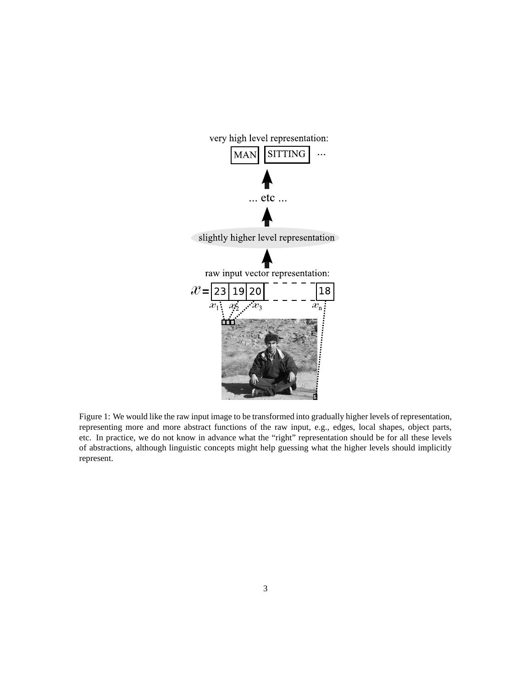

Figure 1: We would like the raw input image to be transformed into gradually higher levels of representation, representing more and more abstract functions of the raw input, e.g., edges, local shapes, object parts, etc. In practice, we do not know in advance what the "right" representation should be for all these levels of abstractions, although linguistic concepts might help guessing what the higher levels should implicitly represent.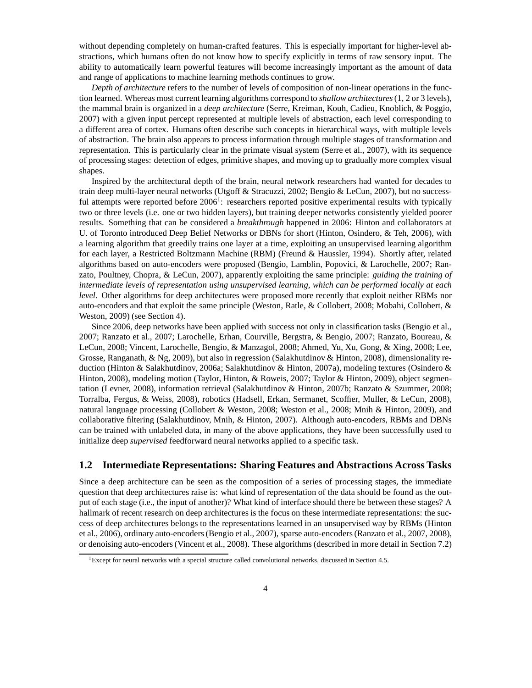without depending completely on human-crafted features. This is especially important for higher-level abstractions, which humans often do not know how to specify explicitly in terms of raw sensory input. The ability to automatically learn powerful features will become increasingly important as the amount of data and range of applications to machine learning methods continues to grow.

*Depth of architecture* refers to the number of levels of composition of non-linear operations in the function learned. Whereas most current learning algorithms correspond to *shallow architectures*(1, 2 or 3 levels), the mammal brain is organized in a *deep architecture* (Serre, Kreiman, Kouh, Cadieu, Knoblich, & Poggio, 2007) with a given input percept represented at multiple levels of abstraction, each level corresponding to a different area of cortex. Humans often describe such concepts in hierarchical ways, with multiple levels of abstraction. The brain also appears to process information through multiple stages of transformation and representation. This is particularly clear in the primate visual system (Serre et al., 2007), with its sequence of processing stages: detection of edges, primitive shapes, and moving up to gradually more complex visual shapes.

Inspired by the architectural depth of the brain, neural network researchers had wanted for decades to train deep multi-layer neural networks (Utgoff & Stracuzzi, 2002; Bengio & LeCun, 2007), but no successful attempts were reported before  $2006<sup>1</sup>$ : researchers reported positive experimental results with typically two or three levels (i.e. one or two hidden layers), but training deeper networks consistently yielded poorer results. Something that can be considered a *breakthrough* happened in 2006: Hinton and collaborators at U. of Toronto introduced Deep Belief Networks or DBNs for short (Hinton, Osindero, & Teh, 2006), with a learning algorithm that greedily trains one layer at a time, exploiting an unsupervised learning algorithm for each layer, a Restricted Boltzmann Machine (RBM) (Freund & Haussler, 1994). Shortly after, related algorithms based on auto-encoders were proposed (Bengio, Lamblin, Popovici, & Larochelle, 2007; Ranzato, Poultney, Chopra, & LeCun, 2007), apparently exploiting the same principle: *guiding the training of intermediate levels of representation using unsupervised learning, which can be performed locally at each level*. Other algorithms for deep architectures were proposed more recently that exploit neither RBMs nor auto-encoders and that exploit the same principle (Weston, Ratle, & Collobert, 2008; Mobahi, Collobert, & Weston, 2009) (see Section 4).

Since 2006, deep networks have been applied with success not only in classification tasks (Bengio et al., 2007; Ranzato et al., 2007; Larochelle, Erhan, Courville, Bergstra, & Bengio, 2007; Ranzato, Boureau, & LeCun, 2008; Vincent, Larochelle, Bengio, & Manzagol, 2008; Ahmed, Yu, Xu, Gong, & Xing, 2008; Lee, Grosse, Ranganath, & Ng, 2009), but also in regression (Salakhutdinov & Hinton, 2008), dimensionality reduction (Hinton & Salakhutdinov, 2006a; Salakhutdinov & Hinton, 2007a), modeling textures (Osindero & Hinton, 2008), modeling motion (Taylor, Hinton, & Roweis, 2007; Taylor & Hinton, 2009), object segmentation (Levner, 2008), information retrieval (Salakhutdinov & Hinton, 2007b; Ranzato & Szummer, 2008; Torralba, Fergus, & Weiss, 2008), robotics (Hadsell, Erkan, Sermanet, Scoffier, Muller, & LeCun, 2008), natural language processing (Collobert & Weston, 2008; Weston et al., 2008; Mnih & Hinton, 2009), and collaborative filtering (Salakhutdinov, Mnih, & Hinton, 2007). Although auto-encoders, RBMs and DBNs can be trained with unlabeled data, in many of the above applications, they have been successfully used to initialize deep *supervised* feedforward neural networks applied to a specific task.

## **1.2 Intermediate Representations: Sharing Features and Abstractions Across Tasks**

Since a deep architecture can be seen as the composition of a series of processing stages, the immediate question that deep architectures raise is: what kind of representation of the data should be found as the output of each stage (i.e., the input of another)? What kind of interface should there be between these stages? A hallmark of recent research on deep architectures is the focus on these intermediate representations: the success of deep architectures belongs to the representations learned in an unsupervised way by RBMs (Hinton et al., 2006), ordinary auto-encoders (Bengio et al., 2007), sparse auto-encoders (Ranzato et al., 2007, 2008), or denoising auto-encoders (Vincent et al., 2008). These algorithms (described in more detail in Section 7.2)

<sup>1</sup>Except for neural networks with a special structure called convolutional networks, discussed in Section 4.5.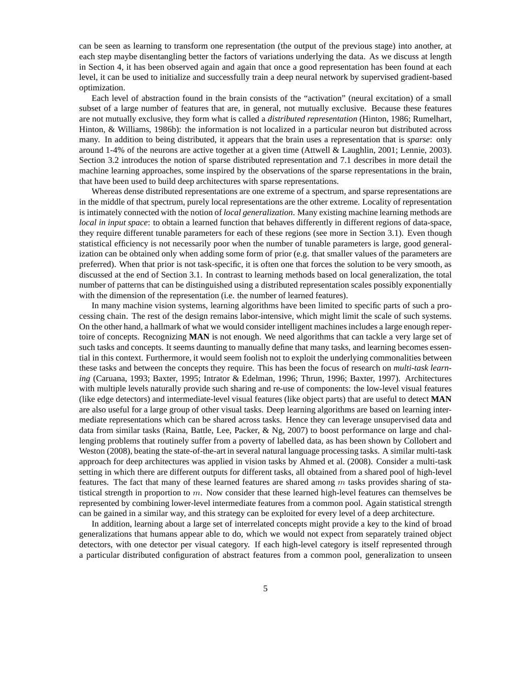can be seen as learning to transform one representation (the output of the previous stage) into another, at each step maybe disentangling better the factors of variations underlying the data. As we discuss at length in Section 4, it has been observed again and again that once a good representation has been found at each level, it can be used to initialize and successfully train a deep neural network by supervised gradient-based optimization.

Each level of abstraction found in the brain consists of the "activation" (neural excitation) of a small subset of a large number of features that are, in general, not mutually exclusive. Because these features are not mutually exclusive, they form what is called a *distributed representation* (Hinton, 1986; Rumelhart, Hinton, & Williams, 1986b): the information is not localized in a particular neuron but distributed across many. In addition to being distributed, it appears that the brain uses a representation that is *sparse*: only around 1-4% of the neurons are active together at a given time (Attwell & Laughlin, 2001; Lennie, 2003). Section 3.2 introduces the notion of sparse distributed representation and 7.1 describes in more detail the machine learning approaches, some inspired by the observations of the sparse representations in the brain, that have been used to build deep architectures with sparse representations.

Whereas dense distributed representations are one extreme of a spectrum, and sparse representations are in the middle of that spectrum, purely local representations are the other extreme. Locality of representation is intimately connected with the notion of *local generalization*. Many existing machine learning methods are *local in input space*: to obtain a learned function that behaves differently in different regions of data-space, they require different tunable parameters for each of these regions (see more in Section 3.1). Even though statistical efficiency is not necessarily poor when the number of tunable parameters is large, good generalization can be obtained only when adding some form of prior (e.g. that smaller values of the parameters are preferred). When that prior is not task-specific, it is often one that forces the solution to be very smooth, as discussed at the end of Section 3.1. In contrast to learning methods based on local generalization, the total number of patterns that can be distinguished using a distributed representation scales possibly exponentially with the dimension of the representation (i.e. the number of learned features).

In many machine vision systems, learning algorithms have been limited to specific parts of such a processing chain. The rest of the design remains labor-intensive, which might limit the scale of such systems. On the other hand, a hallmark of what we would consider intelligent machines includes a large enough repertoire of concepts. Recognizing **MAN** is not enough. We need algorithms that can tackle a very large set of such tasks and concepts. It seems daunting to manually define that many tasks, and learning becomes essential in this context. Furthermore, it would seem foolish not to exploit the underlying commonalities between these tasks and between the concepts they require. This has been the focus of research on *multi-task learning* (Caruana, 1993; Baxter, 1995; Intrator & Edelman, 1996; Thrun, 1996; Baxter, 1997). Architectures with multiple levels naturally provide such sharing and re-use of components: the low-level visual features (like edge detectors) and intermediate-level visual features (like object parts) that are useful to detect **MAN** are also useful for a large group of other visual tasks. Deep learning algorithms are based on learning intermediate representations which can be shared across tasks. Hence they can leverage unsupervised data and data from similar tasks (Raina, Battle, Lee, Packer, & Ng, 2007) to boost performance on large and challenging problems that routinely suffer from a poverty of labelled data, as has been shown by Collobert and Weston (2008), beating the state-of-the-art in several natural language processing tasks. A similar multi-task approach for deep architectures was applied in vision tasks by Ahmed et al. (2008). Consider a multi-task setting in which there are different outputs for different tasks, all obtained from a shared pool of high-level features. The fact that many of these learned features are shared among  $m$  tasks provides sharing of statistical strength in proportion to  $m$ . Now consider that these learned high-level features can themselves be represented by combining lower-level intermediate features from a common pool. Again statistical strength can be gained in a similar way, and this strategy can be exploited for every level of a deep architecture.

In addition, learning about a large set of interrelated concepts might provide a key to the kind of broad generalizations that humans appear able to do, which we would not expect from separately trained object detectors, with one detector per visual category. If each high-level category is itself represented through a particular distributed configuration of abstract features from a common pool, generalization to unseen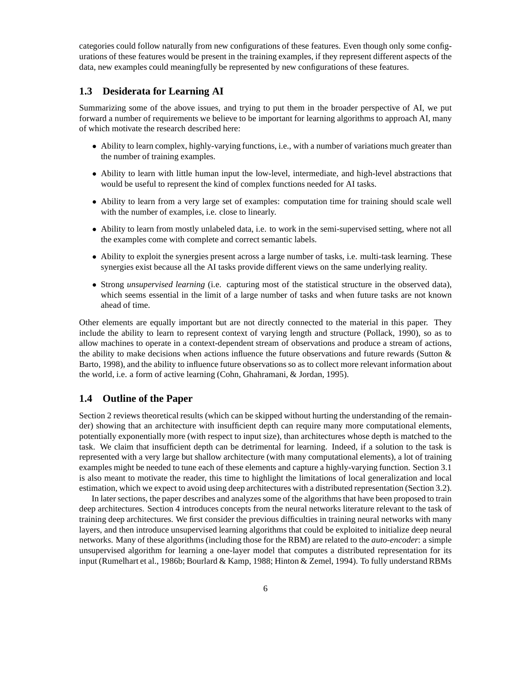categories could follow naturally from new configurations of these features. Even though only some configurations of these features would be present in the training examples, if they represent different aspects of the data, new examples could meaningfully be represented by new configurations of these features.

## **1.3 Desiderata for Learning AI**

Summarizing some of the above issues, and trying to put them in the broader perspective of AI, we put forward a number of requirements we believe to be important for learning algorithms to approach AI, many of which motivate the research described here:

- Ability to learn complex, highly-varying functions, i.e., with a number of variations much greater than the number of training examples.
- Ability to learn with little human input the low-level, intermediate, and high-level abstractions that would be useful to represent the kind of complex functions needed for AI tasks.
- Ability to learn from a very large set of examples: computation time for training should scale well with the number of examples, i.e. close to linearly.
- Ability to learn from mostly unlabeled data, i.e. to work in the semi-supervised setting, where not all the examples come with complete and correct semantic labels.
- Ability to exploit the synergies present across a large number of tasks, i.e. multi-task learning. These synergies exist because all the AI tasks provide different views on the same underlying reality.
- Strong *unsupervised learning* (i.e. capturing most of the statistical structure in the observed data), which seems essential in the limit of a large number of tasks and when future tasks are not known ahead of time.

Other elements are equally important but are not directly connected to the material in this paper. They include the ability to learn to represent context of varying length and structure (Pollack, 1990), so as to allow machines to operate in a context-dependent stream of observations and produce a stream of actions, the ability to make decisions when actions influence the future observations and future rewards (Sutton & Barto, 1998), and the ability to influence future observations so as to collect more relevant information about the world, i.e. a form of active learning (Cohn, Ghahramani, & Jordan, 1995).

## **1.4 Outline of the Paper**

Section 2 reviews theoretical results (which can be skipped without hurting the understanding of the remainder) showing that an architecture with insufficient depth can require many more computational elements, potentially exponentially more (with respect to input size), than architectures whose depth is matched to the task. We claim that insufficient depth can be detrimental for learning. Indeed, if a solution to the task is represented with a very large but shallow architecture (with many computational elements), a lot of training examples might be needed to tune each of these elements and capture a highly-varying function. Section 3.1 is also meant to motivate the reader, this time to highlight the limitations of local generalization and local estimation, which we expect to avoid using deep architectures with a distributed representation (Section 3.2).

In later sections, the paper describes and analyzes some of the algorithms that have been proposed to train deep architectures. Section 4 introduces concepts from the neural networks literature relevant to the task of training deep architectures. We first consider the previous difficulties in training neural networks with many layers, and then introduce unsupervised learning algorithms that could be exploited to initialize deep neural networks. Many of these algorithms (including those for the RBM) are related to the *auto-encoder*: a simple unsupervised algorithm for learning a one-layer model that computes a distributed representation for its input (Rumelhart et al., 1986b; Bourlard & Kamp, 1988; Hinton & Zemel, 1994). To fully understand RBMs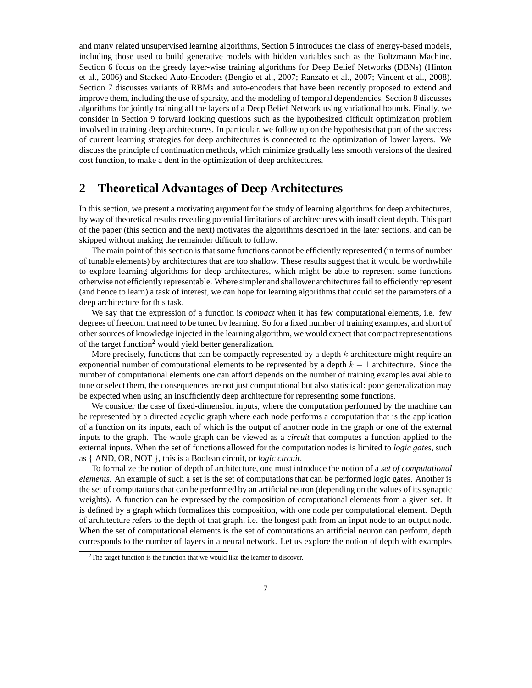and many related unsupervised learning algorithms, Section 5 introduces the class of energy-based models, including those used to build generative models with hidden variables such as the Boltzmann Machine. Section 6 focus on the greedy layer-wise training algorithms for Deep Belief Networks (DBNs) (Hinton et al., 2006) and Stacked Auto-Encoders (Bengio et al., 2007; Ranzato et al., 2007; Vincent et al., 2008). Section 7 discusses variants of RBMs and auto-encoders that have been recently proposed to extend and improve them, including the use of sparsity, and the modeling of temporal dependencies. Section 8 discusses algorithms for jointly training all the layers of a Deep Belief Network using variational bounds. Finally, we consider in Section 9 forward looking questions such as the hypothesized difficult optimization problem involved in training deep architectures. In particular, we follow up on the hypothesis that part of the success of current learning strategies for deep architectures is connected to the optimization of lower layers. We discuss the principle of continuation methods, which minimize gradually less smooth versions of the desired cost function, to make a dent in the optimization of deep architectures.

# **2 Theoretical Advantages of Deep Architectures**

In this section, we present a motivating argument for the study of learning algorithms for deep architectures, by way of theoretical results revealing potential limitations of architectures with insufficient depth. This part of the paper (this section and the next) motivates the algorithms described in the later sections, and can be skipped without making the remainder difficult to follow.

The main point of this section is that some functions cannot be efficiently represented (in terms of number of tunable elements) by architectures that are too shallow. These results suggest that it would be worthwhile to explore learning algorithms for deep architectures, which might be able to represent some functions otherwise not efficiently representable. Where simpler and shallower architectures fail to efficiently represent (and hence to learn) a task of interest, we can hope for learning algorithms that could set the parameters of a deep architecture for this task.

We say that the expression of a function is *compact* when it has few computational elements, i.e. few degrees of freedom that need to be tuned by learning. So for a fixed number of training examples, and short of other sources of knowledge injected in the learning algorithm, we would expect that compact representations of the target function<sup>2</sup> would yield better generalization.

More precisely, functions that can be compactly represented by a depth k architecture might require an exponential number of computational elements to be represented by a depth  $k - 1$  architecture. Since the number of computational elements one can afford depends on the number of training examples available to tune or select them, the consequences are not just computational but also statistical: poor generalization may be expected when using an insufficiently deep architecture for representing some functions.

We consider the case of fixed-dimension inputs, where the computation performed by the machine can be represented by a directed acyclic graph where each node performs a computation that is the application of a function on its inputs, each of which is the output of another node in the graph or one of the external inputs to the graph. The whole graph can be viewed as a *circuit* that computes a function applied to the external inputs. When the set of functions allowed for the computation nodes is limited to *logic gates*, such as { AND, OR, NOT }, this is a Boolean circuit, or *logic circuit*.

To formalize the notion of depth of architecture, one must introduce the notion of a *set of computational elements*. An example of such a set is the set of computations that can be performed logic gates. Another is the set of computations that can be performed by an artificial neuron (depending on the values of its synaptic weights). A function can be expressed by the composition of computational elements from a given set. It is defined by a graph which formalizes this composition, with one node per computational element. Depth of architecture refers to the depth of that graph, i.e. the longest path from an input node to an output node. When the set of computational elements is the set of computations an artificial neuron can perform, depth corresponds to the number of layers in a neural network. Let us explore the notion of depth with examples

 $2$ The target function is the function that we would like the learner to discover.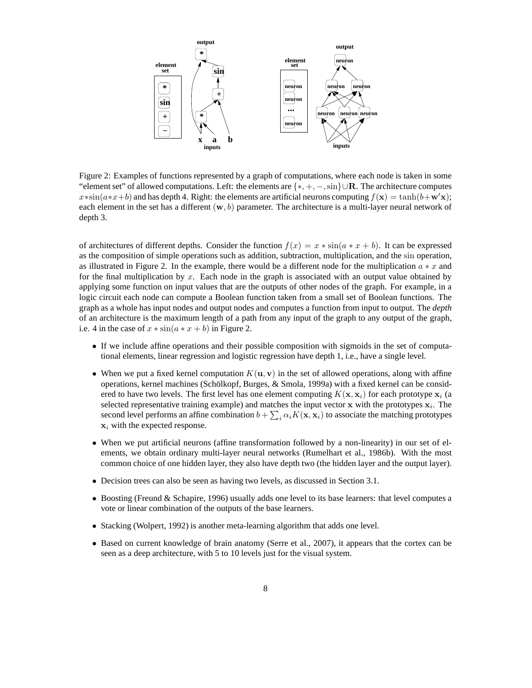

Figure 2: Examples of functions represented by a graph of computations, where each node is taken in some "element set" of allowed computations. Left: the elements are  $\{*, +, -, \sin\} \cup \mathbb{R}$ . The architecture computes  $x*\sin(a*x+b)$  and has depth 4. Right: the elements are artificial neurons computing  $f(x) = \tanh(b+w'x)$ ; each element in the set has a different  $(w, b)$  parameter. The architecture is a multi-layer neural network of depth 3.

of architectures of different depths. Consider the function  $f(x) = x * sin(a * x + b)$ . It can be expressed as the composition of simple operations such as addition, subtraction, multiplication, and the sin operation, as illustrated in Figure 2. In the example, there would be a different node for the multiplication  $a * x$  and for the final multiplication by  $x$ . Each node in the graph is associated with an output value obtained by applying some function on input values that are the outputs of other nodes of the graph. For example, in a logic circuit each node can compute a Boolean function taken from a small set of Boolean functions. The graph as a whole has input nodes and output nodes and computes a function from input to output. The *depth* of an architecture is the maximum length of a path from any input of the graph to any output of the graph, i.e. 4 in the case of  $x * sin(a * x + b)$  in Figure 2.

- If we include affine operations and their possible composition with sigmoids in the set of computational elements, linear regression and logistic regression have depth 1, i.e., have a single level.
- When we put a fixed kernel computation  $K(\mathbf{u}, \mathbf{v})$  in the set of allowed operations, along with affine operations, kernel machines (Schölkopf, Burges,  $\&$  Smola, 1999a) with a fixed kernel can be considered to have two levels. The first level has one element computing  $K(\mathbf{x}, \mathbf{x}_i)$  for each prototype  $\mathbf{x}_i$  (a selected representative training example) and matches the input vector x with the prototypes  $x_i$ . The second level performs an affine combination  $b + \sum_i \alpha_i K(\mathbf{x}, \mathbf{x}_i)$  to associate the matching prototypes  $x_i$  with the expected response.
- When we put artificial neurons (affine transformation followed by a non-linearity) in our set of elements, we obtain ordinary multi-layer neural networks (Rumelhart et al., 1986b). With the most common choice of one hidden layer, they also have depth two (the hidden layer and the output layer).
- Decision trees can also be seen as having two levels, as discussed in Section 3.1.
- Boosting (Freund & Schapire, 1996) usually adds one level to its base learners: that level computes a vote or linear combination of the outputs of the base learners.
- Stacking (Wolpert, 1992) is another meta-learning algorithm that adds one level.
- Based on current knowledge of brain anatomy (Serre et al., 2007), it appears that the cortex can be seen as a deep architecture, with 5 to 10 levels just for the visual system.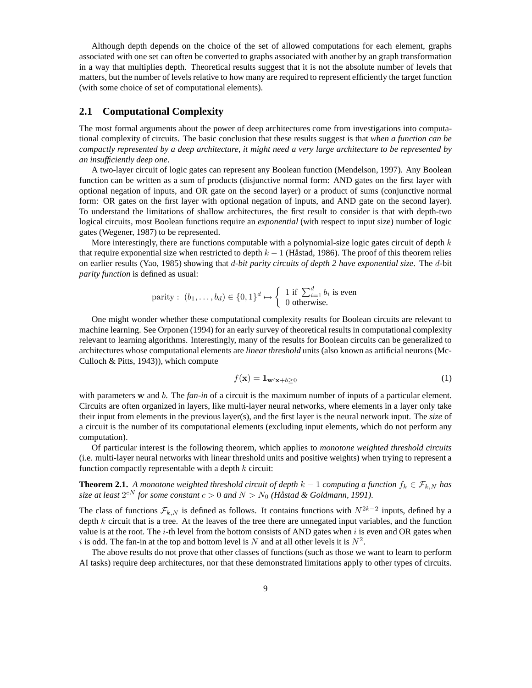Although depth depends on the choice of the set of allowed computations for each element, graphs associated with one set can often be converted to graphs associated with another by an graph transformation in a way that multiplies depth. Theoretical results suggest that it is not the absolute number of levels that matters, but the number of levels relative to how many are required to represent efficiently the target function (with some choice of set of computational elements).

## **2.1 Computational Complexity**

The most formal arguments about the power of deep architectures come from investigations into computational complexity of circuits. The basic conclusion that these results suggest is that *when a function can be compactly represented by a deep architecture, it might need a very large architecture to be represented by an insufficiently deep one*.

A two-layer circuit of logic gates can represent any Boolean function (Mendelson, 1997). Any Boolean function can be written as a sum of products (disjunctive normal form: AND gates on the first layer with optional negation of inputs, and OR gate on the second layer) or a product of sums (conjunctive normal form: OR gates on the first layer with optional negation of inputs, and AND gate on the second layer). To understand the limitations of shallow architectures, the first result to consider is that with depth-two logical circuits, most Boolean functions require an *exponential* (with respect to input size) number of logic gates (Wegener, 1987) to be represented.

More interestingly, there are functions computable with a polynomial-size logic gates circuit of depth  $k$ that require exponential size when restricted to depth  $k - 1$  (Håstad, 1986). The proof of this theorem relies on earlier results (Yao, 1985) showing that d*-bit parity circuits of depth 2 have exponential size*. The d-bit *parity function* is defined as usual:

parity: 
$$
(b_1, \ldots, b_d) \in \{0, 1\}^d \mapsto \begin{cases} 1 \text{ if } \sum_{i=1}^d b_i \text{ is even} \\ 0 \text{ otherwise.} \end{cases}
$$

One might wonder whether these computational complexity results for Boolean circuits are relevant to machine learning. See Orponen (1994) for an early survey of theoretical results in computational complexity relevant to learning algorithms. Interestingly, many of the results for Boolean circuits can be generalized to architectures whose computational elements are *linear threshold* units (also known as artificial neurons (Mc-Culloch & Pitts, 1943)), which compute

$$
f(\mathbf{x}) = \mathbf{1}_{\mathbf{w}'\mathbf{x} + b \ge 0} \tag{1}
$$

with parameters w and b. The *fan-in* of a circuit is the maximum number of inputs of a particular element. Circuits are often organized in layers, like multi-layer neural networks, where elements in a layer only take their input from elements in the previous layer(s), and the first layer is the neural network input. The *size* of a circuit is the number of its computational elements (excluding input elements, which do not perform any computation).

Of particular interest is the following theorem, which applies to *monotone weighted threshold circuits* (i.e. multi-layer neural networks with linear threshold units and positive weights) when trying to represent a function compactly representable with a depth  $k$  circuit:

**Theorem 2.1.** *A monotone weighted threshold circuit of depth*  $k - 1$  *computing a function*  $f_k \in \mathcal{F}_{k,N}$  *has* size at least  $2^{cN}$  for some constant  $c > 0$  and  $N > N_0$  (Håstad & Goldmann, 1991).

The class of functions  $\mathcal{F}_{k,N}$  is defined as follows. It contains functions with  $N^{2k-2}$  inputs, defined by a depth k circuit that is a tree. At the leaves of the tree there are unnegated input variables, and the function value is at the root. The i-th level from the bottom consists of AND gates when i is even and OR gates when i is odd. The fan-in at the top and bottom level is N and at all other levels it is  $N^2$ .

The above results do not prove that other classes of functions (such as those we want to learn to perform AI tasks) require deep architectures, nor that these demonstrated limitations apply to other types of circuits.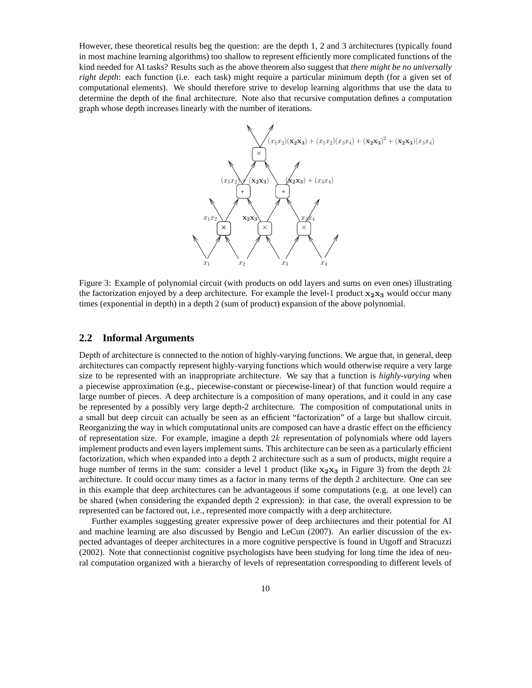However, these theoretical results beg the question: are the depth 1, 2 and 3 architectures (typically found in most machine learning algorithms) too shallow to represent efficiently more complicated functions of the kind needed for AI tasks? Results such as the above theorem also suggest that *there might be no universally right depth*: each function (i.e. each task) might require a particular minimum depth (for a given set of computational elements). We should therefore strive to develop learning algorithms that use the data to determine the depth of the final architecture. Note also that recursive computation defines a computation graph whose depth increases linearly with the number of iterations.



Figure 3: Example of polynomial circuit (with products on odd layers and sums on even ones) illustrating the factorization enjoyed by a deep architecture. For example the level-1 product  $x_2x_3$  would occur many times (exponential in depth) in a depth 2 (sum of product) expansion of the above polynomial.

### **2.2 Informal Arguments**

Depth of architecture is connected to the notion of highly-varying functions. We argue that, in general, deep architectures can compactly represent highly-varying functions which would otherwise require a very large size to be represented with an inappropriate architecture. We say that a function is *highly-varying* when a piecewise approximation (e.g., piecewise-constant or piecewise-linear) of that function would require a large number of pieces. A deep architecture is a composition of many operations, and it could in any case be represented by a possibly very large depth-2 architecture. The composition of computational units in a small but deep circuit can actually be seen as an efficient "factorization" of a large but shallow circuit. Reorganizing the way in which computational units are composed can have a drastic effect on the efficiency of representation size. For example, imagine a depth  $2k$  representation of polynomials where odd layers implement products and even layers implement sums. This architecture can be seen as a particularly efficient factorization, which when expanded into a depth 2 architecture such as a sum of products, might require a huge number of terms in the sum: consider a level 1 product (like  $x_2x_3$  in Figure 3) from the depth 2k architecture. It could occur many times as a factor in many terms of the depth 2 architecture. One can see in this example that deep architectures can be advantageous if some computations (e.g. at one level) can be shared (when considering the expanded depth 2 expression): in that case, the overall expression to be represented can be factored out, i.e., represented more compactly with a deep architecture.

Further examples suggesting greater expressive power of deep architectures and their potential for AI and machine learning are also discussed by Bengio and LeCun (2007). An earlier discussion of the expected advantages of deeper architectures in a more cognitive perspective is found in Utgoff and Stracuzzi (2002). Note that connectionist cognitive psychologists have been studying for long time the idea of neural computation organized with a hierarchy of levels of representation corresponding to different levels of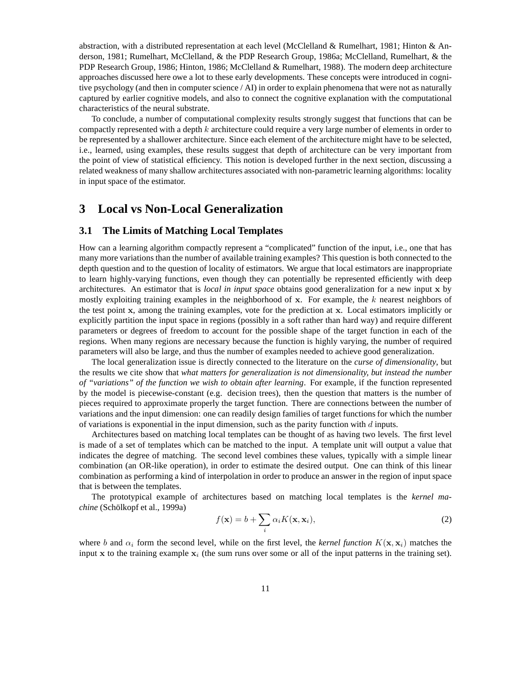abstraction, with a distributed representation at each level (McClelland & Rumelhart, 1981; Hinton & Anderson, 1981; Rumelhart, McClelland, & the PDP Research Group, 1986a; McClelland, Rumelhart, & the PDP Research Group, 1986; Hinton, 1986; McClelland & Rumelhart, 1988). The modern deep architecture approaches discussed here owe a lot to these early developments. These concepts were introduced in cognitive psychology (and then in computer science / AI) in order to explain phenomena that were not as naturally captured by earlier cognitive models, and also to connect the cognitive explanation with the computational characteristics of the neural substrate.

To conclude, a number of computational complexity results strongly suggest that functions that can be compactly represented with a depth k architecture could require a very large number of elements in order to be represented by a shallower architecture. Since each element of the architecture might have to be selected, i.e., learned, using examples, these results suggest that depth of architecture can be very important from the point of view of statistical efficiency. This notion is developed further in the next section, discussing a related weakness of many shallow architectures associated with non-parametric learning algorithms: locality in input space of the estimator.

# **3 Local vs Non-Local Generalization**

## **3.1 The Limits of Matching Local Templates**

How can a learning algorithm compactly represent a "complicated" function of the input, i.e., one that has many more variations than the number of available training examples? This question is both connected to the depth question and to the question of locality of estimators. We argue that local estimators are inappropriate to learn highly-varying functions, even though they can potentially be represented efficiently with deep architectures. An estimator that is *local in input space* obtains good generalization for a new input x by mostly exploiting training examples in the neighborhood of  $x$ . For example, the  $k$  nearest neighbors of the test point x, among the training examples, vote for the prediction at x. Local estimators implicitly or explicitly partition the input space in regions (possibly in a soft rather than hard way) and require different parameters or degrees of freedom to account for the possible shape of the target function in each of the regions. When many regions are necessary because the function is highly varying, the number of required parameters will also be large, and thus the number of examples needed to achieve good generalization.

The local generalization issue is directly connected to the literature on the *curse of dimensionality*, but the results we cite show that *what matters for generalization is not dimensionality, but instead the number of "variations" of the function we wish to obtain after learning*. For example, if the function represented by the model is piecewise-constant (e.g. decision trees), then the question that matters is the number of pieces required to approximate properly the target function. There are connections between the number of variations and the input dimension: one can readily design families of target functions for which the number of variations is exponential in the input dimension, such as the parity function with  $d$  inputs.

Architectures based on matching local templates can be thought of as having two levels. The first level is made of a set of templates which can be matched to the input. A template unit will output a value that indicates the degree of matching. The second level combines these values, typically with a simple linear combination (an OR-like operation), in order to estimate the desired output. One can think of this linear combination as performing a kind of interpolation in order to produce an answer in the region of input space that is between the templates.

The prototypical example of architectures based on matching local templates is the *kernel machine* (Schölkopf et al., 1999a)

$$
f(\mathbf{x}) = b + \sum_{i} \alpha_i K(\mathbf{x}, \mathbf{x}_i),
$$
 (2)

where b and  $\alpha_i$  form the second level, while on the first level, the *kernel function*  $K(\mathbf{x}, \mathbf{x}_i)$  matches the input x to the training example  $x_i$  (the sum runs over some or all of the input patterns in the training set).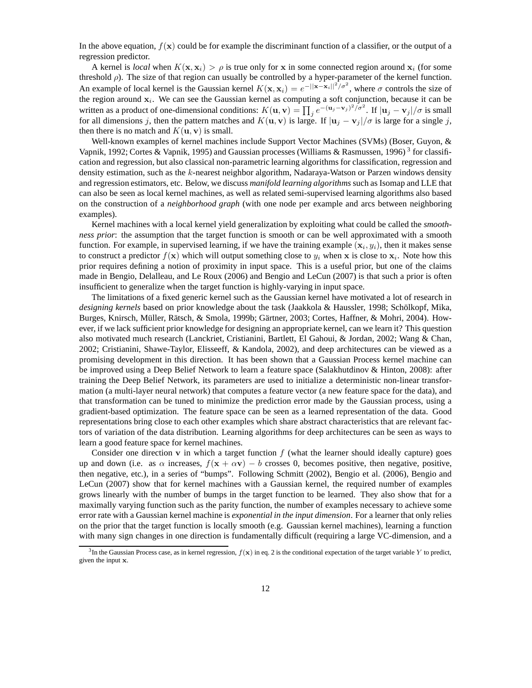In the above equation,  $f(x)$  could be for example the discriminant function of a classifier, or the output of a regression predictor.

A kernel is *local* when  $K(\mathbf{x}, \mathbf{x}_i) > \rho$  is true only for x in some connected region around  $\mathbf{x}_i$  (for some threshold  $\rho$ ). The size of that region can usually be controlled by a hyper-parameter of the kernel function. An example of local kernel is the Gaussian kernel  $K(\mathbf{x}, \mathbf{x}_i) = e^{-||\mathbf{x} - \mathbf{x}_i||^2/\sigma^2}$ , where  $\sigma$  controls the size of the region around  $x_i$ . We can see the Gaussian kernel as computing a soft conjunction, because it can be written as a product of one-dimensional conditions:  $K(\mathbf{u}, \mathbf{v}) = \prod_j e^{-(\mathbf{u}_j - \mathbf{v}_j)^2/\sigma^2}$ . If  $|\mathbf{u}_j - \mathbf{v}_j|/\sigma$  is small for all dimensions j, then the pattern matches and  $K(\mathbf{u}, \mathbf{v})$  is large. If  $|\mathbf{u}_j - \mathbf{v}_j|/\sigma$  is large for a single j, then there is no match and  $K(\mathbf{u}, \mathbf{v})$  is small.

Well-known examples of kernel machines include Support Vector Machines (SVMs) (Boser, Guyon, & Vapnik, 1992; Cortes & Vapnik, 1995) and Gaussian processes (Williams & Rasmussen, 1996)<sup>3</sup> for classification and regression, but also classical non-parametric learning algorithms for classification, regression and density estimation, such as the k-nearest neighbor algorithm, Nadaraya-Watson or Parzen windows density and regression estimators, etc. Below, we discuss *manifold learning algorithms* such as Isomap and LLE that can also be seen as local kernel machines, as well as related semi-supervised learning algorithms also based on the construction of a *neighborhood graph* (with one node per example and arcs between neighboring examples).

Kernel machines with a local kernel yield generalization by exploiting what could be called the *smoothness prior*: the assumption that the target function is smooth or can be well approximated with a smooth function. For example, in supervised learning, if we have the training example  $(\mathbf{x}_i, y_i)$ , then it makes sense to construct a predictor  $f(\mathbf{x})$  which will output something close to  $y_i$  when x is close to  $\mathbf{x}_i$ . Note how this prior requires defining a notion of proximity in input space. This is a useful prior, but one of the claims made in Bengio, Delalleau, and Le Roux (2006) and Bengio and LeCun (2007) is that such a prior is often insufficient to generalize when the target function is highly-varying in input space.

The limitations of a fixed generic kernel such as the Gaussian kernel have motivated a lot of research in *designing kernels* based on prior knowledge about the task (Jaakkola & Haussler, 1998; Schölkopf, Mika, Burges, Knirsch, Müller, Rätsch, & Smola, 1999b; Gärtner, 2003; Cortes, Haffner, & Mohri, 2004). However, if we lack sufficient prior knowledge for designing an appropriate kernel, can we learn it? This question also motivated much research (Lanckriet, Cristianini, Bartlett, El Gahoui, & Jordan, 2002; Wang & Chan, 2002; Cristianini, Shawe-Taylor, Elisseeff, & Kandola, 2002), and deep architectures can be viewed as a promising development in this direction. It has been shown that a Gaussian Process kernel machine can be improved using a Deep Belief Network to learn a feature space (Salakhutdinov & Hinton, 2008): after training the Deep Belief Network, its parameters are used to initialize a deterministic non-linear transformation (a multi-layer neural network) that computes a feature vector (a new feature space for the data), and that transformation can be tuned to minimize the prediction error made by the Gaussian process, using a gradient-based optimization. The feature space can be seen as a learned representation of the data. Good representations bring close to each other examples which share abstract characteristics that are relevant factors of variation of the data distribution. Learning algorithms for deep architectures can be seen as ways to learn a good feature space for kernel machines.

Consider one direction v in which a target function  $f$  (what the learner should ideally capture) goes up and down (i.e. as  $\alpha$  increases,  $f(x + \alpha v) - b$  crosses 0, becomes positive, then negative, positive, then negative, etc.), in a series of "bumps". Following Schmitt (2002), Bengio et al. (2006), Bengio and LeCun (2007) show that for kernel machines with a Gaussian kernel, the required number of examples grows linearly with the number of bumps in the target function to be learned. They also show that for a maximally varying function such as the parity function, the number of examples necessary to achieve some error rate with a Gaussian kernel machine is *exponential in the input dimension*. For a learner that only relies on the prior that the target function is locally smooth (e.g. Gaussian kernel machines), learning a function with many sign changes in one direction is fundamentally difficult (requiring a large VC-dimension, and a

<sup>&</sup>lt;sup>3</sup>In the Gaussian Process case, as in kernel regression,  $f(\mathbf{x})$  in eq. 2 is the conditional expectation of the target variable Y to predict, given the input x.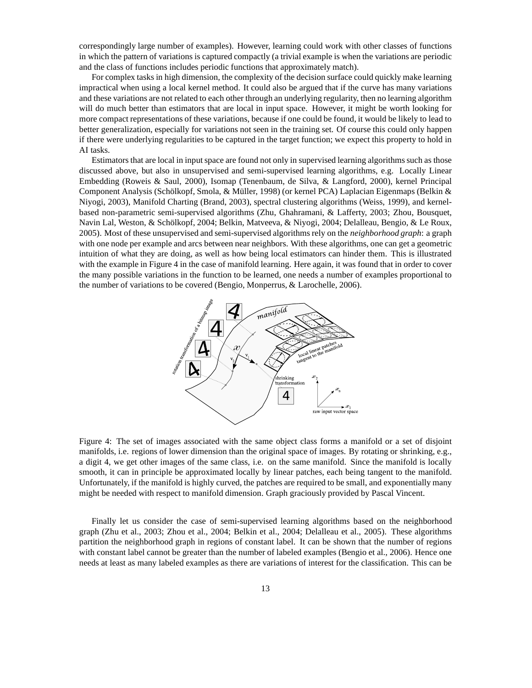correspondingly large number of examples). However, learning could work with other classes of functions in which the pattern of variations is captured compactly (a trivial example is when the variations are periodic and the class of functions includes periodic functions that approximately match).

For complex tasks in high dimension, the complexity of the decision surface could quickly make learning impractical when using a local kernel method. It could also be argued that if the curve has many variations and these variations are not related to each other through an underlying regularity, then no learning algorithm will do much better than estimators that are local in input space. However, it might be worth looking for more compact representations of these variations, because if one could be found, it would be likely to lead to better generalization, especially for variations not seen in the training set. Of course this could only happen if there were underlying regularities to be captured in the target function; we expect this property to hold in AI tasks.

Estimators that are local in input space are found not only in supervised learning algorithms such as those discussed above, but also in unsupervised and semi-supervised learning algorithms, e.g. Locally Linear Embedding (Roweis & Saul, 2000), Isomap (Tenenbaum, de Silva, & Langford, 2000), kernel Principal Component Analysis (Schölkopf, Smola, & Müller, 1998) (or kernel PCA) Laplacian Eigenmaps (Belkin & Niyogi, 2003), Manifold Charting (Brand, 2003), spectral clustering algorithms (Weiss, 1999), and kernelbased non-parametric semi-supervised algorithms (Zhu, Ghahramani, & Lafferty, 2003; Zhou, Bousquet, Navin Lal, Weston, & Schölkopf, 2004; Belkin, Matveeva, & Niyogi, 2004; Delalleau, Bengio, & Le Roux, 2005). Most of these unsupervised and semi-supervised algorithms rely on the *neighborhood graph*: a graph with one node per example and arcs between near neighbors. With these algorithms, one can get a geometric intuition of what they are doing, as well as how being local estimators can hinder them. This is illustrated with the example in Figure 4 in the case of manifold learning. Here again, it was found that in order to cover the many possible variations in the function to be learned, one needs a number of examples proportional to the number of variations to be covered (Bengio, Monperrus, & Larochelle, 2006).



Figure 4: The set of images associated with the same object class forms a manifold or a set of disjoint manifolds, i.e. regions of lower dimension than the original space of images. By rotating or shrinking, e.g., a digit 4, we get other images of the same class, i.e. on the same manifold. Since the manifold is locally smooth, it can in principle be approximated locally by linear patches, each being tangent to the manifold. Unfortunately, if the manifold is highly curved, the patches are required to be small, and exponentially many might be needed with respect to manifold dimension. Graph graciously provided by Pascal Vincent.

Finally let us consider the case of semi-supervised learning algorithms based on the neighborhood graph (Zhu et al., 2003; Zhou et al., 2004; Belkin et al., 2004; Delalleau et al., 2005). These algorithms partition the neighborhood graph in regions of constant label. It can be shown that the number of regions with constant label cannot be greater than the number of labeled examples (Bengio et al., 2006). Hence one needs at least as many labeled examples as there are variations of interest for the classification. This can be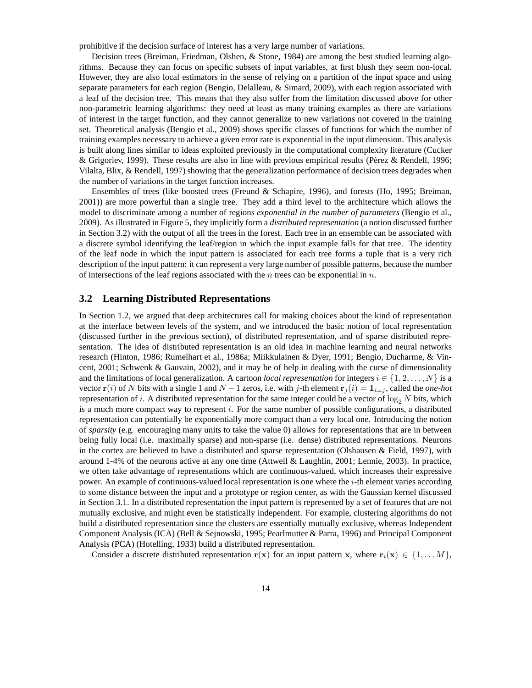prohibitive if the decision surface of interest has a very large number of variations.

Decision trees (Breiman, Friedman, Olshen, & Stone, 1984) are among the best studied learning algorithms. Because they can focus on specific subsets of input variables, at first blush they seem non-local. However, they are also local estimators in the sense of relying on a partition of the input space and using separate parameters for each region (Bengio, Delalleau, & Simard, 2009), with each region associated with a leaf of the decision tree. This means that they also suffer from the limitation discussed above for other non-parametric learning algorithms: they need at least as many training examples as there are variations of interest in the target function, and they cannot generalize to new variations not covered in the training set. Theoretical analysis (Bengio et al., 2009) shows specific classes of functions for which the number of training examples necessary to achieve a given error rate is exponential in the input dimension. This analysis is built along lines similar to ideas exploited previously in the computational complexity literature (Cucker & Grigoriev, 1999). These results are also in line with previous empirical results (Pérez & Rendell, 1996; Vilalta, Blix, & Rendell, 1997) showing that the generalization performance of decision trees degrades when the number of variations in the target function increases.

Ensembles of trees (like boosted trees (Freund & Schapire, 1996), and forests (Ho, 1995; Breiman, 2001)) are more powerful than a single tree. They add a third level to the architecture which allows the model to discriminate among a number of regions *exponential in the number of parameters* (Bengio et al., 2009). As illustrated in Figure 5, they implicitly form a *distributed representation* (a notion discussed further in Section 3.2) with the output of all the trees in the forest. Each tree in an ensemble can be associated with a discrete symbol identifying the leaf/region in which the input example falls for that tree. The identity of the leaf node in which the input pattern is associated for each tree forms a tuple that is a very rich description of the input pattern: it can represent a very large number of possible patterns, because the number of intersections of the leaf regions associated with the *n* trees can be exponential in *n*.

## **3.2 Learning Distributed Representations**

In Section 1.2, we argued that deep architectures call for making choices about the kind of representation at the interface between levels of the system, and we introduced the basic notion of local representation (discussed further in the previous section), of distributed representation, and of sparse distributed representation. The idea of distributed representation is an old idea in machine learning and neural networks research (Hinton, 1986; Rumelhart et al., 1986a; Miikkulainen & Dyer, 1991; Bengio, Ducharme, & Vincent, 2001; Schwenk & Gauvain, 2002), and it may be of help in dealing with the curse of dimensionality and the limitations of local generalization. A cartoon *local representation* for integers  $i \in \{1, 2, \ldots, N\}$  is a vector  $\mathbf{r}(i)$  of N bits with a single 1 and N – 1 zeros, i.e. with j-th element  $\mathbf{r}_i(i) = 1_{i=i}$ , called the *one-hot* representation of i. A distributed representation for the same integer could be a vector of  $\log_2 N$  bits, which is a much more compact way to represent i. For the same number of possible configurations, a distributed representation can potentially be exponentially more compact than a very local one. Introducing the notion of *sparsity* (e.g. encouraging many units to take the value 0) allows for representations that are in between being fully local (i.e. maximally sparse) and non-sparse (i.e. dense) distributed representations. Neurons in the cortex are believed to have a distributed and sparse representation (Olshausen  $\&$  Field, 1997), with around 1-4% of the neurons active at any one time (Attwell & Laughlin, 2001; Lennie, 2003). In practice, we often take advantage of representations which are continuous-valued, which increases their expressive power. An example of continuous-valued local representation is one where the *i*-th element varies according to some distance between the input and a prototype or region center, as with the Gaussian kernel discussed in Section 3.1. In a distributed representation the input pattern is represented by a set of features that are not mutually exclusive, and might even be statistically independent. For example, clustering algorithms do not build a distributed representation since the clusters are essentially mutually exclusive, whereas Independent Component Analysis (ICA) (Bell & Sejnowski, 1995; Pearlmutter & Parra, 1996) and Principal Component Analysis (PCA) (Hotelling, 1933) build a distributed representation.

Consider a discrete distributed representation  $r(x)$  for an input pattern x, where  $r_i(x) \in \{1, \ldots M\}$ ,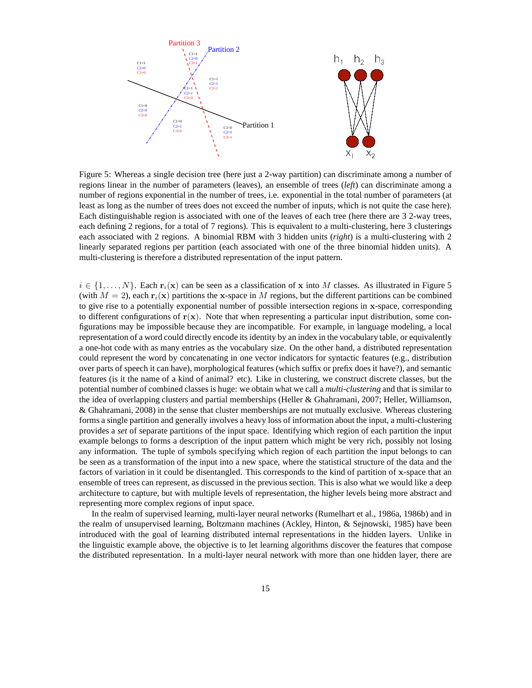

Figure 5: Whereas a single decision tree (here just a 2-way partition) can discriminate among a number of regions linear in the number of parameters (leaves), an ensemble of trees (*left*) can discriminate among a number of regions exponential in the number of trees, i.e. exponential in the total number of parameters (at least as long as the number of trees does not exceed the number of inputs, which is not quite the case here). Each distinguishable region is associated with one of the leaves of each tree (here there are 3 2-way trees, each defining 2 regions, for a total of 7 regions). This is equivalent to a multi-clustering, here 3 clusterings each associated with 2 regions. A binomial RBM with 3 hidden units (*right*) is a multi-clustering with 2 linearly separated regions per partition (each associated with one of the three binomial hidden units). A multi-clustering is therefore a distributed representation of the input pattern.

 $i \in \{1, \ldots, N\}$ . Each  $\mathbf{r}_i(\mathbf{x})$  can be seen as a classification of x into M classes. As illustrated in Figure 5 (with  $M = 2$ ), each  $\mathbf{r}_i(\mathbf{x})$  partitions the x-space in M regions, but the different partitions can be combined to give rise to a potentially exponential number of possible intersection regions in x-space, corresponding to different configurations of  $r(x)$ . Note that when representing a particular input distribution, some configurations may be impossible because they are incompatible. For example, in language modeling, a local representation of a word could directly encode its identity by an index in the vocabulary table, or equivalently a one-hot code with as many entries as the vocabulary size. On the other hand, a distributed representation could represent the word by concatenating in one vector indicators for syntactic features (e.g., distribution over parts of speech it can have), morphological features (which suffix or prefix does it have?), and semantic features (is it the name of a kind of animal? etc). Like in clustering, we construct discrete classes, but the potential number of combined classes is huge: we obtain what we call a *multi-clustering* and that is similar to the idea of overlapping clusters and partial memberships (Heller & Ghahramani, 2007; Heller, Williamson, & Ghahramani, 2008) in the sense that cluster memberships are not mutually exclusive. Whereas clustering forms a single partition and generally involves a heavy loss of information about the input, a multi-clustering provides a *set* of separate partitions of the input space. Identifying which region of each partition the input example belongs to forms a description of the input pattern which might be very rich, possibly not losing any information. The tuple of symbols specifying which region of each partition the input belongs to can be seen as a transformation of the input into a new space, where the statistical structure of the data and the factors of variation in it could be disentangled. This corresponds to the kind of partition of x-space that an ensemble of trees can represent, as discussed in the previous section. This is also what we would like a deep architecture to capture, but with multiple levels of representation, the higher levels being more abstract and representing more complex regions of input space.

In the realm of supervised learning, multi-layer neural networks (Rumelhart et al., 1986a, 1986b) and in the realm of unsupervised learning, Boltzmann machines (Ackley, Hinton, & Sejnowski, 1985) have been introduced with the goal of learning distributed internal representations in the hidden layers. Unlike in the linguistic example above, the objective is to let learning algorithms discover the features that compose the distributed representation. In a multi-layer neural network with more than one hidden layer, there are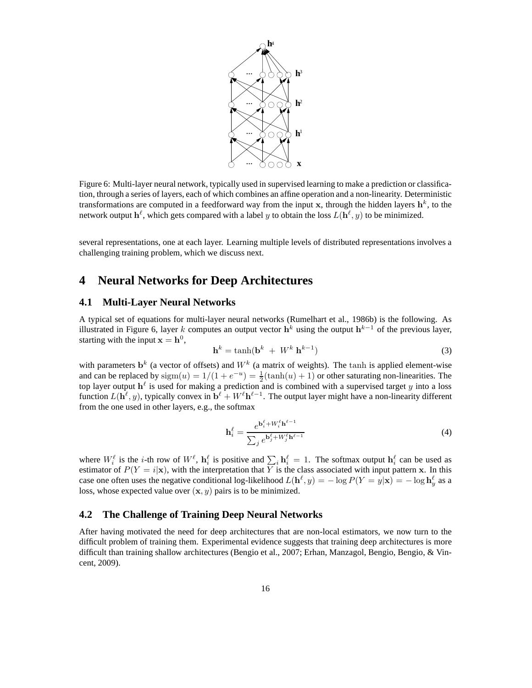

Figure 6: Multi-layer neural network, typically used in supervised learning to make a prediction or classification, through a series of layers, each of which combines an affine operation and a non-linearity. Deterministic transformations are computed in a feedforward way from the input x, through the hidden layers  $\mathbf{h}^k$ , to the network output  $\mathbf{h}^{\ell}$ , which gets compared with a label y to obtain the loss  $L(\mathbf{h}^{\ell}, y)$  to be minimized.

several representations, one at each layer. Learning multiple levels of distributed representations involves a challenging training problem, which we discuss next.

# **4 Neural Networks for Deep Architectures**

### **4.1 Multi-Layer Neural Networks**

A typical set of equations for multi-layer neural networks (Rumelhart et al., 1986b) is the following. As illustrated in Figure 6, layer k computes an output vector  $\mathbf{h}^k$  using the output  $\mathbf{h}^{k-1}$  of the previous layer, starting with the input  $x = h^0$ ,

$$
\mathbf{h}^{k} = \tanh(\mathbf{b}^{k} + W^{k} \mathbf{h}^{k-1})
$$
\n(3)

with parameters  $\mathbf{b}^k$  (a vector of offsets) and  $W^k$  (a matrix of weights). The tanh is applied element-wise and can be replaced by  $sign(u) = 1/(1 + e^{-u}) = \frac{1}{2}(tanh(u) + 1)$  or other saturating non-linearities. The top layer output  $\mathbf{h}^{\ell}$  is used for making a prediction and is combined with a supervised target y into a loss function  $L(\mathbf{h}^{\ell}, y)$ , typically convex in  $\mathbf{b}^{\ell} + W^{\ell} \mathbf{h}^{\ell-1}$ . The output layer might have a non-linearity different from the one used in other layers, e.g., the softmax

$$
\mathbf{h}_{i}^{\ell} = \frac{e^{\mathbf{b}_{i}^{\ell} + W_{i}^{\ell} \mathbf{h}^{\ell-1}}}{\sum_{j} e^{\mathbf{b}_{j}^{\ell} + W_{j}^{\ell} \mathbf{h}^{\ell-1}}}
$$
(4)

where  $W_i^{\ell}$  is the *i*-th row of  $W^{\ell}$ ,  $\mathbf{h}_i^{\ell}$  is positive and  $\sum_i \mathbf{h}_i^{\ell} = 1$ . The softmax output  $\mathbf{h}_i^{\ell}$  can be used as estimator of  $P(Y = i|\mathbf{x})$ , with the interpretation that Y is the class associated with input pattern x. In this case one often uses the negative conditional log-likelihood  $L(\mathbf{h}^{\ell},y) = -\log P(Y=y|\mathbf{x}) = -\log \mathbf{h}^{\ell}_y$  as a loss, whose expected value over  $(x, y)$  pairs is to be minimized.

### **4.2 The Challenge of Training Deep Neural Networks**

After having motivated the need for deep architectures that are non-local estimators, we now turn to the difficult problem of training them. Experimental evidence suggests that training deep architectures is more difficult than training shallow architectures (Bengio et al., 2007; Erhan, Manzagol, Bengio, Bengio, & Vincent, 2009).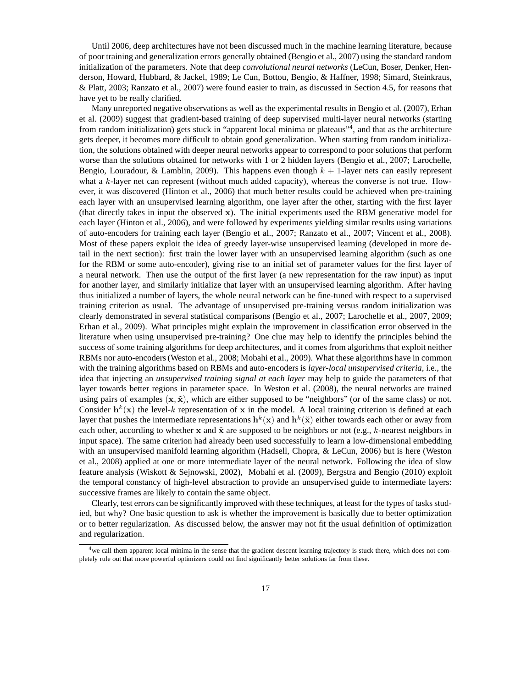Until 2006, deep architectures have not been discussed much in the machine learning literature, because of poor training and generalization errors generally obtained (Bengio et al., 2007) using the standard random initialization of the parameters. Note that deep *convolutional neural networks* (LeCun, Boser, Denker, Henderson, Howard, Hubbard, & Jackel, 1989; Le Cun, Bottou, Bengio, & Haffner, 1998; Simard, Steinkraus, & Platt, 2003; Ranzato et al., 2007) were found easier to train, as discussed in Section 4.5, for reasons that have yet to be really clarified.

Many unreported negative observations as well as the experimental results in Bengio et al. (2007), Erhan et al. (2009) suggest that gradient-based training of deep supervised multi-layer neural networks (starting from random initialization) gets stuck in "apparent local minima or plateaus"<sup>4</sup>, and that as the architecture gets deeper, it becomes more difficult to obtain good generalization. When starting from random initialization, the solutions obtained with deeper neural networks appear to correspond to poor solutions that perform worse than the solutions obtained for networks with 1 or 2 hidden layers (Bengio et al., 2007; Larochelle, Bengio, Louradour, & Lamblin, 2009). This happens even though  $k + 1$ -layer nets can easily represent what a  $k$ -layer net can represent (without much added capacity), whereas the converse is not true. However, it was discovered (Hinton et al., 2006) that much better results could be achieved when pre-training each layer with an unsupervised learning algorithm, one layer after the other, starting with the first layer (that directly takes in input the observed x). The initial experiments used the RBM generative model for each layer (Hinton et al., 2006), and were followed by experiments yielding similar results using variations of auto-encoders for training each layer (Bengio et al., 2007; Ranzato et al., 2007; Vincent et al., 2008). Most of these papers exploit the idea of greedy layer-wise unsupervised learning (developed in more detail in the next section): first train the lower layer with an unsupervised learning algorithm (such as one for the RBM or some auto-encoder), giving rise to an initial set of parameter values for the first layer of a neural network. Then use the output of the first layer (a new representation for the raw input) as input for another layer, and similarly initialize that layer with an unsupervised learning algorithm. After having thus initialized a number of layers, the whole neural network can be fine-tuned with respect to a supervised training criterion as usual. The advantage of unsupervised pre-training versus random initialization was clearly demonstrated in several statistical comparisons (Bengio et al., 2007; Larochelle et al., 2007, 2009; Erhan et al., 2009). What principles might explain the improvement in classification error observed in the literature when using unsupervised pre-training? One clue may help to identify the principles behind the success of some training algorithms for deep architectures, and it comes from algorithms that exploit neither RBMs nor auto-encoders (Weston et al., 2008; Mobahi et al., 2009). What these algorithms have in common with the training algorithms based on RBMs and auto-encoders is *layer-local unsupervised criteria*, i.e., the idea that injecting an *unsupervised training signal at each layer* may help to guide the parameters of that layer towards better regions in parameter space. In Weston et al. (2008), the neural networks are trained using pairs of examples  $(x, \tilde{x})$ , which are either supposed to be "neighbors" (or of the same class) or not. Consider  $h^k(x)$  the level-k representation of x in the model. A local training criterion is defined at each layer that pushes the intermediate representations  $\mathbf{h}^k(\mathbf{x})$  and  $\mathbf{h}^k(\tilde{\mathbf{x}})$  either towards each other or away from each other, according to whether x and  $\tilde{x}$  are supposed to be neighbors or not (e.g., k-nearest neighbors in input space). The same criterion had already been used successfully to learn a low-dimensional embedding with an unsupervised manifold learning algorithm (Hadsell, Chopra, & LeCun, 2006) but is here (Weston et al., 2008) applied at one or more intermediate layer of the neural network. Following the idea of slow feature analysis (Wiskott & Sejnowski, 2002), Mobahi et al. (2009), Bergstra and Bengio (2010) exploit the temporal constancy of high-level abstraction to provide an unsupervised guide to intermediate layers: successive frames are likely to contain the same object.

Clearly, test errors can be significantly improved with these techniques, at least for the types of tasks studied, but why? One basic question to ask is whether the improvement is basically due to better optimization or to better regularization. As discussed below, the answer may not fit the usual definition of optimization and regularization.

 $4$ we call them apparent local minima in the sense that the gradient descent learning trajectory is stuck there, which does not completely rule out that more powerful optimizers could not find significantly better solutions far from these.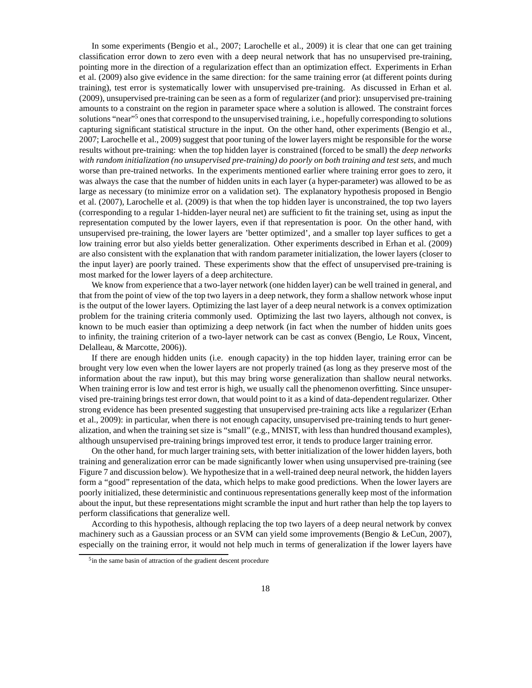In some experiments (Bengio et al., 2007; Larochelle et al., 2009) it is clear that one can get training classification error down to zero even with a deep neural network that has no unsupervised pre-training, pointing more in the direction of a regularization effect than an optimization effect. Experiments in Erhan et al. (2009) also give evidence in the same direction: for the same training error (at different points during training), test error is systematically lower with unsupervised pre-training. As discussed in Erhan et al. (2009), unsupervised pre-training can be seen as a form of regularizer (and prior): unsupervised pre-training amounts to a constraint on the region in parameter space where a solution is allowed. The constraint forces solutions "near"<sup>5</sup> ones that correspond to the unsupervised training, i.e., hopefully corresponding to solutions capturing significant statistical structure in the input. On the other hand, other experiments (Bengio et al., 2007; Larochelle et al., 2009) suggest that poor tuning of the lower layers might be responsible for the worse results without pre-training: when the top hidden layer is constrained (forced to be small) the *deep networks with random initialization (no unsupervised pre-training) do poorly on both training and test sets*, and much worse than pre-trained networks. In the experiments mentioned earlier where training error goes to zero, it was always the case that the number of hidden units in each layer (a hyper-parameter) was allowed to be as large as necessary (to minimize error on a validation set). The explanatory hypothesis proposed in Bengio et al. (2007), Larochelle et al. (2009) is that when the top hidden layer is unconstrained, the top two layers (corresponding to a regular 1-hidden-layer neural net) are sufficient to fit the training set, using as input the representation computed by the lower layers, even if that representation is poor. On the other hand, with unsupervised pre-training, the lower layers are 'better optimized', and a smaller top layer suffices to get a low training error but also yields better generalization. Other experiments described in Erhan et al. (2009) are also consistent with the explanation that with random parameter initialization, the lower layers (closer to the input layer) are poorly trained. These experiments show that the effect of unsupervised pre-training is most marked for the lower layers of a deep architecture.

We know from experience that a two-layer network (one hidden layer) can be well trained in general, and that from the point of view of the top two layers in a deep network, they form a shallow network whose input is the output of the lower layers. Optimizing the last layer of a deep neural network is a convex optimization problem for the training criteria commonly used. Optimizing the last two layers, although not convex, is known to be much easier than optimizing a deep network (in fact when the number of hidden units goes to infinity, the training criterion of a two-layer network can be cast as convex (Bengio, Le Roux, Vincent, Delalleau, & Marcotte, 2006)).

If there are enough hidden units (i.e. enough capacity) in the top hidden layer, training error can be brought very low even when the lower layers are not properly trained (as long as they preserve most of the information about the raw input), but this may bring worse generalization than shallow neural networks. When training error is low and test error is high, we usually call the phenomenon overfitting. Since unsupervised pre-training brings test error down, that would point to it as a kind of data-dependent regularizer. Other strong evidence has been presented suggesting that unsupervised pre-training acts like a regularizer (Erhan et al., 2009): in particular, when there is not enough capacity, unsupervised pre-training tends to hurt generalization, and when the training set size is "small" (e.g., MNIST, with less than hundred thousand examples), although unsupervised pre-training brings improved test error, it tends to produce larger training error.

On the other hand, for much larger training sets, with better initialization of the lower hidden layers, both training and generalization error can be made significantly lower when using unsupervised pre-training (see Figure 7 and discussion below). We hypothesize that in a well-trained deep neural network, the hidden layers form a "good" representation of the data, which helps to make good predictions. When the lower layers are poorly initialized, these deterministic and continuous representations generally keep most of the information about the input, but these representations might scramble the input and hurt rather than help the top layers to perform classifications that generalize well.

According to this hypothesis, although replacing the top two layers of a deep neural network by convex machinery such as a Gaussian process or an SVM can yield some improvements (Bengio & LeCun, 2007), especially on the training error, it would not help much in terms of generalization if the lower layers have

<sup>&</sup>lt;sup>5</sup>in the same basin of attraction of the gradient descent procedure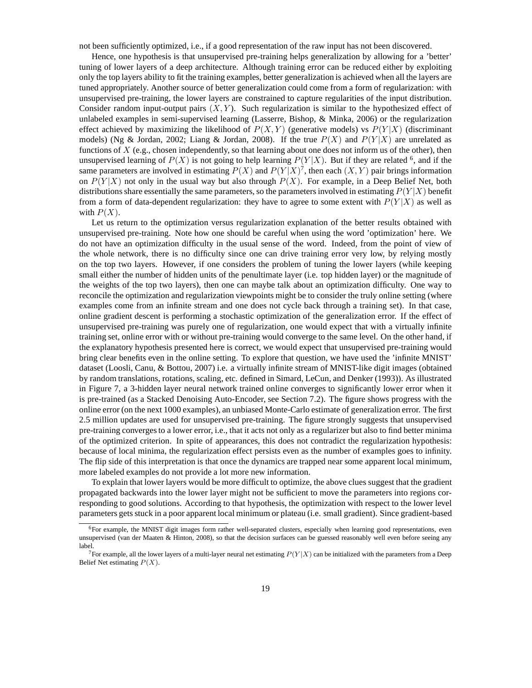not been sufficiently optimized, i.e., if a good representation of the raw input has not been discovered.

Hence, one hypothesis is that unsupervised pre-training helps generalization by allowing for a 'better' tuning of lower layers of a deep architecture. Although training error can be reduced either by exploiting only the top layers ability to fit the training examples, better generalization is achieved when all the layers are tuned appropriately. Another source of better generalization could come from a form of regularization: with unsupervised pre-training, the lower layers are constrained to capture regularities of the input distribution. Consider random input-output pairs  $(X, Y)$ . Such regularization is similar to the hypothesized effect of unlabeled examples in semi-supervised learning (Lasserre, Bishop, & Minka, 2006) or the regularization effect achieved by maximizing the likelihood of  $P(X, Y)$  (generative models) vs  $P(Y|X)$  (discriminant models) (Ng & Jordan, 2002; Liang & Jordan, 2008). If the true  $P(X)$  and  $P(Y|X)$  are unrelated as functions of  $X$  (e.g., chosen independently, so that learning about one does not inform us of the other), then unsupervised learning of  $P(X)$  is not going to help learning  $P(Y|X)$ . But if they are related <sup>6</sup>, and if the same parameters are involved in estimating  $P(X)$  and  $P(Y|X)^7$ , then each  $(X, Y)$  pair brings information on  $P(Y|X)$  not only in the usual way but also through  $P(X)$ . For example, in a Deep Belief Net, both distributions share essentially the same parameters, so the parameters involved in estimating  $P(Y|X)$  benefit from a form of data-dependent regularization: they have to agree to some extent with  $P(Y|X)$  as well as with  $P(X)$ .

Let us return to the optimization versus regularization explanation of the better results obtained with unsupervised pre-training. Note how one should be careful when using the word 'optimization' here. We do not have an optimization difficulty in the usual sense of the word. Indeed, from the point of view of the whole network, there is no difficulty since one can drive training error very low, by relying mostly on the top two layers. However, if one considers the problem of tuning the lower layers (while keeping small either the number of hidden units of the penultimate layer (i.e. top hidden layer) or the magnitude of the weights of the top two layers), then one can maybe talk about an optimization difficulty. One way to reconcile the optimization and regularization viewpoints might be to consider the truly online setting (where examples come from an infinite stream and one does not cycle back through a training set). In that case, online gradient descent is performing a stochastic optimization of the generalization error. If the effect of unsupervised pre-training was purely one of regularization, one would expect that with a virtually infinite training set, online error with or without pre-training would converge to the same level. On the other hand, if the explanatory hypothesis presented here is correct, we would expect that unsupervised pre-training would bring clear benefits even in the online setting. To explore that question, we have used the 'infinite MNIST' dataset (Loosli, Canu, & Bottou, 2007) i.e. a virtually infinite stream of MNIST-like digit images (obtained by random translations, rotations, scaling, etc. defined in Simard, LeCun, and Denker (1993)). As illustrated in Figure 7, a 3-hidden layer neural network trained online converges to significantly lower error when it is pre-trained (as a Stacked Denoising Auto-Encoder, see Section 7.2). The figure shows progress with the online error (on the next 1000 examples), an unbiased Monte-Carlo estimate of generalization error. The first 2.5 million updates are used for unsupervised pre-training. The figure strongly suggests that unsupervised pre-training converges to a lower error, i.e., that it acts not only as a regularizer but also to find better minima of the optimized criterion. In spite of appearances, this does not contradict the regularization hypothesis: because of local minima, the regularization effect persists even as the number of examples goes to infinity. The flip side of this interpretation is that once the dynamics are trapped near some apparent local minimum, more labeled examples do not provide a lot more new information.

To explain that lower layers would be more difficult to optimize, the above clues suggest that the gradient propagated backwards into the lower layer might not be sufficient to move the parameters into regions corresponding to good solutions. According to that hypothesis, the optimization with respect to the lower level parameters gets stuck in a poor apparent local minimum or plateau (i.e. small gradient). Since gradient-based

<sup>&</sup>lt;sup>6</sup>For example, the MNIST digit images form rather well-separated clusters, especially when learning good representations, even unsupervised (van der Maaten & Hinton, 2008), so that the decision surfaces can be guessed reasonably well even before seeing any label.

<sup>&</sup>lt;sup>7</sup>For example, all the lower layers of a multi-layer neural net estimating  $P(Y|X)$  can be initialized with the parameters from a Deep Belief Net estimating  $P(X)$ .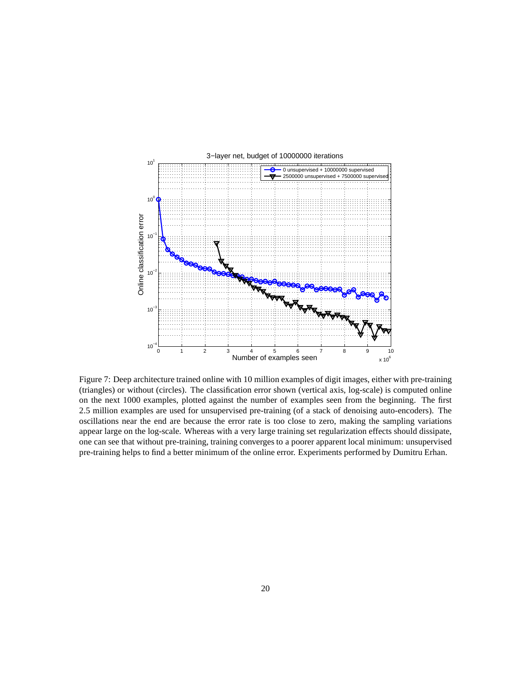

Figure 7: Deep architecture trained online with 10 million examples of digit images, either with pre-training (triangles) or without (circles). The classification error shown (vertical axis, log-scale) is computed online on the next 1000 examples, plotted against the number of examples seen from the beginning. The first 2.5 million examples are used for unsupervised pre-training (of a stack of denoising auto-encoders). The oscillations near the end are because the error rate is too close to zero, making the sampling variations appear large on the log-scale. Whereas with a very large training set regularization effects should dissipate, one can see that without pre-training, training converges to a poorer apparent local minimum: unsupervised pre-training helps to find a better minimum of the online error. Experiments performed by Dumitru Erhan.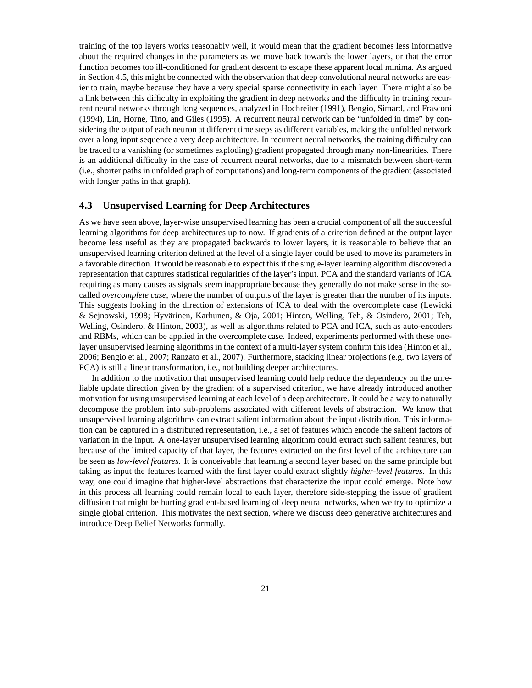training of the top layers works reasonably well, it would mean that the gradient becomes less informative about the required changes in the parameters as we move back towards the lower layers, or that the error function becomes too ill-conditioned for gradient descent to escape these apparent local minima. As argued in Section 4.5, this might be connected with the observation that deep convolutional neural networks are easier to train, maybe because they have a very special sparse connectivity in each layer. There might also be a link between this difficulty in exploiting the gradient in deep networks and the difficulty in training recurrent neural networks through long sequences, analyzed in Hochreiter (1991), Bengio, Simard, and Frasconi (1994), Lin, Horne, Tino, and Giles (1995). A recurrent neural network can be "unfolded in time" by considering the output of each neuron at different time steps as different variables, making the unfolded network over a long input sequence a very deep architecture. In recurrent neural networks, the training difficulty can be traced to a vanishing (or sometimes exploding) gradient propagated through many non-linearities. There is an additional difficulty in the case of recurrent neural networks, due to a mismatch between short-term (i.e., shorter paths in unfolded graph of computations) and long-term components of the gradient (associated with longer paths in that graph).

## **4.3 Unsupervised Learning for Deep Architectures**

As we have seen above, layer-wise unsupervised learning has been a crucial component of all the successful learning algorithms for deep architectures up to now. If gradients of a criterion defined at the output layer become less useful as they are propagated backwards to lower layers, it is reasonable to believe that an unsupervised learning criterion defined at the level of a single layer could be used to move its parameters in a favorable direction. It would be reasonable to expect this if the single-layer learning algorithm discovered a representation that captures statistical regularities of the layer's input. PCA and the standard variants of ICA requiring as many causes as signals seem inappropriate because they generally do not make sense in the socalled *overcomplete case*, where the number of outputs of the layer is greater than the number of its inputs. This suggests looking in the direction of extensions of ICA to deal with the overcomplete case (Lewicki & Sejnowski, 1998; Hyvärinen, Karhunen, & Oja, 2001; Hinton, Welling, Teh, & Osindero, 2001; Teh, Welling, Osindero, & Hinton, 2003), as well as algorithms related to PCA and ICA, such as auto-encoders and RBMs, which can be applied in the overcomplete case. Indeed, experiments performed with these onelayer unsupervised learning algorithms in the context of a multi-layer system confirm this idea (Hinton et al., 2006; Bengio et al., 2007; Ranzato et al., 2007). Furthermore, stacking linear projections (e.g. two layers of PCA) is still a linear transformation, i.e., not building deeper architectures.

In addition to the motivation that unsupervised learning could help reduce the dependency on the unreliable update direction given by the gradient of a supervised criterion, we have already introduced another motivation for using unsupervised learning at each level of a deep architecture. It could be a way to naturally decompose the problem into sub-problems associated with different levels of abstraction. We know that unsupervised learning algorithms can extract salient information about the input distribution. This information can be captured in a distributed representation, i.e., a set of features which encode the salient factors of variation in the input. A one-layer unsupervised learning algorithm could extract such salient features, but because of the limited capacity of that layer, the features extracted on the first level of the architecture can be seen as *low-level features*. It is conceivable that learning a second layer based on the same principle but taking as input the features learned with the first layer could extract slightly *higher-level features*. In this way, one could imagine that higher-level abstractions that characterize the input could emerge. Note how in this process all learning could remain local to each layer, therefore side-stepping the issue of gradient diffusion that might be hurting gradient-based learning of deep neural networks, when we try to optimize a single global criterion. This motivates the next section, where we discuss deep generative architectures and introduce Deep Belief Networks formally.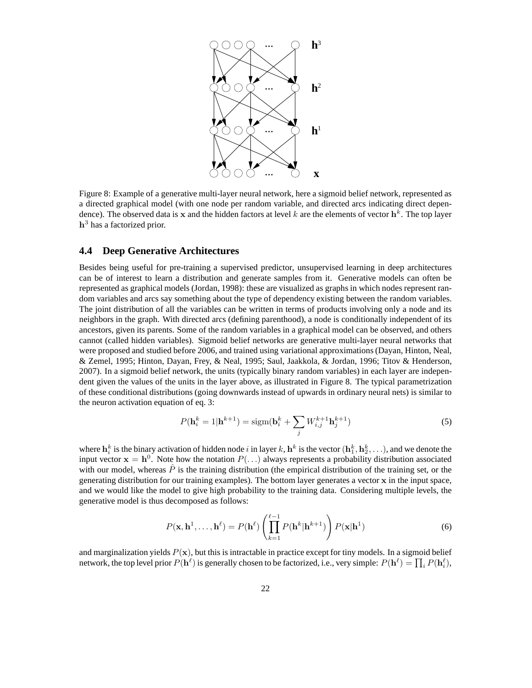

Figure 8: Example of a generative multi-layer neural network, here a sigmoid belief network, represented as a directed graphical model (with one node per random variable, and directed arcs indicating direct dependence). The observed data is x and the hidden factors at level k are the elements of vector  $\mathbf{h}^k$ . The top layer  $h<sup>3</sup>$  has a factorized prior.

## **4.4 Deep Generative Architectures**

Besides being useful for pre-training a supervised predictor, unsupervised learning in deep architectures can be of interest to learn a distribution and generate samples from it. Generative models can often be represented as graphical models (Jordan, 1998): these are visualized as graphs in which nodes represent random variables and arcs say something about the type of dependency existing between the random variables. The joint distribution of all the variables can be written in terms of products involving only a node and its neighbors in the graph. With directed arcs (defining parenthood), a node is conditionally independent of its ancestors, given its parents. Some of the random variables in a graphical model can be observed, and others cannot (called hidden variables). Sigmoid belief networks are generative multi-layer neural networks that were proposed and studied before 2006, and trained using variational approximations (Dayan, Hinton, Neal, & Zemel, 1995; Hinton, Dayan, Frey, & Neal, 1995; Saul, Jaakkola, & Jordan, 1996; Titov & Henderson, 2007). In a sigmoid belief network, the units (typically binary random variables) in each layer are independent given the values of the units in the layer above, as illustrated in Figure 8. The typical parametrization of these conditional distributions (going downwards instead of upwards in ordinary neural nets) is similar to the neuron activation equation of eq. 3:

$$
P(\mathbf{h}_i^k = 1 | \mathbf{h}^{k+1}) = \text{sigm}(\mathbf{b}_i^k + \sum_j W_{i,j}^{k+1} \mathbf{h}_j^{k+1})
$$
\n<sup>(5)</sup>

where  $\mathbf{h}_i^k$  is the binary activation of hidden node i in layer k,  $\mathbf{h}^k$  is the vector  $(\mathbf{h}_1^k, \mathbf{h}_2^k, \ldots)$ , and we denote the input vector  $\mathbf{x} = \mathbf{h}^0$ . Note how the notation  $P(\ldots)$  always represents a probability distribution associated with our model, whereas  $\hat{P}$  is the training distribution (the empirical distribution of the training set, or the generating distribution for our training examples). The bottom layer generates a vector x in the input space, and we would like the model to give high probability to the training data. Considering multiple levels, the generative model is thus decomposed as follows:

$$
P(\mathbf{x}, \mathbf{h}^1, \dots, \mathbf{h}^\ell) = P(\mathbf{h}^\ell) \left( \prod_{k=1}^{\ell-1} P(\mathbf{h}^k | \mathbf{h}^{k+1}) \right) P(\mathbf{x} | \mathbf{h}^1)
$$
(6)

and marginalization yields  $P(x)$ , but this is intractable in practice except for tiny models. In a sigmoid belief network, the top level prior  $P(\mathbf{h}^{\ell})$  is generally chosen to be factorized, i.e., very simple:  $P(\mathbf{h}^{\ell}) = \prod_i P(\mathbf{h}^{\ell}_i)$ ,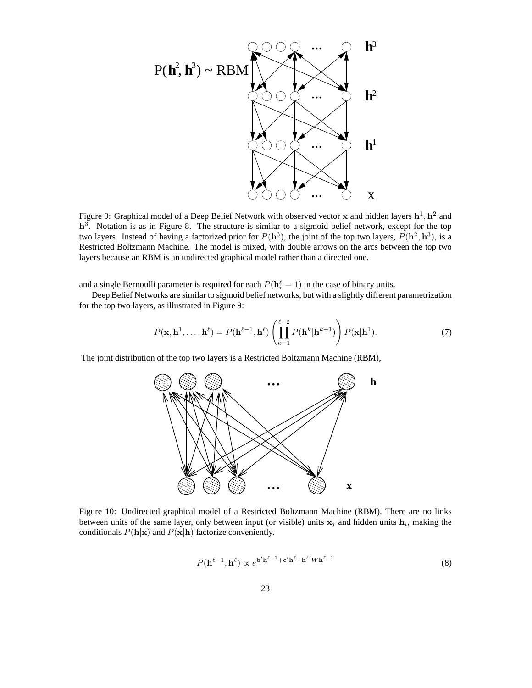

Figure 9: Graphical model of a Deep Belief Network with observed vector x and hidden layers  $\mathbf{h}^1, \mathbf{h}^2$  and  $h^3$ . Notation is as in Figure 8. The structure is similar to a sigmoid belief network, except for the top two layers. Instead of having a factorized prior for  $P(\textbf{h}^3)$ , the joint of the top two layers,  $P(\textbf{h}^2, \textbf{h}^3)$ , is a Restricted Boltzmann Machine. The model is mixed, with double arrows on the arcs between the top two layers because an RBM is an undirected graphical model rather than a directed one.

and a single Bernoulli parameter is required for each  $P(\mathbf{h}_i^{\ell} = 1)$  in the case of binary units.

Deep Belief Networks are similar to sigmoid belief networks, but with a slightly different parametrization for the top two layers, as illustrated in Figure 9:

$$
P(\mathbf{x}, \mathbf{h}^1, \dots, \mathbf{h}^\ell) = P(\mathbf{h}^{\ell-1}, \mathbf{h}^\ell) \left( \prod_{k=1}^{\ell-2} P(\mathbf{h}^k | \mathbf{h}^{k+1}) \right) P(\mathbf{x} | \mathbf{h}^1).
$$
 (7)

The joint distribution of the top two layers is a Restricted Boltzmann Machine (RBM),



Figure 10: Undirected graphical model of a Restricted Boltzmann Machine (RBM). There are no links between units of the same layer, only between input (or visible) units  $x_j$  and hidden units  $h_i$ , making the conditionals  $P(\mathbf{h}|\mathbf{x})$  and  $P(\mathbf{x}|\mathbf{h})$  factorize conveniently.

$$
P(\mathbf{h}^{\ell-1}, \mathbf{h}^{\ell}) \propto e^{\mathbf{b}'\mathbf{h}^{\ell-1} + \mathbf{c}'\mathbf{h}^{\ell} + \mathbf{h}^{\ell'}W\mathbf{h}^{\ell-1}}
$$
(8)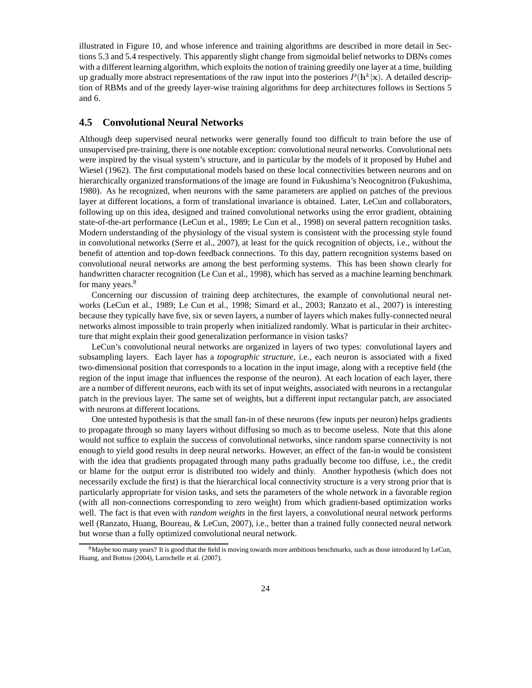illustrated in Figure 10, and whose inference and training algorithms are described in more detail in Sections 5.3 and 5.4 respectively. This apparently slight change from sigmoidal belief networks to DBNs comes with a different learning algorithm, which exploits the notion of training greedily one layer at a time, building up gradually more abstract representations of the raw input into the posteriors  $P(\mathbf{h}^k|\mathbf{x})$ . A detailed description of RBMs and of the greedy layer-wise training algorithms for deep architectures follows in Sections 5 and 6.

## **4.5 Convolutional Neural Networks**

Although deep supervised neural networks were generally found too difficult to train before the use of unsupervised pre-training, there is one notable exception: convolutional neural networks. Convolutional nets were inspired by the visual system's structure, and in particular by the models of it proposed by Hubel and Wiesel (1962). The first computational models based on these local connectivities between neurons and on hierarchically organized transformations of the image are found in Fukushima's Neocognitron (Fukushima, 1980). As he recognized, when neurons with the same parameters are applied on patches of the previous layer at different locations, a form of translational invariance is obtained. Later, LeCun and collaborators, following up on this idea, designed and trained convolutional networks using the error gradient, obtaining state-of-the-art performance (LeCun et al., 1989; Le Cun et al., 1998) on several pattern recognition tasks. Modern understanding of the physiology of the visual system is consistent with the processing style found in convolutional networks (Serre et al., 2007), at least for the quick recognition of objects, i.e., without the benefit of attention and top-down feedback connections. To this day, pattern recognition systems based on convolutional neural networks are among the best performing systems. This has been shown clearly for handwritten character recognition (Le Cun et al., 1998), which has served as a machine learning benchmark for many years.<sup>8</sup>

Concerning our discussion of training deep architectures, the example of convolutional neural networks (LeCun et al., 1989; Le Cun et al., 1998; Simard et al., 2003; Ranzato et al., 2007) is interesting because they typically have five, six or seven layers, a number of layers which makes fully-connected neural networks almost impossible to train properly when initialized randomly. What is particular in their architecture that might explain their good generalization performance in vision tasks?

LeCun's convolutional neural networks are organized in layers of two types: convolutional layers and subsampling layers. Each layer has a *topographic structure*, i.e., each neuron is associated with a fixed two-dimensional position that corresponds to a location in the input image, along with a receptive field (the region of the input image that influences the response of the neuron). At each location of each layer, there are a number of different neurons, each with its set of input weights, associated with neurons in a rectangular patch in the previous layer. The same set of weights, but a different input rectangular patch, are associated with neurons at different locations.

One untested hypothesis is that the small fan-in of these neurons (few inputs per neuron) helps gradients to propagate through so many layers without diffusing so much as to become useless. Note that this alone would not suffice to explain the success of convolutional networks, since random sparse connectivity is not enough to yield good results in deep neural networks. However, an effect of the fan-in would be consistent with the idea that gradients propagated through many paths gradually become too diffuse, i.e., the credit or blame for the output error is distributed too widely and thinly. Another hypothesis (which does not necessarily exclude the first) is that the hierarchical local connectivity structure is a very strong prior that is particularly appropriate for vision tasks, and sets the parameters of the whole network in a favorable region (with all non-connections corresponding to zero weight) from which gradient-based optimization works well. The fact is that even with *random weights* in the first layers, a convolutional neural network performs well (Ranzato, Huang, Boureau, & LeCun, 2007), i.e., better than a trained fully connected neural network but worse than a fully optimized convolutional neural network.

<sup>&</sup>lt;sup>8</sup>Maybe too many years? It is good that the field is moving towards more ambitious benchmarks, such as those introduced by LeCun, Huang, and Bottou (2004), Larochelle et al. (2007).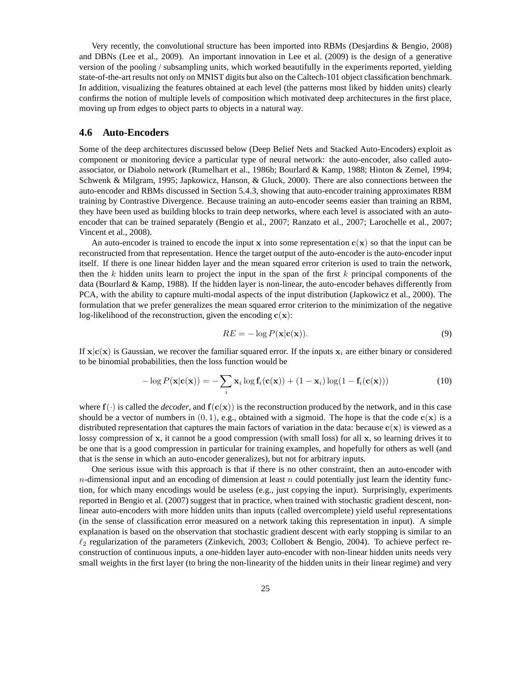Very recently, the convolutional structure has been imported into RBMs (Desjardins & Bengio, 2008) and DBNs (Lee et al., 2009). An important innovation in Lee et al. (2009) is the design of a generative version of the pooling / subsampling units, which worked beautifully in the experiments reported, yielding state-of-the-art results not only on MNIST digits but also on the Caltech-101 object classification benchmark. In addition, visualizing the features obtained at each level (the patterns most liked by hidden units) clearly confirms the notion of multiple levels of composition which motivated deep architectures in the first place, moving up from edges to object parts to objects in a natural way.

## **4.6 Auto-Encoders**

Some of the deep architectures discussed below (Deep Belief Nets and Stacked Auto-Encoders) exploit as component or monitoring device a particular type of neural network: the auto-encoder, also called autoassociator, or Diabolo network (Rumelhart et al., 1986b; Bourlard & Kamp, 1988; Hinton & Zemel, 1994; Schwenk & Milgram, 1995; Japkowicz, Hanson, & Gluck, 2000). There are also connections between the auto-encoder and RBMs discussed in Section 5.4.3, showing that auto-encoder training approximates RBM training by Contrastive Divergence. Because training an auto-encoder seems easier than training an RBM, they have been used as building blocks to train deep networks, where each level is associated with an autoencoder that can be trained separately (Bengio et al., 2007; Ranzato et al., 2007; Larochelle et al., 2007; Vincent et al., 2008).

An auto-encoder is trained to encode the input x into some representation  $c(x)$  so that the input can be reconstructed from that representation. Hence the target output of the auto-encoder is the auto-encoder input itself. If there is one linear hidden layer and the mean squared error criterion is used to train the network, then the k hidden units learn to project the input in the span of the first  $k$  principal components of the data (Bourlard & Kamp, 1988). If the hidden layer is non-linear, the auto-encoder behaves differently from PCA, with the ability to capture multi-modal aspects of the input distribution (Japkowicz et al., 2000). The formulation that we prefer generalizes the mean squared error criterion to the minimization of the negative log-likelihood of the reconstruction, given the encoding  $c(x)$ :

$$
RE = -\log P(\mathbf{x}|\mathbf{c}(\mathbf{x})).\tag{9}
$$

If  $x|c(x)$  is Gaussian, we recover the familiar squared error. If the inputs  $x_i$  are either binary or considered to be binomial probabilities, then the loss function would be

$$
-\log P(\mathbf{x}|\mathbf{c}(\mathbf{x})) = -\sum_{i} \mathbf{x}_i \log \mathbf{f}_i(\mathbf{c}(\mathbf{x})) + (1 - \mathbf{x}_i) \log(1 - \mathbf{f}_i(\mathbf{c}(\mathbf{x})))
$$
(10)

where  $f(\cdot)$  is called the *decoder*, and  $f(c(x))$  is the reconstruction produced by the network, and in this case should be a vector of numbers in  $(0, 1)$ , e.g., obtained with a sigmoid. The hope is that the code  $c(x)$  is a distributed representation that captures the main factors of variation in the data: because  $c(x)$  is viewed as a lossy compression of x, it cannot be a good compression (with small loss) for all x, so learning drives it to be one that is a good compression in particular for training examples, and hopefully for others as well (and that is the sense in which an auto-encoder generalizes), but not for arbitrary inputs.

One serious issue with this approach is that if there is no other constraint, then an auto-encoder with  $n$ -dimensional input and an encoding of dimension at least  $n$  could potentially just learn the identity function, for which many encodings would be useless (e.g., just copying the input). Surprisingly, experiments reported in Bengio et al. (2007) suggest that in practice, when trained with stochastic gradient descent, nonlinear auto-encoders with more hidden units than inputs (called overcomplete) yield useful representations (in the sense of classification error measured on a network taking this representation in input). A simple explanation is based on the observation that stochastic gradient descent with early stopping is similar to an  $\ell_2$  regularization of the parameters (Zinkevich, 2003; Collobert & Bengio, 2004). To achieve perfect reconstruction of continuous inputs, a one-hidden layer auto-encoder with non-linear hidden units needs very small weights in the first layer (to bring the non-linearity of the hidden units in their linear regime) and very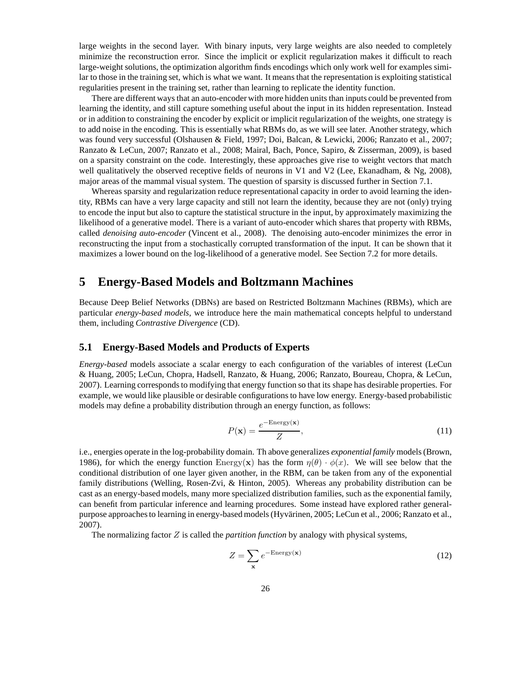large weights in the second layer. With binary inputs, very large weights are also needed to completely minimize the reconstruction error. Since the implicit or explicit regularization makes it difficult to reach large-weight solutions, the optimization algorithm finds encodings which only work well for examples similar to those in the training set, which is what we want. It means that the representation is exploiting statistical regularities present in the training set, rather than learning to replicate the identity function.

There are different ways that an auto-encoder with more hidden units than inputs could be prevented from learning the identity, and still capture something useful about the input in its hidden representation. Instead or in addition to constraining the encoder by explicit or implicit regularization of the weights, one strategy is to add noise in the encoding. This is essentially what RBMs do, as we will see later. Another strategy, which was found very successful (Olshausen & Field, 1997; Doi, Balcan, & Lewicki, 2006; Ranzato et al., 2007; Ranzato & LeCun, 2007; Ranzato et al., 2008; Mairal, Bach, Ponce, Sapiro, & Zisserman, 2009), is based on a sparsity constraint on the code. Interestingly, these approaches give rise to weight vectors that match well qualitatively the observed receptive fields of neurons in V1 and V2 (Lee, Ekanadham, & Ng, 2008), major areas of the mammal visual system. The question of sparsity is discussed further in Section 7.1.

Whereas sparsity and regularization reduce representational capacity in order to avoid learning the identity, RBMs can have a very large capacity and still not learn the identity, because they are not (only) trying to encode the input but also to capture the statistical structure in the input, by approximately maximizing the likelihood of a generative model. There is a variant of auto-encoder which shares that property with RBMs, called *denoising auto-encoder* (Vincent et al., 2008). The denoising auto-encoder minimizes the error in reconstructing the input from a stochastically corrupted transformation of the input. It can be shown that it maximizes a lower bound on the log-likelihood of a generative model. See Section 7.2 for more details.

# **5 Energy-Based Models and Boltzmann Machines**

Because Deep Belief Networks (DBNs) are based on Restricted Boltzmann Machines (RBMs), which are particular *energy-based models*, we introduce here the main mathematical concepts helpful to understand them, including *Contrastive Divergence* (CD).

## **5.1 Energy-Based Models and Products of Experts**

*Energy-based* models associate a scalar energy to each configuration of the variables of interest (LeCun & Huang, 2005; LeCun, Chopra, Hadsell, Ranzato, & Huang, 2006; Ranzato, Boureau, Chopra, & LeCun, 2007). Learning corresponds to modifying that energy function so that its shape has desirable properties. For example, we would like plausible or desirable configurations to have low energy. Energy-based probabilistic models may define a probability distribution through an energy function, as follows:

$$
P(\mathbf{x}) = \frac{e^{-\text{Energy}(\mathbf{x})}}{Z},\tag{11}
$$

i.e., energies operate in the log-probability domain. Th above generalizes *exponential family* models (Brown, 1986), for which the energy function Energy(x) has the form  $\eta(\theta) \cdot \phi(x)$ . We will see below that the conditional distribution of one layer given another, in the RBM, can be taken from any of the exponential family distributions (Welling, Rosen-Zvi, & Hinton, 2005). Whereas any probability distribution can be cast as an energy-based models, many more specialized distribution families, such as the exponential family, can benefit from particular inference and learning procedures. Some instead have explored rather generalpurpose approaches to learning in energy-based models (Hyvärinen, 2005; LeCun et al., 2006; Ranzato et al., 2007).

The normalizing factor Z is called the *partition function* by analogy with physical systems,

$$
Z = \sum_{\mathbf{x}} e^{-\text{Energy}(\mathbf{x})}
$$
 (12)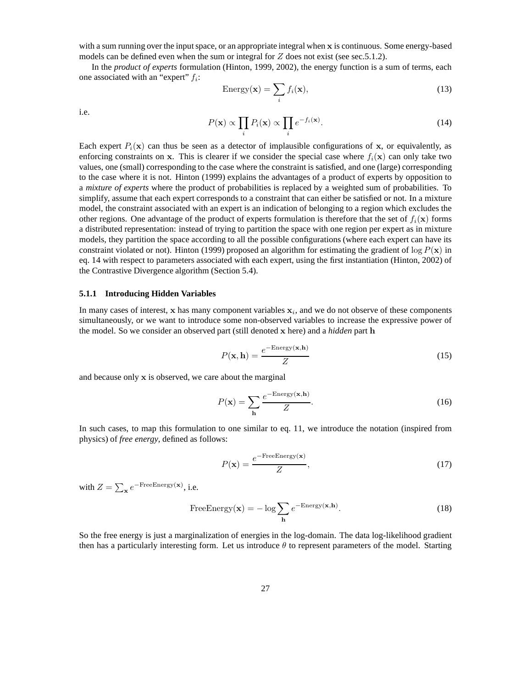with a sum running over the input space, or an appropriate integral when x is continuous. Some energy-based models can be defined even when the sum or integral for  $Z$  does not exist (see sec.5.1.2).

In the *product of experts* formulation (Hinton, 1999, 2002), the energy function is a sum of terms, each one associated with an "expert"  $f_i$ :

Energy(**x**) = 
$$
\sum_{i} f_i(\mathbf{x}),
$$
 (13)

i.e.

$$
P(\mathbf{x}) \propto \prod_i P_i(\mathbf{x}) \propto \prod_i e^{-f_i(\mathbf{x})}.
$$
 (14)

Each expert  $P_i(\mathbf{x})$  can thus be seen as a detector of implausible configurations of x, or equivalently, as enforcing constraints on x. This is clearer if we consider the special case where  $f_i(\mathbf{x})$  can only take two values, one (small) corresponding to the case where the constraint is satisfied, and one (large) corresponding to the case where it is not. Hinton (1999) explains the advantages of a product of experts by opposition to a *mixture of experts* where the product of probabilities is replaced by a weighted sum of probabilities. To simplify, assume that each expert corresponds to a constraint that can either be satisfied or not. In a mixture model, the constraint associated with an expert is an indication of belonging to a region which excludes the other regions. One advantage of the product of experts formulation is therefore that the set of  $f_i(\mathbf{x})$  forms a distributed representation: instead of trying to partition the space with one region per expert as in mixture models, they partition the space according to all the possible configurations (where each expert can have its constraint violated or not). Hinton (1999) proposed an algorithm for estimating the gradient of  $\log P(x)$  in eq. 14 with respect to parameters associated with each expert, using the first instantiation (Hinton, 2002) of the Contrastive Divergence algorithm (Section 5.4).

#### **5.1.1 Introducing Hidden Variables**

In many cases of interest, x has many component variables  $x_i$ , and we do not observe of these components simultaneously, or we want to introduce some non-observed variables to increase the expressive power of the model. So we consider an observed part (still denoted x here) and a *hidden* part h

$$
P(\mathbf{x}, \mathbf{h}) = \frac{e^{-\text{Energy}(\mathbf{x}, \mathbf{h})}}{Z}
$$
 (15)

and because only x is observed, we care about the marginal

$$
P(\mathbf{x}) = \sum_{\mathbf{h}} \frac{e^{-\text{Energy}(\mathbf{x}, \mathbf{h})}}{Z}.
$$
 (16)

In such cases, to map this formulation to one similar to eq. 11, we introduce the notation (inspired from physics) of *free energy*, defined as follows:

$$
P(\mathbf{x}) = \frac{e^{-\text{FreeEnergy}(\mathbf{x})}}{Z},\tag{17}
$$

with  $Z = \sum_{\mathbf{x}} e^{-\text{FreeEnergy}(\mathbf{x})}$ , i.e.

FreeEnergy(**x**) = 
$$
-\log \sum_{\mathbf{h}} e^{-\text{Energy}(\mathbf{x}, \mathbf{h})}
$$
. (18)

So the free energy is just a marginalization of energies in the log-domain. The data log-likelihood gradient then has a particularly interesting form. Let us introduce  $\theta$  to represent parameters of the model. Starting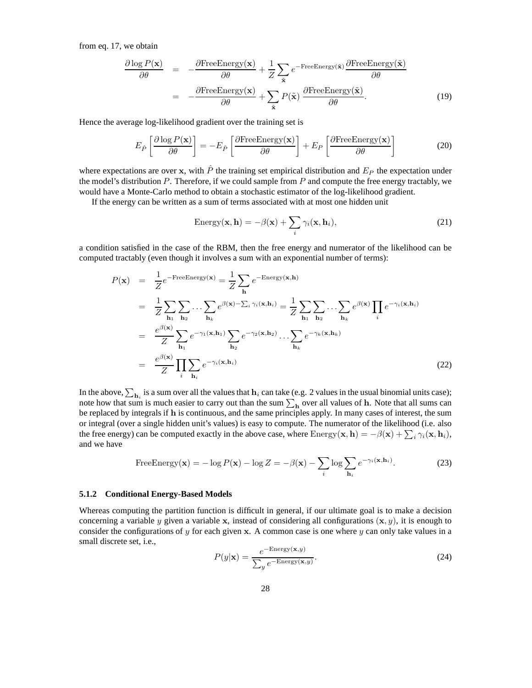from eq. 17, we obtain

$$
\frac{\partial \log P(\mathbf{x})}{\partial \theta} = -\frac{\partial \text{FreeEnergy}(\mathbf{x})}{\partial \theta} + \frac{1}{Z} \sum_{\tilde{\mathbf{x}}} e^{-\text{FreeEnergy}(\tilde{\mathbf{x}})} \frac{\partial \text{FreeEnergy}(\tilde{\mathbf{x}})}{\partial \theta}
$$

$$
= -\frac{\partial \text{FreeEnergy}(\mathbf{x})}{\partial \theta} + \sum_{\tilde{\mathbf{x}}} P(\tilde{\mathbf{x}}) \frac{\partial \text{FreeEnergy}(\tilde{\mathbf{x}})}{\partial \theta}.
$$
(19)

Hence the average log-likelihood gradient over the training set is

$$
E_{\hat{P}}\left[\frac{\partial \log P(\mathbf{x})}{\partial \theta}\right] = -E_{\hat{P}}\left[\frac{\partial \text{FreeEnergy}(\mathbf{x})}{\partial \theta}\right] + E_{P}\left[\frac{\partial \text{FreeEnergy}(\mathbf{x})}{\partial \theta}\right]
$$
(20)

where expectations are over x, with  $\hat{P}$  the training set empirical distribution and  $E_P$  the expectation under the model's distribution  $P$ . Therefore, if we could sample from  $P$  and compute the free energy tractably, we would have a Monte-Carlo method to obtain a stochastic estimator of the log-likelihood gradient.

If the energy can be written as a sum of terms associated with at most one hidden unit

Energy(
$$
\mathbf{x}, \mathbf{h}
$$
) =  $-\beta(\mathbf{x}) + \sum_{i} \gamma_i(\mathbf{x}, \mathbf{h}_i),$  (21)

a condition satisfied in the case of the RBM, then the free energy and numerator of the likelihood can be computed tractably (even though it involves a sum with an exponential number of terms):

$$
P(\mathbf{x}) = \frac{1}{Z} e^{-\text{FreeEnergy}(\mathbf{x})} = \frac{1}{Z} \sum_{\mathbf{h}} e^{-\text{Energy}(\mathbf{x}, \mathbf{h})}
$$
  
\n
$$
= \frac{1}{Z} \sum_{\mathbf{h}_1} \sum_{\mathbf{h}_2} \cdots \sum_{\mathbf{h}_k} e^{\beta(\mathbf{x}) - \sum_i \gamma_i(\mathbf{x}, \mathbf{h}_i)} = \frac{1}{Z} \sum_{\mathbf{h}_1} \sum_{\mathbf{h}_2} \cdots \sum_{\mathbf{h}_k} e^{\beta(\mathbf{x})} \prod_i e^{-\gamma_i(\mathbf{x}, \mathbf{h}_i)}
$$
  
\n
$$
= \frac{e^{\beta(\mathbf{x})}}{Z} \sum_{\mathbf{h}_1} e^{-\gamma_1(\mathbf{x}, \mathbf{h}_1)} \sum_{\mathbf{h}_2} e^{-\gamma_2(\mathbf{x}, \mathbf{h}_2)} \cdots \sum_{\mathbf{h}_k} e^{-\gamma_k(\mathbf{x}, \mathbf{h}_k)}
$$
  
\n
$$
= \frac{e^{\beta(\mathbf{x})}}{Z} \prod_{i} \sum_{\mathbf{h}_i} e^{-\gamma_i(\mathbf{x}, \mathbf{h}_i)}
$$
(22)

In the above,  $\sum_{h_i}$  is a sum over all the values that  $h_i$  can take (e.g. 2 values in the usual binomial units case); note how that sum is much easier to carry out than the sum  $\sum_{h}$  over all values of h. Note that all sums can be replaced by integrals if h is continuous, and the same principles apply. In many cases of interest, the sum or integral (over a single hidden unit's values) is easy to compute. The numerator of the likelihood (i.e. also the free energy) can be computed exactly in the above case, where  $\text{Energy}(\mathbf{x}, \mathbf{h}) = -\beta(\mathbf{x}) + \sum_i \gamma_i(\mathbf{x}, \mathbf{h}_i)$ , and we have

FreeEnergy(**x**) = 
$$
-\log P(\mathbf{x}) - \log Z = -\beta(\mathbf{x}) - \sum_{i} \log \sum_{\mathbf{h}_i} e^{-\gamma_i(\mathbf{x}, \mathbf{h}_i)}
$$
. (23)

#### **5.1.2 Conditional Energy-Based Models**

Whereas computing the partition function is difficult in general, if our ultimate goal is to make a decision concerning a variable y given a variable x, instead of considering all configurations  $(x, y)$ , it is enough to consider the configurations of y for each given x. A common case is one where y can only take values in a small discrete set, i.e.,

$$
P(y|\mathbf{x}) = \frac{e^{-\text{Energy}(\mathbf{x}, y)}}{\sum_{y} e^{-\text{Energy}(\mathbf{x}, y)}}.
$$
\n(24)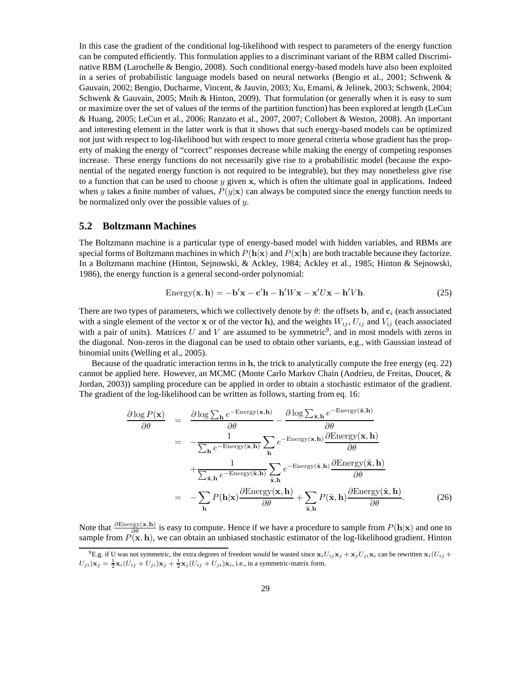In this case the gradient of the conditional log-likelihood with respect to parameters of the energy function can be computed efficiently. This formulation applies to a discriminant variant of the RBM called Discriminative RBM (Larochelle & Bengio, 2008). Such conditional energy-based models have also been exploited in a series of probabilistic language models based on neural networks (Bengio et al., 2001; Schwenk & Gauvain, 2002; Bengio, Ducharme, Vincent, & Jauvin, 2003; Xu, Emami, & Jelinek, 2003; Schwenk, 2004; Schwenk & Gauvain, 2005; Mnih & Hinton, 2009). That formulation (or generally when it is easy to sum or maximize over the set of values of the terms of the partition function) has been explored at length (LeCun & Huang, 2005; LeCun et al., 2006; Ranzato et al., 2007, 2007; Collobert & Weston, 2008). An important and interesting element in the latter work is that it shows that such energy-based models can be optimized not just with respect to log-likelihood but with respect to more general criteria whose gradient has the property of making the energy of "correct" responses decrease while making the energy of competing responses increase. These energy functions do not necessarily give rise to a probabilistic model (because the exponential of the negated energy function is not required to be integrable), but they may nonetheless give rise to a function that can be used to choose  $y$  given x, which is often the ultimate goal in applications. Indeed when y takes a finite number of values,  $P(y|\mathbf{x})$  can always be computed since the energy function needs to be normalized only over the possible values of  $y$ .

### **5.2 Boltzmann Machines**

The Boltzmann machine is a particular type of energy-based model with hidden variables, and RBMs are special forms of Boltzmann machines in which  $P(h|x)$  and  $P(x|h)$  are both tractable because they factorize. In a Boltzmann machine (Hinton, Sejnowski, & Ackley, 1984; Ackley et al., 1985; Hinton & Sejnowski, 1986), the energy function is a general second-order polynomial:

Energy
$$
(\mathbf{x}, \mathbf{h}) = -\mathbf{b}'\mathbf{x} - \mathbf{c}'\mathbf{h} - \mathbf{h}'W\mathbf{x} - \mathbf{x}'U\mathbf{x} - \mathbf{h}'V\mathbf{h}.
$$
 (25)

There are two types of parameters, which we collectively denote by  $\theta$ : the offsets  $\mathbf{b}_i$  and  $\mathbf{c}_i$  (each associated with a single element of the vector x or of the vector h), and the weights  $W_{ij}$ ,  $U_{ij}$  and  $V_{ij}$  (each associated with a pair of units). Matrices U and V are assumed to be symmetric<sup>9</sup>, and in most models with zeros in the diagonal. Non-zeros in the diagonal can be used to obtain other variants, e.g., with Gaussian instead of binomial units (Welling et al., 2005).

Because of the quadratic interaction terms in h, the trick to analytically compute the free energy (eq. 22) cannot be applied here. However, an MCMC (Monte Carlo Markov Chain (Andrieu, de Freitas, Doucet, & Jordan, 2003)) sampling procedure can be applied in order to obtain a stochastic estimator of the gradient. The gradient of the log-likelihood can be written as follows, starting from eq. 16:

$$
\frac{\partial \log P(\mathbf{x})}{\partial \theta} = \frac{\partial \log \sum_{\mathbf{h}} e^{-\text{Energy}(\mathbf{x}, \mathbf{h})}}{\partial \theta} - \frac{\partial \log \sum_{\tilde{\mathbf{x}}, \mathbf{h}} e^{-\text{Energy}(\tilde{\mathbf{x}}, \mathbf{h})}}{\partial \theta}
$$
\n
$$
= -\frac{1}{\sum_{\mathbf{h}} e^{-\text{Energy}(\mathbf{x}, \mathbf{h})}} \sum_{\mathbf{h}} e^{-\text{Energy}(\mathbf{x}, \mathbf{h})} \frac{\partial \text{Energy}(\mathbf{x}, \mathbf{h})}{\partial \theta}
$$
\n
$$
+ \frac{1}{\sum_{\tilde{\mathbf{x}}, \mathbf{h}} e^{-\text{Energy}(\tilde{\mathbf{x}}, \mathbf{h})}} \sum_{\tilde{\mathbf{x}}, \mathbf{h}} e^{-\text{Energy}(\tilde{\mathbf{x}}, \mathbf{h})} \frac{\partial \text{Energy}(\tilde{\mathbf{x}}, \mathbf{h})}{\partial \theta}
$$
\n
$$
= -\sum_{\mathbf{h}} P(\mathbf{h}|\mathbf{x}) \frac{\partial \text{Energy}(\mathbf{x}, \mathbf{h})}{\partial \theta} + \sum_{\tilde{\mathbf{x}}, \mathbf{h}} P(\tilde{\mathbf{x}}, \mathbf{h}) \frac{\partial \text{Energy}(\tilde{\mathbf{x}}, \mathbf{h})}{\partial \theta}. \tag{26}
$$

Note that  $\frac{\partial \text{Energy}(\mathbf{x}, \mathbf{h})}{\partial \theta}$  is easy to compute. Hence if we have a procedure to sample from  $P(\mathbf{h}|\mathbf{x})$  and one to sample from  $P(x, h)$ , we can obtain an unbiased stochastic estimator of the log-likelihood gradient. Hinton

<sup>&</sup>lt;sup>9</sup>E.g. if U was not symmetric, the extra degrees of freedom would be wasted since  $\mathbf{x}_iU_{ij}\mathbf{x}_j + \mathbf{x}_jU_{ji}\mathbf{x}_i$  can be rewritten  $\mathbf{x}_i(U_{ij} + \mathbf{x}_j)$  $U_{ji}$ ) $\mathbf{x}_j = \frac{1}{2}\mathbf{x}_i(U_{ij} + U_{ji})\mathbf{x}_j + \frac{1}{2}\mathbf{x}_j(U_{ij} + U_{ji})\mathbf{x}_i$ , i.e., in a symmetric-matrix form.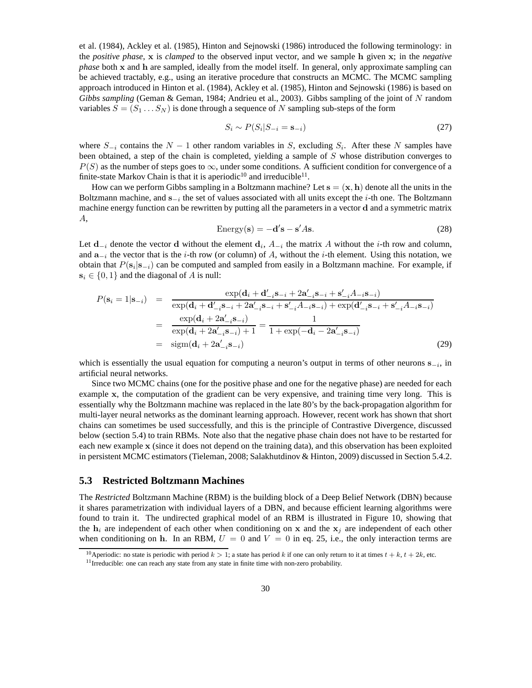et al. (1984), Ackley et al. (1985), Hinton and Sejnowski (1986) introduced the following terminology: in the *positive phase*, x is *clamped* to the observed input vector, and we sample h given x; in the *negative phase* both x and h are sampled, ideally from the model itself. In general, only approximate sampling can be achieved tractably, e.g., using an iterative procedure that constructs an MCMC. The MCMC sampling approach introduced in Hinton et al. (1984), Ackley et al. (1985), Hinton and Sejnowski (1986) is based on *Gibbs sampling* (Geman & Geman, 1984; Andrieu et al., 2003). Gibbs sampling of the joint of N random variables  $S = (S_1 \dots S_N)$  is done through a sequence of N sampling sub-steps of the form

$$
S_i \sim P(S_i | S_{-i} = \mathbf{s}_{-i})
$$
\n<sup>(27)</sup>

where  $S_{-i}$  contains the  $N-1$  other random variables in S, excluding  $S_i$ . After these N samples have been obtained, a step of the chain is completed, yielding a sample of S whose distribution converges to  $P(S)$  as the number of steps goes to  $\infty$ , under some conditions. A sufficient condition for convergence of a finite-state Markov Chain is that it is aperiodic<sup>10</sup> and irreducible<sup>11</sup>.

How can we perform Gibbs sampling in a Boltzmann machine? Let  $s = (x, h)$  denote all the units in the Boltzmann machine, and  $s_{-i}$  the set of values associated with all units except the *i*-th one. The Boltzmann machine energy function can be rewritten by putting all the parameters in a vector d and a symmetric matrix A,

$$
Energy(s) = -d's - s'As.
$$
\n(28)

Let  $\mathbf{d}_{-i}$  denote the vector d without the element  $\mathbf{d}_i$ ,  $A_{-i}$  the matrix A without the *i*-th row and column, and  $a_{-i}$  the vector that is the *i*-th row (or column) of A, without the *i*-th element. Using this notation, we obtain that  $P(s_i|s_{-i})$  can be computed and sampled from easily in a Boltzmann machine. For example, if  $s_i \in \{0, 1\}$  and the diagonal of A is null:

$$
P(\mathbf{s}_{i} = 1 | \mathbf{s}_{-i}) = \frac{\exp(\mathbf{d}_{i} + \mathbf{d}'_{-i}\mathbf{s}_{-i} + 2\mathbf{a}'_{-i}\mathbf{s}_{-i} + \mathbf{s}'_{-i}A_{-i}\mathbf{s}_{-i})}{\exp(\mathbf{d}_{i} + \mathbf{d}'_{-i}\mathbf{s}_{-i} + 2\mathbf{a}'_{-i}\mathbf{s}_{-i} + \mathbf{s}'_{-i}A_{-i}\mathbf{s}_{-i}) + \exp(\mathbf{d}'_{-i}\mathbf{s}_{-i} + \mathbf{s}'_{-i}A_{-i}\mathbf{s}_{-i})}
$$
  
\n
$$
= \frac{\exp(\mathbf{d}_{i} + 2\mathbf{a}'_{-i}\mathbf{s}_{-i})}{\exp(\mathbf{d}_{i} + 2\mathbf{a}'_{-i}\mathbf{s}_{-i}) + 1} = \frac{1}{1 + \exp(-\mathbf{d}_{i} - 2\mathbf{a}'_{-i}\mathbf{s}_{-i})}
$$
  
\n
$$
= \text{sign}(\mathbf{d}_{i} + 2\mathbf{a}'_{-i}\mathbf{s}_{-i})
$$
(29)

which is essentially the usual equation for computing a neuron's output in terms of other neurons  $s_{-i}$ , in artificial neural networks.

Since two MCMC chains (one for the positive phase and one for the negative phase) are needed for each example x, the computation of the gradient can be very expensive, and training time very long. This is essentially why the Boltzmann machine was replaced in the late 80's by the back-propagation algorithm for multi-layer neural networks as the dominant learning approach. However, recent work has shown that short chains can sometimes be used successfully, and this is the principle of Contrastive Divergence, discussed below (section 5.4) to train RBMs. Note also that the negative phase chain does not have to be restarted for each new example x (since it does not depend on the training data), and this observation has been exploited in persistent MCMC estimators (Tieleman, 2008; Salakhutdinov & Hinton, 2009) discussed in Section 5.4.2.

## **5.3 Restricted Boltzmann Machines**

The *Restricted* Boltzmann Machine (RBM) is the building block of a Deep Belief Network (DBN) because it shares parametrization with individual layers of a DBN, and because efficient learning algorithms were found to train it. The undirected graphical model of an RBM is illustrated in Figure 10, showing that the  $h_i$  are independent of each other when conditioning on x and the  $x_i$  are independent of each other when conditioning on h. In an RBM,  $U = 0$  and  $V = 0$  in eq. 25, i.e., the only interaction terms are

<sup>&</sup>lt;sup>10</sup>Aperiodic: no state is periodic with period  $k > 1$ ; a state has period k if one can only return to it at times  $t + k$ ,  $t + 2k$ , etc.

<sup>&</sup>lt;sup>11</sup>Irreducible: one can reach any state from any state in finite time with non-zero probability.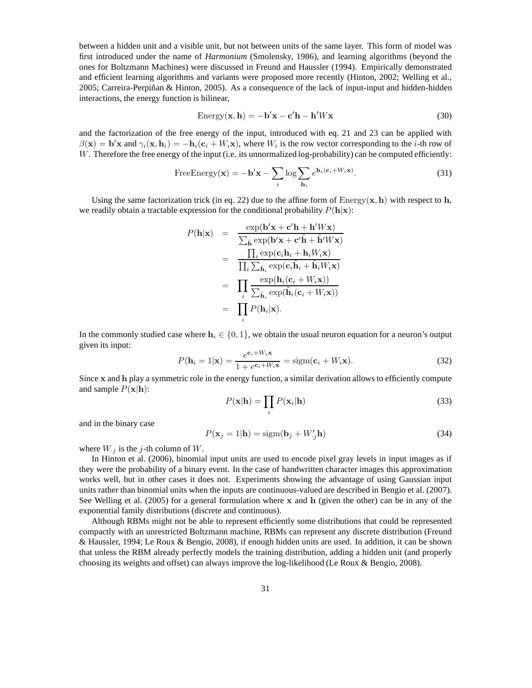between a hidden unit and a visible unit, but not between units of the same layer. This form of model was first introduced under the name of *Harmonium* (Smolensky, 1986), and learning algorithms (beyond the ones for Boltzmann Machines) were discussed in Freund and Haussler (1994). Empirically demonstrated and efficient learning algorithms and variants were proposed more recently (Hinton, 2002; Welling et al., 2005; Carreira-Perpiñan & Hinton, 2005). As a consequence of the lack of input-input and hidden-hidden interactions, the energy function is bilinear,

$$
Energy(\mathbf{x}, \mathbf{h}) = -\mathbf{b}'\mathbf{x} - \mathbf{c}'\mathbf{h} - \mathbf{h}'W\mathbf{x}
$$
\n(30)

and the factorization of the free energy of the input, introduced with eq. 21 and 23 can be applied with  $\beta(\mathbf{x}) = \mathbf{b}'\mathbf{x}$  and  $\gamma_i(\mathbf{x}, \mathbf{h}_i) = -\mathbf{h}_i(\mathbf{c}_i + W_i\mathbf{x})$ , where  $W_i$  is the row vector corresponding to the *i*-th row of W. Therefore the free energy of the input (i.e. its unnormalized log-probability) can be computed efficiently:

FreeEnergy(
$$
\mathbf{x}
$$
) =  $-\mathbf{b}'\mathbf{x} - \sum_{i} \log \sum_{\mathbf{h}_i} e^{\mathbf{h}_i(\mathbf{c}_i + W_i \mathbf{x})}$ . (31)

Using the same factorization trick (in eq. 22) due to the affine form of  $Energy(x, h)$  with respect to h, we readily obtain a tractable expression for the conditional probability  $P(h|x)$ :

$$
P(\mathbf{h}|\mathbf{x}) = \frac{\exp(\mathbf{b}'\mathbf{x} + \mathbf{c}'\mathbf{h} + \mathbf{h}'W\mathbf{x})}{\sum_{\tilde{\mathbf{h}}} \exp(\mathbf{b}'\mathbf{x} + \mathbf{c}'\tilde{\mathbf{h}} + \tilde{\mathbf{h}}'W\mathbf{x})}
$$
  
\n
$$
= \frac{\prod_{i} \exp(c_{i}\mathbf{h}_{i} + \mathbf{h}_{i}W_{i}\mathbf{x})}{\prod_{i} \sum_{\tilde{\mathbf{h}}_{i}} \exp(c_{i}\tilde{\mathbf{h}}_{i} + \tilde{\mathbf{h}}_{i}W_{i}\mathbf{x})}
$$
  
\n
$$
= \prod_{i} \frac{\exp(\mathbf{h}_{i}(\mathbf{c}_{i} + W_{i}\mathbf{x}))}{\sum_{\tilde{\mathbf{h}}_{i}} \exp(\tilde{\mathbf{h}}_{i}(\mathbf{c}_{i} + W_{i}\mathbf{x}))}
$$
  
\n
$$
= \prod_{i} P(\mathbf{h}_{i}|\mathbf{x}).
$$

In the commonly studied case where  $h_i \in \{0, 1\}$ , we obtain the usual neuron equation for a neuron's output given its input: ci<sub>+wix</sub>

$$
P(\mathbf{h}_i = 1|\mathbf{x}) = \frac{e^{\mathbf{c}_i + W_i \mathbf{x}}}{1 + e^{\mathbf{c}_i + W_i \mathbf{x}}} = \text{sigm}(\mathbf{c}_i + W_i \mathbf{x}).
$$
\n(32)

Since x and h play a symmetric role in the energy function, a similar derivation allows to efficiently compute and sample  $P(x|h)$ :

$$
P(\mathbf{x}|\mathbf{h}) = \prod_{i} P(\mathbf{x}_i|\mathbf{h})
$$
\n(33)

and in the binary case

$$
P(\mathbf{x}_j = 1 | \mathbf{h}) = \text{sigm}(\mathbf{b}_j + W'_{.j} \mathbf{h})
$$
\n(34)

where  $W_{\cdot j}$  is the j-th column of W.

In Hinton et al. (2006), binomial input units are used to encode pixel gray levels in input images as if they were the probability of a binary event. In the case of handwritten character images this approximation works well, but in other cases it does not. Experiments showing the advantage of using Gaussian input units rather than binomial units when the inputs are continuous-valued are described in Bengio et al. (2007). See Welling et al. (2005) for a general formulation where x and h (given the other) can be in any of the exponential family distributions (discrete and continuous).

Although RBMs might not be able to represent efficiently some distributions that could be represented compactly with an unrestricted Boltzmann machine, RBMs can represent any discrete distribution (Freund & Haussler, 1994; Le Roux & Bengio, 2008), if enough hidden units are used. In addition, it can be shown that unless the RBM already perfectly models the training distribution, adding a hidden unit (and properly choosing its weights and offset) can always improve the log-likelihood (Le Roux & Bengio, 2008).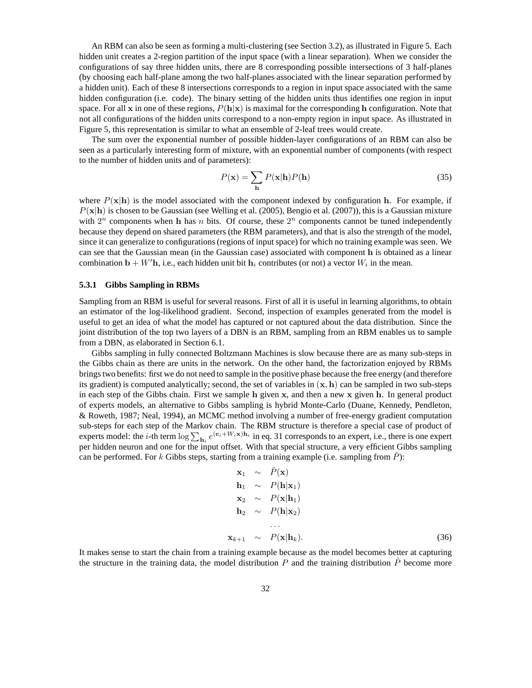An RBM can also be seen as forming a multi-clustering (see Section 3.2), as illustrated in Figure 5. Each hidden unit creates a 2-region partition of the input space (with a linear separation). When we consider the configurations of say three hidden units, there are 8 corresponding possible intersections of 3 half-planes (by choosing each half-plane among the two half-planes associated with the linear separation performed by a hidden unit). Each of these 8 intersections corresponds to a region in input space associated with the same hidden configuration (i.e. code). The binary setting of the hidden units thus identifies one region in input space. For all x in one of these regions,  $P(h|x)$  is maximal for the corresponding h configuration. Note that not all configurations of the hidden units correspond to a non-empty region in input space. As illustrated in Figure 5, this representation is similar to what an ensemble of 2-leaf trees would create.

The sum over the exponential number of possible hidden-layer configurations of an RBM can also be seen as a particularly interesting form of mixture, with an exponential number of components (with respect to the number of hidden units and of parameters):

$$
P(\mathbf{x}) = \sum_{\mathbf{h}} P(\mathbf{x}|\mathbf{h}) P(\mathbf{h})
$$
 (35)

where  $P(x|h)$  is the model associated with the component indexed by configuration h. For example, if  $P(x|h)$  is chosen to be Gaussian (see Welling et al. (2005), Bengio et al. (2007)), this is a Gaussian mixture with  $2^n$  components when h has n bits. Of course, these  $2^n$  components cannot be tuned independently because they depend on shared parameters (the RBM parameters), and that is also the strength of the model, since it can generalize to configurations (regions of input space) for which no training example was seen. We can see that the Gaussian mean (in the Gaussian case) associated with component h is obtained as a linear combination  $\mathbf{b} + W' \mathbf{h}$ , i.e., each hidden unit bit  $\mathbf{h}_i$  contributes (or not) a vector  $W_i$  in the mean.

#### **5.3.1 Gibbs Sampling in RBMs**

Sampling from an RBM is useful for several reasons. First of all it is useful in learning algorithms, to obtain an estimator of the log-likelihood gradient. Second, inspection of examples generated from the model is useful to get an idea of what the model has captured or not captured about the data distribution. Since the joint distribution of the top two layers of a DBN is an RBM, sampling from an RBM enables us to sample from a DBN, as elaborated in Section 6.1.

Gibbs sampling in fully connected Boltzmann Machines is slow because there are as many sub-steps in the Gibbs chain as there are units in the network. On the other hand, the factorization enjoyed by RBMs brings two benefits: first we do not need to sample in the positive phase because the free energy (and therefore its gradient) is computed analytically; second, the set of variables in  $(x, h)$  can be sampled in two sub-steps in each step of the Gibbs chain. First we sample h given x, and then a new x given h. In general product of experts models, an alternative to Gibbs sampling is hybrid Monte-Carlo (Duane, Kennedy, Pendleton, & Roweth, 1987; Neal, 1994), an MCMC method involving a number of free-energy gradient computation sub-steps for each step of the Markov chain. The RBM structure is therefore a special case of product of experts model: the *i*-th term  $\log \sum_{h_i} e^{(\mathbf{c}_i + W_i \cdot \mathbf{x})h_i}$  in eq. 31 corresponds to an expert, i.e., there is one expert per hidden neuron and one for the input offset. With that special structure, a very efficient Gibbs sampling can be performed. For k Gibbs steps, starting from a training example (i.e. sampling from  $\dot{P}$ ):

$$
\mathbf{x}_1 \sim \hat{P}(\mathbf{x})
$$
\n
$$
\mathbf{h}_1 \sim P(\mathbf{h}|\mathbf{x}_1)
$$
\n
$$
\mathbf{x}_2 \sim P(\mathbf{x}|\mathbf{h}_1)
$$
\n
$$
\mathbf{h}_2 \sim P(\mathbf{h}|\mathbf{x}_2)
$$
\n
$$
\cdots
$$
\n
$$
\mathbf{x}_{k+1} \sim P(\mathbf{x}|\mathbf{h}_k).
$$
\n(36)

It makes sense to start the chain from a training example because as the model becomes better at capturing the structure in the training data, the model distribution  $P$  and the training distribution  $\dot{P}$  become more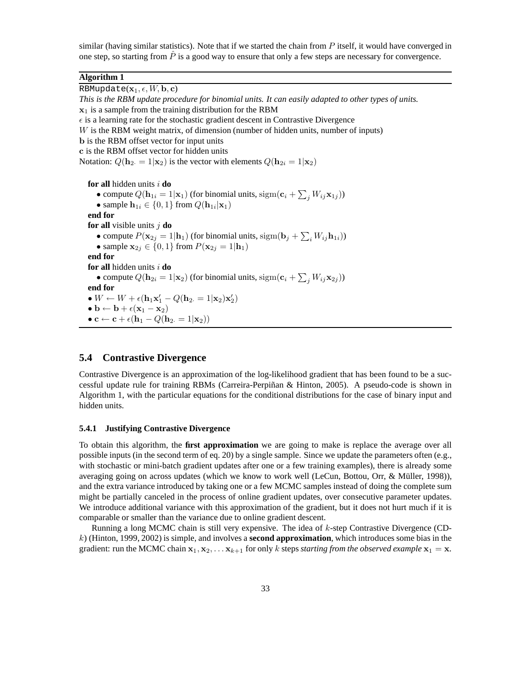similar (having similar statistics). Note that if we started the chain from  $P$  itself, it would have converged in one step, so starting from  $\hat{P}$  is a good way to ensure that only a few steps are necessary for convergence.

## **Algorithm 1**

RBMupdate $(\mathbf{x}_1, \epsilon, W, \mathbf{b}, \mathbf{c})$ *This is the RBM update procedure for binomial units. It can easily adapted to other types of units.*  $x_1$  is a sample from the training distribution for the RBM  $\epsilon$  is a learning rate for the stochastic gradient descent in Contrastive Divergence W is the RBM weight matrix, of dimension (number of hidden units, number of inputs) b is the RBM offset vector for input units c is the RBM offset vector for hidden units Notation:  $Q(\mathbf{h}_2 = 1 | \mathbf{x}_2)$  is the vector with elements  $Q(\mathbf{h}_{2i} = 1 | \mathbf{x}_2)$ **for all** hidden units i **do** • compute  $Q(\mathbf{h}_{1i} = 1 | \mathbf{x}_1)$  (for binomial units,  $\text{sign}(\mathbf{c}_i + \sum_j W_{ij} \mathbf{x}_{1j})$ ) • sample  $\mathbf{h}_{1i} \in \{0, 1\}$  from  $Q(\mathbf{h}_{1i}|\mathbf{x}_1)$ **end for for all** visible units j **do** • compute  $P(\mathbf{x}_{2j} = 1 | \mathbf{h}_1)$  (for binomial units,  $\text{sign}(\mathbf{b}_j + \sum_i W_{ij} \mathbf{h}_{1i})$ ) • sample  $\mathbf{x}_{2j} \in \{0,1\}$  from  $P(\mathbf{x}_{2j} = 1 | \mathbf{h}_1)$ **end for for all** hidden units i **do** • compute  $Q(\mathbf{h}_{2i} = 1 | \mathbf{x}_2)$  (for binomial units,  $\text{sign}(\mathbf{c}_i + \sum_j W_{ij} \mathbf{x}_{2j})$ ) **end for** •  $W \leftarrow W + \epsilon (\mathbf{h}_1 \mathbf{x}_1' - Q(\mathbf{h}_2 = 1 | \mathbf{x}_2) \mathbf{x}_2')$ •  $\mathbf{b} \leftarrow \mathbf{b} + \epsilon(\mathbf{x}_1 - \mathbf{x}_2)$ • **c** ← **c** +  $\epsilon$ (**h**<sub>1</sub> –  $Q$ (**h**<sub>2</sub> = 1|**x**<sub>2</sub>))

## **5.4 Contrastive Divergence**

Contrastive Divergence is an approximation of the log-likelihood gradient that has been found to be a successful update rule for training RBMs (Carreira-Perpiñan & Hinton, 2005). A pseudo-code is shown in Algorithm 1, with the particular equations for the conditional distributions for the case of binary input and hidden units.

#### **5.4.1 Justifying Contrastive Divergence**

To obtain this algorithm, the **first approximation** we are going to make is replace the average over all possible inputs (in the second term of eq. 20) by a single sample. Since we update the parameters often (e.g., with stochastic or mini-batch gradient updates after one or a few training examples), there is already some averaging going on across updates (which we know to work well (LeCun, Bottou, Orr, & Müller, 1998)), and the extra variance introduced by taking one or a few MCMC samples instead of doing the complete sum might be partially canceled in the process of online gradient updates, over consecutive parameter updates. We introduce additional variance with this approximation of the gradient, but it does not hurt much if it is comparable or smaller than the variance due to online gradient descent.

Running a long MCMC chain is still very expensive. The idea of k-step Contrastive Divergence (CDk) (Hinton, 1999, 2002) is simple, and involves a **second approximation**, which introduces some bias in the gradient: run the MCMC chain  $x_1, x_2, \ldots x_{k+1}$  for only k steps *starting from the observed example*  $x_1 = x$ .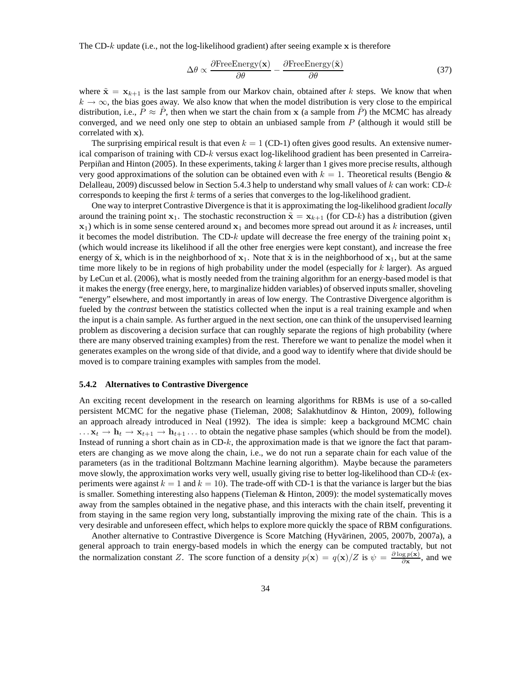The CD- $k$  update (i.e., not the log-likelihood gradient) after seeing example  $x$  is therefore

$$
\Delta\theta \propto \frac{\partial \text{FreeEnergy}(\mathbf{x})}{\partial \theta} - \frac{\partial \text{FreeEnergy}(\tilde{\mathbf{x}})}{\partial \theta} \tag{37}
$$

where  $\tilde{\mathbf{x}} = \mathbf{x}_{k+1}$  is the last sample from our Markov chain, obtained after k steps. We know that when  $k \to \infty$ , the bias goes away. We also know that when the model distribution is very close to the empirical distribution, i.e.,  $P \approx P$ , then when we start the chain from x (a sample from P) the MCMC has already converged, and we need only one step to obtain an unbiased sample from  $P$  (although it would still be correlated with x).

The surprising empirical result is that even  $k = 1$  (CD-1) often gives good results. An extensive numerical comparison of training with CD-k versus exact log-likelihood gradient has been presented in Carreira-Perpiñan and Hinton (2005). In these experiments, taking k larger than 1 gives more precise results, although very good approximations of the solution can be obtained even with  $k = 1$ . Theoretical results (Bengio & Delalleau, 2009) discussed below in Section 5.4.3 help to understand why small values of  $k$  can work: CD- $k$ corresponds to keeping the first  $k$  terms of a series that converges to the log-likelihood gradient.

One way to interpret Contrastive Divergence is that it is approximating the log-likelihood gradient *locally* around the training point  $x_1$ . The stochastic reconstruction  $\tilde{x} = x_{k+1}$  (for CD-k) has a distribution (given  $x_1$ ) which is in some sense centered around  $x_1$  and becomes more spread out around it as k increases, until it becomes the model distribution. The CD-k update will decrease the free energy of the training point  $x_1$ (which would increase its likelihood if all the other free energies were kept constant), and increase the free energy of  $\tilde{\mathbf{x}}$ , which is in the neighborhood of  $\mathbf{x}_1$ . Note that  $\tilde{\mathbf{x}}$  is in the neighborhood of  $\mathbf{x}_1$ , but at the same time more likely to be in regions of high probability under the model (especially for  $k$  larger). As argued by LeCun et al. (2006), what is mostly needed from the training algorithm for an energy-based model is that it makes the energy (free energy, here, to marginalize hidden variables) of observed inputs smaller, shoveling "energy" elsewhere, and most importantly in areas of low energy. The Contrastive Divergence algorithm is fueled by the *contrast* between the statistics collected when the input is a real training example and when the input is a chain sample. As further argued in the next section, one can think of the unsupervised learning problem as discovering a decision surface that can roughly separate the regions of high probability (where there are many observed training examples) from the rest. Therefore we want to penalize the model when it generates examples on the wrong side of that divide, and a good way to identify where that divide should be moved is to compare training examples with samples from the model.

#### **5.4.2 Alternatives to Contrastive Divergence**

An exciting recent development in the research on learning algorithms for RBMs is use of a so-called persistent MCMC for the negative phase (Tieleman, 2008; Salakhutdinov & Hinton, 2009), following an approach already introduced in Neal (1992). The idea is simple: keep a background MCMC chain  $\ldots$   $\mathbf{x}_t \to \mathbf{h}_t \to \mathbf{x}_{t+1} \to \mathbf{h}_{t+1} \ldots$  to obtain the negative phase samples (which should be from the model). Instead of running a short chain as in CD-k, the approximation made is that we ignore the fact that parameters are changing as we move along the chain, i.e., we do not run a separate chain for each value of the parameters (as in the traditional Boltzmann Machine learning algorithm). Maybe because the parameters move slowly, the approximation works very well, usually giving rise to better log-likelihood than CD-k (experiments were against  $k = 1$  and  $k = 10$ ). The trade-off with CD-1 is that the variance is larger but the bias is smaller. Something interesting also happens (Tieleman & Hinton, 2009): the model systematically moves away from the samples obtained in the negative phase, and this interacts with the chain itself, preventing it from staying in the same region very long, substantially improving the mixing rate of the chain. This is a very desirable and unforeseen effect, which helps to explore more quickly the space of RBM configurations.

Another alternative to Contrastive Divergence is Score Matching (Hyvärinen, 2005, 2007b, 2007a), a general approach to train energy-based models in which the energy can be computed tractably, but not the normalization constant Z. The score function of a density  $p(x) = q(x)/Z$  is  $\psi = \frac{\partial \log p(x)}{\partial x}$  $rac{g p(\mathbf{x})}{\partial \mathbf{x}}$ , and we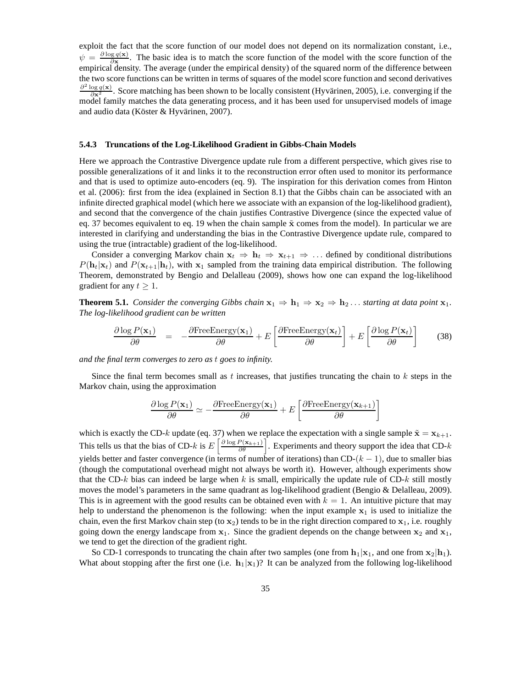exploit the fact that the score function of our model does not depend on its normalization constant, i.e.,  $\psi = \frac{\partial \log q(\mathbf{x})}{\partial \mathbf{x}}$  $\frac{g q(x)}{\partial x}$ . The basic idea is to match the score function of the model with the score function of the empirical density. The average (under the empirical density) of the squared norm of the difference between the two score functions can be written in terms of squares of the model score function and second derivatives  $\frac{\partial^2 \log q(x)}{\partial x^2}$ . Score matching has been shown to be locally consistent (Hyvärinen, 2005), i.e. converging if the model family matches the data generating process, and it has been used for unsupervised models of image and audio data (Köster & Hyvärinen, 2007).

#### **5.4.3 Truncations of the Log-Likelihood Gradient in Gibbs-Chain Models**

Here we approach the Contrastive Divergence update rule from a different perspective, which gives rise to possible generalizations of it and links it to the reconstruction error often used to monitor its performance and that is used to optimize auto-encoders (eq. 9). The inspiration for this derivation comes from Hinton et al. (2006): first from the idea (explained in Section 8.1) that the Gibbs chain can be associated with an infinite directed graphical model (which here we associate with an expansion of the log-likelihood gradient), and second that the convergence of the chain justifies Contrastive Divergence (since the expected value of eq. 37 becomes equivalent to eq. 19 when the chain sample  $\tilde{\mathbf{x}}$  comes from the model). In particular we are interested in clarifying and understanding the bias in the Contrastive Divergence update rule, compared to using the true (intractable) gradient of the log-likelihood.

Consider a converging Markov chain  $x_t \Rightarrow h_t \Rightarrow x_{t+1} \Rightarrow \dots$  defined by conditional distributions  $P(\mathbf{h}_t|\mathbf{x}_t)$  and  $P(\mathbf{x}_{t+1}|\mathbf{h}_t)$ , with  $\mathbf{x}_1$  sampled from the training data empirical distribution. The following Theorem, demonstrated by Bengio and Delalleau (2009), shows how one can expand the log-likelihood gradient for any  $t \geq 1$ .

**Theorem 5.1.** *Consider the converging Gibbs chain*  $x_1 \Rightarrow h_1 \Rightarrow x_2 \Rightarrow h_2 \dots$  *starting at data point*  $x_1$ *. The log-likelihood gradient can be written*

$$
\frac{\partial \log P(\mathbf{x}_1)}{\partial \theta} = -\frac{\partial \text{FreeEnergy}(\mathbf{x}_1)}{\partial \theta} + E\left[\frac{\partial \text{FreeEnergy}(\mathbf{x}_t)}{\partial \theta}\right] + E\left[\frac{\partial \log P(\mathbf{x}_t)}{\partial \theta}\right]
$$
(38)

*and the final term converges to zero as* t *goes to infinity.*

Since the final term becomes small as  $t$  increases, that justifies truncating the chain to  $k$  steps in the Markov chain, using the approximation

$$
\frac{\partial \log P(\mathbf{x}_1)}{\partial \theta} \simeq -\frac{\partial \text{FreeEnergy}(\mathbf{x}_1)}{\partial \theta} + E\left[\frac{\partial \text{FreeEnergy}(\mathbf{x}_{k+1})}{\partial \theta}\right]
$$

which is exactly the CD-k update (eq. 37) when we replace the expectation with a single sample  $\tilde{\mathbf{x}} = \mathbf{x}_{k+1}$ . This tells us that the bias of CD-k is  $E\left[\frac{\partial \log P(x_{k+1})}{\partial \theta}\right]$ . Experiments and theory support the idea that CD-k yields better and faster convergence (in terms of number of iterations) than  $CD-(k-1)$ , due to smaller bias (though the computational overhead might not always be worth it). However, although experiments show that the CD- $k$  bias can indeed be large when  $k$  is small, empirically the update rule of CD- $k$  still mostly moves the model's parameters in the same quadrant as log-likelihood gradient (Bengio & Delalleau, 2009). This is in agreement with the good results can be obtained even with  $k = 1$ . An intuitive picture that may help to understand the phenomenon is the following: when the input example  $x_1$  is used to initialize the chain, even the first Markov chain step (to  $x_2$ ) tends to be in the right direction compared to  $x_1$ , i.e. roughly going down the energy landscape from  $x_1$ . Since the gradient depends on the change between  $x_2$  and  $x_1$ , we tend to get the direction of the gradient right.

So CD-1 corresponds to truncating the chain after two samples (one from  $\mathbf{h}_1|\mathbf{x}_1$ , and one from  $\mathbf{x}_2|\mathbf{h}_1$ ). What about stopping after the first one (i.e.  $h_1|x_1|$ )? It can be analyzed from the following log-likelihood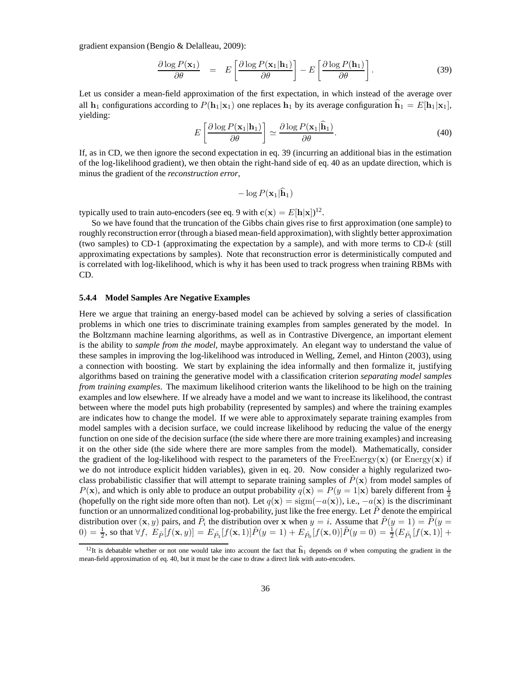gradient expansion (Bengio & Delalleau, 2009):

$$
\frac{\partial \log P(\mathbf{x}_1)}{\partial \theta} = E\left[\frac{\partial \log P(\mathbf{x}_1|\mathbf{h}_1)}{\partial \theta}\right] - E\left[\frac{\partial \log P(\mathbf{h}_1)}{\partial \theta}\right].
$$
\n(39)

Let us consider a mean-field approximation of the first expectation, in which instead of the average over all  $h_1$  configurations according to  $P(h_1|x_1)$  one replaces  $h_1$  by its average configuration  $\hat{h}_1 = E[h_1|x_1]$ , yielding:

$$
E\left[\frac{\partial \log P(\mathbf{x}_1|\mathbf{h}_1)}{\partial \theta}\right] \simeq \frac{\partial \log P(\mathbf{x}_1|\hat{\mathbf{h}}_1)}{\partial \theta}.\tag{40}
$$

If, as in CD, we then ignore the second expectation in eq. 39 (incurring an additional bias in the estimation of the log-likelihood gradient), we then obtain the right-hand side of eq. 40 as an update direction, which is minus the gradient of the *reconstruction error*,

$$
-\log P(\mathbf{x}_1|\mathbf{\hat{h}}_1)
$$

typically used to train auto-encoders (see eq. 9 with  $c(\mathbf{x}) = E[\mathbf{h}|\mathbf{x}]^{12}$ .

So we have found that the truncation of the Gibbs chain gives rise to first approximation (one sample) to roughly reconstruction error (through a biased mean-field approximation), with slightly better approximation (two samples) to CD-1 (approximating the expectation by a sample), and with more terms to  $CD-k$  (still approximating expectations by samples). Note that reconstruction error is deterministically computed and is correlated with log-likelihood, which is why it has been used to track progress when training RBMs with CD.

#### **5.4.4 Model Samples Are Negative Examples**

Here we argue that training an energy-based model can be achieved by solving a series of classification problems in which one tries to discriminate training examples from samples generated by the model. In the Boltzmann machine learning algorithms, as well as in Contrastive Divergence, an important element is the ability to *sample from the model*, maybe approximately. An elegant way to understand the value of these samples in improving the log-likelihood was introduced in Welling, Zemel, and Hinton (2003), using a connection with boosting. We start by explaining the idea informally and then formalize it, justifying algorithms based on training the generative model with a classification criterion *separating model samples from training examples*. The maximum likelihood criterion wants the likelihood to be high on the training examples and low elsewhere. If we already have a model and we want to increase its likelihood, the contrast between where the model puts high probability (represented by samples) and where the training examples are indicates how to change the model. If we were able to approximately separate training examples from model samples with a decision surface, we could increase likelihood by reducing the value of the energy function on one side of the decision surface (the side where there are more training examples) and increasing it on the other side (the side where there are more samples from the model). Mathematically, consider the gradient of the log-likelihood with respect to the parameters of the FreeEnergy(x) (or Energy(x) if we do not introduce explicit hidden variables), given in eq. 20. Now consider a highly regularized twoclass probabilistic classifier that will attempt to separate training samples of  $\hat{P}(\mathbf{x})$  from model samples of  $P(x)$ , and which is only able to produce an output probability  $q(x) = P(y = 1|x)$  barely different from  $\frac{1}{2}$ (hopefully on the right side more often than not). Let  $q(x) = \text{sigm}(-a(x))$ , i.e.,  $-a(x)$  is the discriminant function or an unnormalized conditional log-probability, just like the free energy. Let  $\dot{P}$  denote the empirical distribution over  $(x, y)$  pairs, and  $\tilde{P}_i$  the distribution over x when  $y = i$ . Assume that  $\tilde{P}(y = 1) = \tilde{P}(y = 1)$  $\tilde{P}(0) = \frac{1}{2}$ , so that  $\forall f, E_{\tilde{P}}[f(\mathbf{x}, y)] = E_{\tilde{P}_1}[f(\mathbf{x}, 1)]\tilde{P}(y = 1) + E_{\tilde{P}_0}[f(\mathbf{x}, 0)]\tilde{P}(y = 0) = \frac{1}{2}(E_{\tilde{P}_1}[f(\mathbf{x}, 1)] + E_{\tilde{P}_1}[f(\mathbf{x}, 0)]\tilde{P}(y = 0)$ 

<sup>&</sup>lt;sup>12</sup>It is debatable whether or not one would take into account the fact that  $\hat{h}_1$  depends on  $\theta$  when computing the gradient in the mean-field approximation of eq. 40, but it must be the case to draw a direct link with auto-encoders.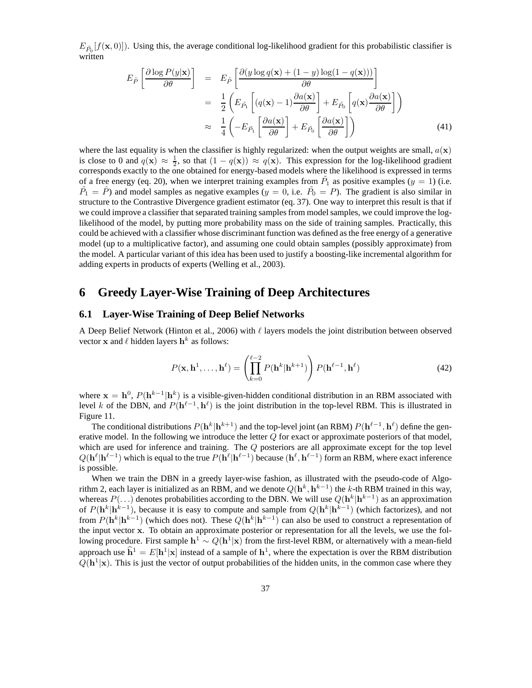$E_{\tilde{P}_0}[f(\mathbf{x},0)]$ ). Using this, the average conditional log-likelihood gradient for this probabilistic classifier is written

$$
E_{\tilde{P}}\left[\frac{\partial \log P(y|\mathbf{x})}{\partial \theta}\right] = E_{\tilde{P}}\left[\frac{\partial (y \log q(\mathbf{x}) + (1 - y) \log(1 - q(\mathbf{x})))}{\partial \theta}\right]
$$
  

$$
= \frac{1}{2}\left(E_{\tilde{P}_1}\left[(q(\mathbf{x}) - 1)\frac{\partial a(\mathbf{x})}{\partial \theta}\right] + E_{\tilde{P}_0}\left[q(\mathbf{x})\frac{\partial a(\mathbf{x})}{\partial \theta}\right]\right)
$$
  

$$
\approx \frac{1}{4}\left(-E_{\tilde{P}_1}\left[\frac{\partial a(\mathbf{x})}{\partial \theta}\right] + E_{\tilde{P}_0}\left[\frac{\partial a(\mathbf{x})}{\partial \theta}\right]\right)
$$
(41)

where the last equality is when the classifier is highly regularized: when the output weights are small,  $a(\mathbf{x})$ is close to 0 and  $q(\mathbf{x}) \approx \frac{1}{2}$ , so that  $(1 - q(\mathbf{x})) \approx q(\mathbf{x})$ . This expression for the log-likelihood gradient corresponds exactly to the one obtained for energy-based models where the likelihood is expressed in terms of a free energy (eq. 20), when we interpret training examples from  $\tilde{P}_1$  as positive examples ( $y = 1$ ) (i.e.  $\tilde{P}_1 = \hat{P}$ ) and model samples as negative examples  $(y = 0, i.e.$   $\tilde{P}_0 = P$ ). The gradient is also similar in structure to the Contrastive Divergence gradient estimator (eq. 37). One way to interpret this result is that if we could improve a classifier that separated training samples from model samples, we could improve the loglikelihood of the model, by putting more probability mass on the side of training samples. Practically, this could be achieved with a classifier whose discriminant function was defined as the free energy of a generative model (up to a multiplicative factor), and assuming one could obtain samples (possibly approximate) from the model. A particular variant of this idea has been used to justify a boosting-like incremental algorithm for adding experts in products of experts (Welling et al., 2003).

# **6 Greedy Layer-Wise Training of Deep Architectures**

### **6.1 Layer-Wise Training of Deep Belief Networks**

A Deep Belief Network (Hinton et al., 2006) with  $\ell$  layers models the joint distribution between observed vector **x** and  $\ell$  hidden layers  $h^k$  as follows:

$$
P(\mathbf{x}, \mathbf{h}^1, \dots, \mathbf{h}^\ell) = \left(\prod_{k=0}^{\ell-2} P(\mathbf{h}^k | \mathbf{h}^{k+1})\right) P(\mathbf{h}^{\ell-1}, \mathbf{h}^\ell)
$$
(42)

where  $\mathbf{x} = \mathbf{h}^0$ ,  $P(\mathbf{h}^{k-1}|\mathbf{h}^k)$  is a visible-given-hidden conditional distribution in an RBM associated with level k of the DBN, and  $P(h^{\ell-1}, h^{\ell})$  is the joint distribution in the top-level RBM. This is illustrated in Figure 11.

The conditional distributions  $P(h^k | h^{k+1})$  and the top-level joint (an RBM)  $P(h^{\ell-1}, h^{\ell})$  define the generative model. In the following we introduce the letter  $Q$  for exact or approximate posteriors of that model, which are used for inference and training. The Q posteriors are all approximate except for the top level  $Q(h^{\ell} | h^{\ell-1})$  which is equal to the true  $P(h^{\ell} | h^{\ell-1})$  because  $(h^{\ell}, h^{\ell-1})$  form an RBM, where exact inference is possible.

When we train the DBN in a greedy layer-wise fashion, as illustrated with the pseudo-code of Algorithm 2, each layer is initialized as an RBM, and we denote  $Q(\mathbf{h}^k, \mathbf{h}^{k-1})$  the k-th RBM trained in this way, whereas  $P(\ldots)$  denotes probabilities according to the DBN. We will use  $Q(\mathbf{h}^k|\mathbf{h}^{k-1})$  as an approximation of  $P(\mathbf{h}^k|\mathbf{h}^{k-1})$ , because it is easy to compute and sample from  $Q(\mathbf{h}^k|\mathbf{h}^{k-1})$  (which factorizes), and not from  $P(\mathbf{h}^k|\mathbf{h}^{k-1})$  (which does not). These  $Q(\mathbf{h}^k|\mathbf{h}^{k-1})$  can also be used to construct a representation of the input vector x. To obtain an approximate posterior or representation for all the levels, we use the following procedure. First sample  $h^1 \sim Q(h^1|x)$  from the first-level RBM, or alternatively with a mean-field approach use  $\hat{\mathbf{h}}^1 = E[\mathbf{h}^1 | \mathbf{x}]$  instead of a sample of  $\mathbf{h}^1$ , where the expectation is over the RBM distribution  $Q(\mathbf{h}^1|\mathbf{x})$ . This is just the vector of output probabilities of the hidden units, in the common case where they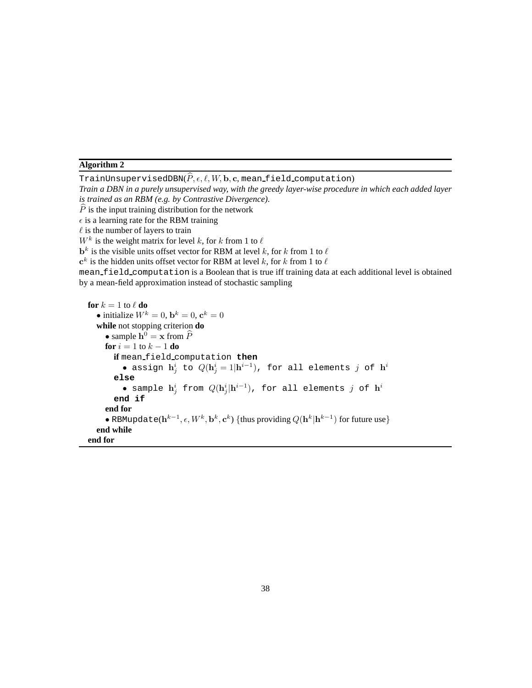#### **Algorithm 2**

TrainUnsupervisedDBN $(\widehat{P}, \epsilon, \ell, W, \mathbf{b}, \mathbf{c}, \mathbf{mean\_field\_computation})$ *Train a DBN in a purely unsupervised way, with the greedy layer-wise procedure in which each added layer is trained as an RBM (e.g. by Contrastive Divergence).*

 $\widehat{P}$  is the input training distribution for the network

 $\epsilon$  is a learning rate for the RBM training

 $\ell$  is the number of layers to train

 $W^k$  is the weight matrix for level k, for k from 1 to  $\ell$ 

 $\mathbf{b}^k$  is the visible units offset vector for RBM at level k, for k from 1 to  $\ell$ 

 $\mathbf{c}^k$  is the hidden units offset vector for RBM at level k, for k from 1 to  $\ell$ 

mean field computation is a Boolean that is true iff training data at each additional level is obtained by a mean-field approximation instead of stochastic sampling

```
for k = 1 to \ell do
   • initialize W^k = 0, \mathbf{b}^k = 0, \mathbf{c}^k = 0while not stopping criterion do
       • sample h^0 = x from \widehat{P}for i = 1 to k - 1 do
         if mean field computation then
             \bullet assign \mathbf{h}^i_j to Q(\mathbf{h}^i_j = 1 | \mathbf{h}^{i-1}), for all elements j of \mathbf{h}^ielse
             \bullet sample \mathbf{h}^i_j from Q(\mathbf{h}^i_j|\mathbf{h}^{i-1}), for all elements j of \mathbf{h}^iend if
      end for
       • RBMupdate(\mathbf{h}^{k-1}, \epsilon, W^k, \mathbf{b}^k, \mathbf{c}^k) {thus providing Q(\mathbf{h}^k | \mathbf{h}^{k-1}) for future use}
   end while
end for
```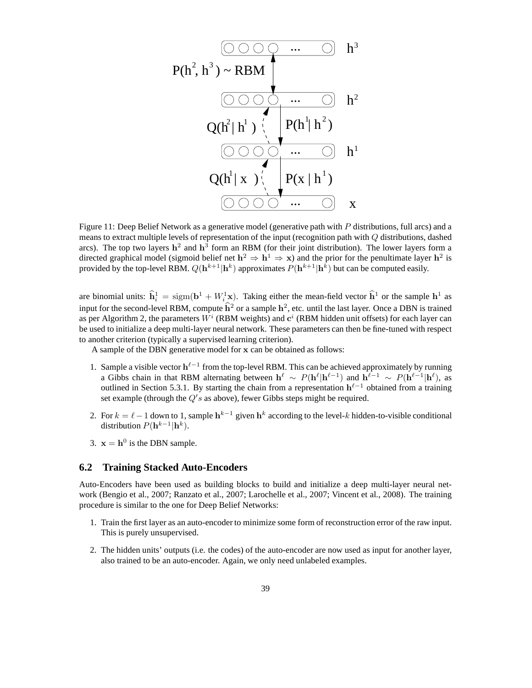

Figure 11: Deep Belief Network as a generative model (generative path with P distributions, full arcs) and a means to extract multiple levels of representation of the input (recognition path with Q distributions, dashed arcs). The top two layers  $h^2$  and  $h^3$  form an RBM (for their joint distribution). The lower layers form a directed graphical model (sigmoid belief net  $h^2 \Rightarrow h^1 \Rightarrow x$ ) and the prior for the penultimate layer  $h^2$  is provided by the top-level RBM.  $Q(\mathbf{h}^{k+1}|\mathbf{h}^k)$  approximates  $P(\mathbf{h}^{k+1}|\mathbf{h}^k)$  but can be computed easily.

are binomial units:  $\hat{\mathbf{h}}_i^1 = \text{sigm}(\mathbf{b}^1 + W_i^1 \mathbf{x})$ . Taking either the mean-field vector  $\hat{\mathbf{h}}^1$  or the sample  $\mathbf{h}^1$  as input for the second-level RBM, compute  $\hat{h}^2$  or a sample  $h^2$ , etc. until the last layer. Once a DBN is trained as per Algorithm 2, the parameters  $W^i$  (RBM weights) and  $c^i$  (RBM hidden unit offsets) for each layer can be used to initialize a deep multi-layer neural network. These parameters can then be fine-tuned with respect to another criterion (typically a supervised learning criterion).

A sample of the DBN generative model for x can be obtained as follows:

- 1. Sample a visible vector  $h^{\ell-1}$  from the top-level RBM. This can be achieved approximately by running a Gibbs chain in that RBM alternating between  $h^{\ell} \sim P(h^{\ell} | h^{\ell-1})$  and  $h^{\ell-1} \sim P(h^{\ell-1} | h^{\ell})$ , as outlined in Section 5.3.1. By starting the chain from a representation  $h^{\ell-1}$  obtained from a training set example (through the  $Q's$  as above), fewer Gibbs steps might be required.
- 2. For  $k = \ell 1$  down to 1, sample  $h^{k-1}$  given  $h^k$  according to the level-k hidden-to-visible conditional distribution  $P(\mathbf{h}^{k-1}|\mathbf{h}^{k}).$
- 3.  $x = h^0$  is the DBN sample.

## **6.2 Training Stacked Auto-Encoders**

Auto-Encoders have been used as building blocks to build and initialize a deep multi-layer neural network (Bengio et al., 2007; Ranzato et al., 2007; Larochelle et al., 2007; Vincent et al., 2008). The training procedure is similar to the one for Deep Belief Networks:

- 1. Train the first layer as an auto-encoder to minimize some form of reconstruction error of the raw input. This is purely unsupervised.
- 2. The hidden units' outputs (i.e. the codes) of the auto-encoder are now used as input for another layer, also trained to be an auto-encoder. Again, we only need unlabeled examples.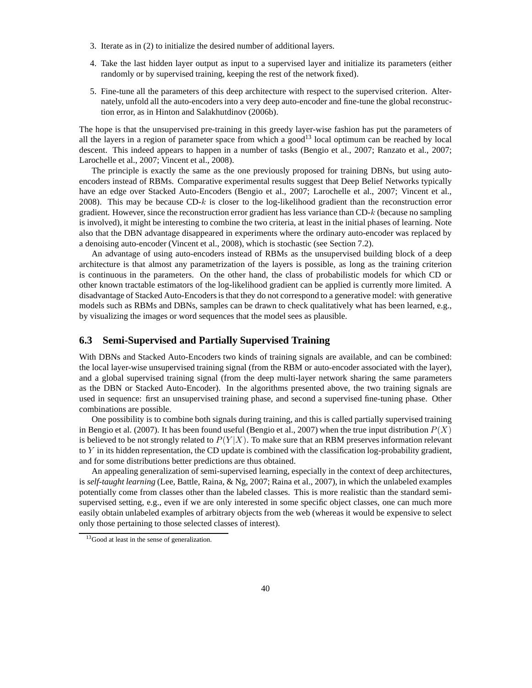- 3. Iterate as in (2) to initialize the desired number of additional layers.
- 4. Take the last hidden layer output as input to a supervised layer and initialize its parameters (either randomly or by supervised training, keeping the rest of the network fixed).
- 5. Fine-tune all the parameters of this deep architecture with respect to the supervised criterion. Alternately, unfold all the auto-encoders into a very deep auto-encoder and fine-tune the global reconstruction error, as in Hinton and Salakhutdinov (2006b).

The hope is that the unsupervised pre-training in this greedy layer-wise fashion has put the parameters of all the layers in a region of parameter space from which a good<sup>13</sup> local optimum can be reached by local descent. This indeed appears to happen in a number of tasks (Bengio et al., 2007; Ranzato et al., 2007; Larochelle et al., 2007; Vincent et al., 2008).

The principle is exactly the same as the one previously proposed for training DBNs, but using autoencoders instead of RBMs. Comparative experimental results suggest that Deep Belief Networks typically have an edge over Stacked Auto-Encoders (Bengio et al., 2007; Larochelle et al., 2007; Vincent et al., 2008). This may be because CD- $k$  is closer to the log-likelihood gradient than the reconstruction error gradient. However, since the reconstruction error gradient has less variance than  $CD-k$  (because no sampling is involved), it might be interesting to combine the two criteria, at least in the initial phases of learning. Note also that the DBN advantage disappeared in experiments where the ordinary auto-encoder was replaced by a denoising auto-encoder (Vincent et al., 2008), which is stochastic (see Section 7.2).

An advantage of using auto-encoders instead of RBMs as the unsupervised building block of a deep architecture is that almost any parametrization of the layers is possible, as long as the training criterion is continuous in the parameters. On the other hand, the class of probabilistic models for which CD or other known tractable estimators of the log-likelihood gradient can be applied is currently more limited. A disadvantage of Stacked Auto-Encoders is that they do not correspond to a generative model: with generative models such as RBMs and DBNs, samples can be drawn to check qualitatively what has been learned, e.g., by visualizing the images or word sequences that the model sees as plausible.

## **6.3 Semi-Supervised and Partially Supervised Training**

With DBNs and Stacked Auto-Encoders two kinds of training signals are available, and can be combined: the local layer-wise unsupervised training signal (from the RBM or auto-encoder associated with the layer), and a global supervised training signal (from the deep multi-layer network sharing the same parameters as the DBN or Stacked Auto-Encoder). In the algorithms presented above, the two training signals are used in sequence: first an unsupervised training phase, and second a supervised fine-tuning phase. Other combinations are possible.

One possibility is to combine both signals during training, and this is called partially supervised training in Bengio et al. (2007). It has been found useful (Bengio et al., 2007) when the true input distribution  $P(X)$ is believed to be not strongly related to  $P(Y|X)$ . To make sure that an RBM preserves information relevant to  $Y$  in its hidden representation, the CD update is combined with the classification log-probability gradient, and for some distributions better predictions are thus obtained.

An appealing generalization of semi-supervised learning, especially in the context of deep architectures, is *self-taught learning* (Lee, Battle, Raina, & Ng, 2007; Raina et al., 2007), in which the unlabeled examples potentially come from classes other than the labeled classes. This is more realistic than the standard semisupervised setting, e.g., even if we are only interested in some specific object classes, one can much more easily obtain unlabeled examples of arbitrary objects from the web (whereas it would be expensive to select only those pertaining to those selected classes of interest).

<sup>&</sup>lt;sup>13</sup>Good at least in the sense of generalization.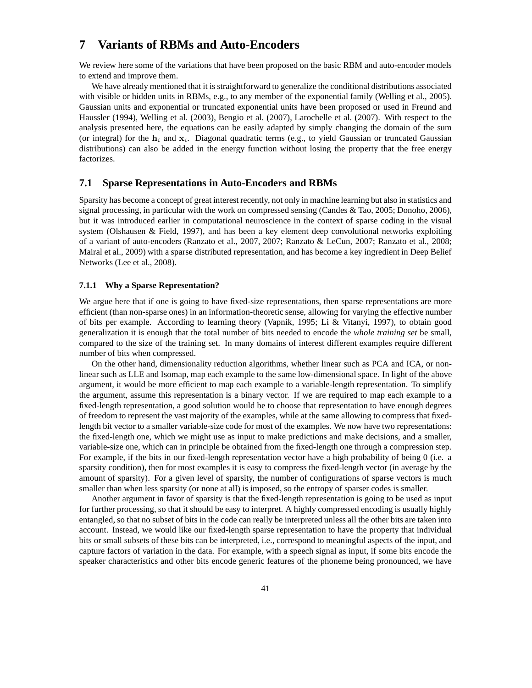# **7 Variants of RBMs and Auto-Encoders**

We review here some of the variations that have been proposed on the basic RBM and auto-encoder models to extend and improve them.

We have already mentioned that it is straightforward to generalize the conditional distributions associated with visible or hidden units in RBMs, e.g., to any member of the exponential family (Welling et al., 2005). Gaussian units and exponential or truncated exponential units have been proposed or used in Freund and Haussler (1994), Welling et al. (2003), Bengio et al. (2007), Larochelle et al. (2007). With respect to the analysis presented here, the equations can be easily adapted by simply changing the domain of the sum (or integral) for the  $h_i$  and  $x_i$ . Diagonal quadratic terms (e.g., to yield Gaussian or truncated Gaussian distributions) can also be added in the energy function without losing the property that the free energy factorizes.

## **7.1 Sparse Representations in Auto-Encoders and RBMs**

Sparsity has become a concept of great interest recently, not only in machine learning but also in statistics and signal processing, in particular with the work on compressed sensing (Candes & Tao, 2005; Donoho, 2006), but it was introduced earlier in computational neuroscience in the context of sparse coding in the visual system (Olshausen & Field, 1997), and has been a key element deep convolutional networks exploiting of a variant of auto-encoders (Ranzato et al., 2007, 2007; Ranzato & LeCun, 2007; Ranzato et al., 2008; Mairal et al., 2009) with a sparse distributed representation, and has become a key ingredient in Deep Belief Networks (Lee et al., 2008).

### **7.1.1 Why a Sparse Representation?**

We argue here that if one is going to have fixed-size representations, then sparse representations are more efficient (than non-sparse ones) in an information-theoretic sense, allowing for varying the effective number of bits per example. According to learning theory (Vapnik, 1995; Li & Vitanyi, 1997), to obtain good generalization it is enough that the total number of bits needed to encode the *whole training set* be small, compared to the size of the training set. In many domains of interest different examples require different number of bits when compressed.

On the other hand, dimensionality reduction algorithms, whether linear such as PCA and ICA, or nonlinear such as LLE and Isomap, map each example to the same low-dimensional space. In light of the above argument, it would be more efficient to map each example to a variable-length representation. To simplify the argument, assume this representation is a binary vector. If we are required to map each example to a fixed-length representation, a good solution would be to choose that representation to have enough degrees of freedom to represent the vast majority of the examples, while at the same allowing to compress that fixedlength bit vector to a smaller variable-size code for most of the examples. We now have two representations: the fixed-length one, which we might use as input to make predictions and make decisions, and a smaller, variable-size one, which can in principle be obtained from the fixed-length one through a compression step. For example, if the bits in our fixed-length representation vector have a high probability of being 0 (i.e. a sparsity condition), then for most examples it is easy to compress the fixed-length vector (in average by the amount of sparsity). For a given level of sparsity, the number of configurations of sparse vectors is much smaller than when less sparsity (or none at all) is imposed, so the entropy of sparser codes is smaller.

Another argument in favor of sparsity is that the fixed-length representation is going to be used as input for further processing, so that it should be easy to interpret. A highly compressed encoding is usually highly entangled, so that no subset of bits in the code can really be interpreted unless all the other bits are taken into account. Instead, we would like our fixed-length sparse representation to have the property that individual bits or small subsets of these bits can be interpreted, i.e., correspond to meaningful aspects of the input, and capture factors of variation in the data. For example, with a speech signal as input, if some bits encode the speaker characteristics and other bits encode generic features of the phoneme being pronounced, we have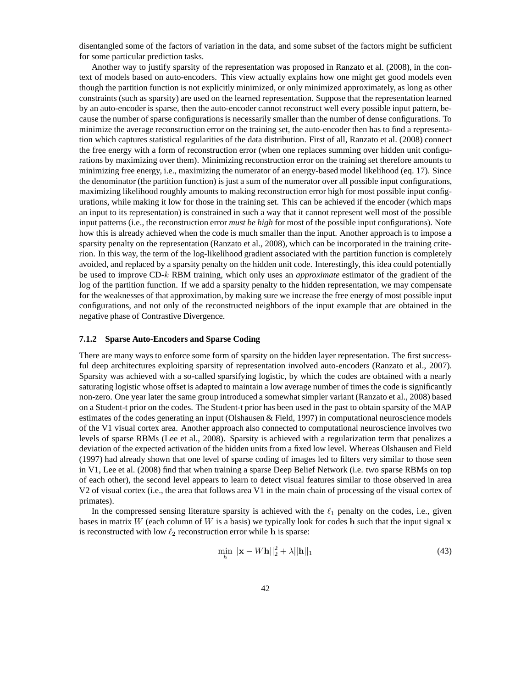disentangled some of the factors of variation in the data, and some subset of the factors might be sufficient for some particular prediction tasks.

Another way to justify sparsity of the representation was proposed in Ranzato et al. (2008), in the context of models based on auto-encoders. This view actually explains how one might get good models even though the partition function is not explicitly minimized, or only minimized approximately, as long as other constraints (such as sparsity) are used on the learned representation. Suppose that the representation learned by an auto-encoder is sparse, then the auto-encoder cannot reconstruct well every possible input pattern, because the number of sparse configurations is necessarily smaller than the number of dense configurations. To minimize the average reconstruction error on the training set, the auto-encoder then has to find a representation which captures statistical regularities of the data distribution. First of all, Ranzato et al. (2008) connect the free energy with a form of reconstruction error (when one replaces summing over hidden unit configurations by maximizing over them). Minimizing reconstruction error on the training set therefore amounts to minimizing free energy, i.e., maximizing the numerator of an energy-based model likelihood (eq. 17). Since the denominator (the partition function) is just a sum of the numerator over all possible input configurations, maximizing likelihood roughly amounts to making reconstruction error high for most possible input configurations, while making it low for those in the training set. This can be achieved if the encoder (which maps an input to its representation) is constrained in such a way that it cannot represent well most of the possible input patterns (i.e., the reconstruction error *must be high* for most of the possible input configurations). Note how this is already achieved when the code is much smaller than the input. Another approach is to impose a sparsity penalty on the representation (Ranzato et al., 2008), which can be incorporated in the training criterion. In this way, the term of the log-likelihood gradient associated with the partition function is completely avoided, and replaced by a sparsity penalty on the hidden unit code. Interestingly, this idea could potentially be used to improve CD-k RBM training, which only uses an *approximate* estimator of the gradient of the log of the partition function. If we add a sparsity penalty to the hidden representation, we may compensate for the weaknesses of that approximation, by making sure we increase the free energy of most possible input configurations, and not only of the reconstructed neighbors of the input example that are obtained in the negative phase of Contrastive Divergence.

#### **7.1.2 Sparse Auto-Encoders and Sparse Coding**

There are many ways to enforce some form of sparsity on the hidden layer representation. The first successful deep architectures exploiting sparsity of representation involved auto-encoders (Ranzato et al., 2007). Sparsity was achieved with a so-called sparsifying logistic, by which the codes are obtained with a nearly saturating logistic whose offset is adapted to maintain a low average number of times the code is significantly non-zero. One year later the same group introduced a somewhat simpler variant (Ranzato et al., 2008) based on a Student-t prior on the codes. The Student-t prior has been used in the past to obtain sparsity of the MAP estimates of the codes generating an input (Olshausen & Field, 1997) in computational neuroscience models of the V1 visual cortex area. Another approach also connected to computational neuroscience involves two levels of sparse RBMs (Lee et al., 2008). Sparsity is achieved with a regularization term that penalizes a deviation of the expected activation of the hidden units from a fixed low level. Whereas Olshausen and Field (1997) had already shown that one level of sparse coding of images led to filters very similar to those seen in V1, Lee et al. (2008) find that when training a sparse Deep Belief Network (i.e. two sparse RBMs on top of each other), the second level appears to learn to detect visual features similar to those observed in area V2 of visual cortex (i.e., the area that follows area V1 in the main chain of processing of the visual cortex of primates).

In the compressed sensing literature sparsity is achieved with the  $\ell_1$  penalty on the codes, i.e., given bases in matrix W (each column of W is a basis) we typically look for codes h such that the input signal  $x$ is reconstructed with low  $\ell_2$  reconstruction error while h is sparse:

$$
\min_{h} ||\mathbf{x} - W\mathbf{h}||_2^2 + \lambda ||\mathbf{h}||_1
$$
\n(43)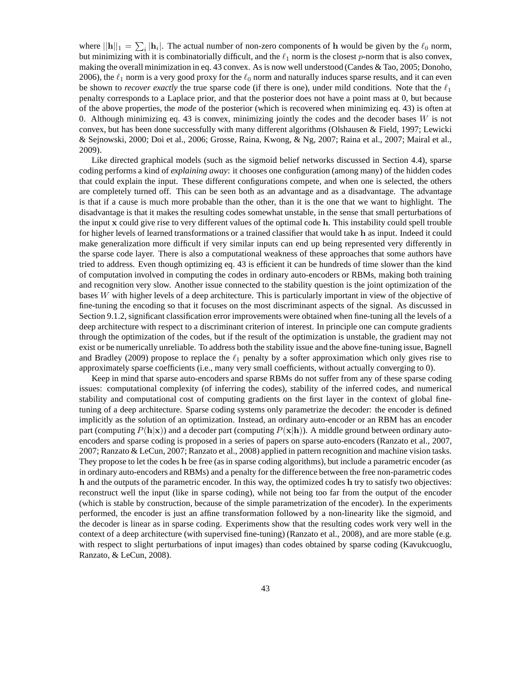where  $||\mathbf{h}||_1 = \sum_i |\mathbf{h}_i|$ . The actual number of non-zero components of h would be given by the  $\ell_0$  norm, but minimizing with it is combinatorially difficult, and the  $\ell_1$  norm is the closest p-norm that is also convex, making the overall minimization in eq. 43 convex. As is now well understood (Candes & Tao, 2005; Donoho, 2006), the  $\ell_1$  norm is a very good proxy for the  $\ell_0$  norm and naturally induces sparse results, and it can even be shown to *recover exactly* the true sparse code (if there is one), under mild conditions. Note that the  $\ell_1$ penalty corresponds to a Laplace prior, and that the posterior does not have a point mass at 0, but because of the above properties, the *mode* of the posterior (which is recovered when minimizing eq. 43) is often at 0. Although minimizing eq. 43 is convex, minimizing jointly the codes and the decoder bases  $W$  is not convex, but has been done successfully with many different algorithms (Olshausen & Field, 1997; Lewicki & Sejnowski, 2000; Doi et al., 2006; Grosse, Raina, Kwong, & Ng, 2007; Raina et al., 2007; Mairal et al., 2009).

Like directed graphical models (such as the sigmoid belief networks discussed in Section 4.4), sparse coding performs a kind of *explaining away*: it chooses one configuration (among many) of the hidden codes that could explain the input. These different configurations compete, and when one is selected, the others are completely turned off. This can be seen both as an advantage and as a disadvantage. The advantage is that if a cause is much more probable than the other, than it is the one that we want to highlight. The disadvantage is that it makes the resulting codes somewhat unstable, in the sense that small perturbations of the input x could give rise to very different values of the optimal code h. This instability could spell trouble for higher levels of learned transformations or a trained classifier that would take h as input. Indeed it could make generalization more difficult if very similar inputs can end up being represented very differently in the sparse code layer. There is also a computational weakness of these approaches that some authors have tried to address. Even though optimizing eq. 43 is efficient it can be hundreds of time slower than the kind of computation involved in computing the codes in ordinary auto-encoders or RBMs, making both training and recognition very slow. Another issue connected to the stability question is the joint optimization of the bases W with higher levels of a deep architecture. This is particularly important in view of the objective of fine-tuning the encoding so that it focuses on the most discriminant aspects of the signal. As discussed in Section 9.1.2, significant classification error improvements were obtained when fine-tuning all the levels of a deep architecture with respect to a discriminant criterion of interest. In principle one can compute gradients through the optimization of the codes, but if the result of the optimization is unstable, the gradient may not exist or be numerically unreliable. To address both the stability issue and the above fine-tuning issue, Bagnell and Bradley (2009) propose to replace the  $\ell_1$  penalty by a softer approximation which only gives rise to approximately sparse coefficients (i.e., many very small coefficients, without actually converging to 0).

Keep in mind that sparse auto-encoders and sparse RBMs do not suffer from any of these sparse coding issues: computational complexity (of inferring the codes), stability of the inferred codes, and numerical stability and computational cost of computing gradients on the first layer in the context of global finetuning of a deep architecture. Sparse coding systems only parametrize the decoder: the encoder is defined implicitly as the solution of an optimization. Instead, an ordinary auto-encoder or an RBM has an encoder part (computing  $P(h|x)$ ) and a decoder part (computing  $P(x|h)$ ). A middle ground between ordinary autoencoders and sparse coding is proposed in a series of papers on sparse auto-encoders (Ranzato et al., 2007, 2007; Ranzato & LeCun, 2007; Ranzato et al., 2008) applied in pattern recognition and machine vision tasks. They propose to let the codes h be free (as in sparse coding algorithms), but include a parametric encoder (as in ordinary auto-encoders and RBMs) and a penalty for the difference between the free non-parametric codes h and the outputs of the parametric encoder. In this way, the optimized codes h try to satisfy two objectives: reconstruct well the input (like in sparse coding), while not being too far from the output of the encoder (which is stable by construction, because of the simple parametrization of the encoder). In the experiments performed, the encoder is just an affine transformation followed by a non-linearity like the sigmoid, and the decoder is linear as in sparse coding. Experiments show that the resulting codes work very well in the context of a deep architecture (with supervised fine-tuning) (Ranzato et al., 2008), and are more stable (e.g. with respect to slight perturbations of input images) than codes obtained by sparse coding (Kavukcuoglu, Ranzato, & LeCun, 2008).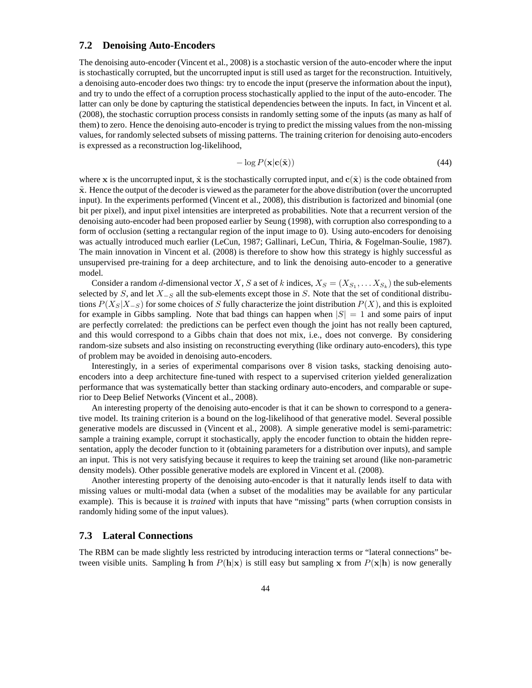## **7.2 Denoising Auto-Encoders**

The denoising auto-encoder (Vincent et al., 2008) is a stochastic version of the auto-encoder where the input is stochastically corrupted, but the uncorrupted input is still used as target for the reconstruction. Intuitively, a denoising auto-encoder does two things: try to encode the input (preserve the information about the input), and try to undo the effect of a corruption process stochastically applied to the input of the auto-encoder. The latter can only be done by capturing the statistical dependencies between the inputs. In fact, in Vincent et al. (2008), the stochastic corruption process consists in randomly setting some of the inputs (as many as half of them) to zero. Hence the denoising auto-encoder is trying to predict the missing values from the non-missing values, for randomly selected subsets of missing patterns. The training criterion for denoising auto-encoders is expressed as a reconstruction log-likelihood,

$$
-\log P(\mathbf{x}|c(\tilde{\mathbf{x}}))\tag{44}
$$

where x is the uncorrupted input,  $\tilde{x}$  is the stochastically corrupted input, and  $c(\tilde{x})$  is the code obtained from  $\tilde{x}$ . Hence the output of the decoder is viewed as the parameter for the above distribution (over the uncorrupted input). In the experiments performed (Vincent et al., 2008), this distribution is factorized and binomial (one bit per pixel), and input pixel intensities are interpreted as probabilities. Note that a recurrent version of the denoising auto-encoder had been proposed earlier by Seung (1998), with corruption also corresponding to a form of occlusion (setting a rectangular region of the input image to 0). Using auto-encoders for denoising was actually introduced much earlier (LeCun, 1987; Gallinari, LeCun, Thiria, & Fogelman-Soulie, 1987). The main innovation in Vincent et al. (2008) is therefore to show how this strategy is highly successful as unsupervised pre-training for a deep architecture, and to link the denoising auto-encoder to a generative model.

Consider a random *d*-dimensional vector X, S a set of k indices,  $X_S = (X_{S_1}, \dots, X_{S_k})$  the sub-elements selected by S, and let  $X_{-S}$  all the sub-elements except those in S. Note that the set of conditional distributions  $P(X_S|X_{-S})$  for some choices of S fully characterize the joint distribution  $P(X)$ , and this is exploited for example in Gibbs sampling. Note that bad things can happen when  $|S| = 1$  and some pairs of input are perfectly correlated: the predictions can be perfect even though the joint has not really been captured, and this would correspond to a Gibbs chain that does not mix, i.e., does not converge. By considering random-size subsets and also insisting on reconstructing everything (like ordinary auto-encoders), this type of problem may be avoided in denoising auto-encoders.

Interestingly, in a series of experimental comparisons over 8 vision tasks, stacking denoising autoencoders into a deep architecture fine-tuned with respect to a supervised criterion yielded generalization performance that was systematically better than stacking ordinary auto-encoders, and comparable or superior to Deep Belief Networks (Vincent et al., 2008).

An interesting property of the denoising auto-encoder is that it can be shown to correspond to a generative model. Its training criterion is a bound on the log-likelihood of that generative model. Several possible generative models are discussed in (Vincent et al., 2008). A simple generative model is semi-parametric: sample a training example, corrupt it stochastically, apply the encoder function to obtain the hidden representation, apply the decoder function to it (obtaining parameters for a distribution over inputs), and sample an input. This is not very satisfying because it requires to keep the training set around (like non-parametric density models). Other possible generative models are explored in Vincent et al. (2008).

Another interesting property of the denoising auto-encoder is that it naturally lends itself to data with missing values or multi-modal data (when a subset of the modalities may be available for any particular example). This is because it is *trained* with inputs that have "missing" parts (when corruption consists in randomly hiding some of the input values).

## **7.3 Lateral Connections**

The RBM can be made slightly less restricted by introducing interaction terms or "lateral connections" between visible units. Sampling h from  $P(h|x)$  is still easy but sampling x from  $P(x|h)$  is now generally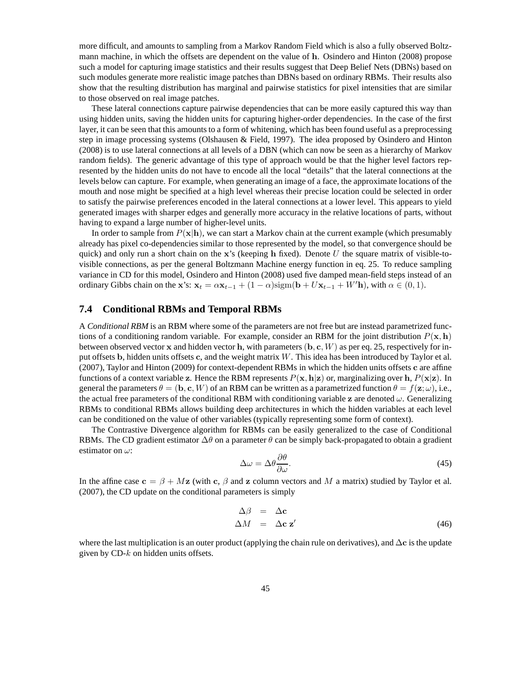more difficult, and amounts to sampling from a Markov Random Field which is also a fully observed Boltzmann machine, in which the offsets are dependent on the value of h. Osindero and Hinton (2008) propose such a model for capturing image statistics and their results suggest that Deep Belief Nets (DBNs) based on such modules generate more realistic image patches than DBNs based on ordinary RBMs. Their results also show that the resulting distribution has marginal and pairwise statistics for pixel intensities that are similar to those observed on real image patches.

These lateral connections capture pairwise dependencies that can be more easily captured this way than using hidden units, saving the hidden units for capturing higher-order dependencies. In the case of the first layer, it can be seen that this amounts to a form of whitening, which has been found useful as a preprocessing step in image processing systems (Olshausen & Field, 1997). The idea proposed by Osindero and Hinton (2008) is to use lateral connections at all levels of a DBN (which can now be seen as a hierarchy of Markov random fields). The generic advantage of this type of approach would be that the higher level factors represented by the hidden units do not have to encode all the local "details" that the lateral connections at the levels below can capture. For example, when generating an image of a face, the approximate locations of the mouth and nose might be specified at a high level whereas their precise location could be selected in order to satisfy the pairwise preferences encoded in the lateral connections at a lower level. This appears to yield generated images with sharper edges and generally more accuracy in the relative locations of parts, without having to expand a large number of higher-level units.

In order to sample from  $P(x|h)$ , we can start a Markov chain at the current example (which presumably already has pixel co-dependencies similar to those represented by the model, so that convergence should be quick) and only run a short chain on the x's (keeping h fixed). Denote U the square matrix of visible-tovisible connections, as per the general Boltzmann Machine energy function in eq. 25. To reduce sampling variance in CD for this model, Osindero and Hinton (2008) used five damped mean-field steps instead of an ordinary Gibbs chain on the x's:  $x_t = \alpha x_{t-1} + (1 - \alpha)$ sigm(b + U $x_{t-1} + W'$ h), with  $\alpha \in (0, 1)$ .

## **7.4 Conditional RBMs and Temporal RBMs**

A *Conditional RBM* is an RBM where some of the parameters are not free but are instead parametrized functions of a conditioning random variable. For example, consider an RBM for the joint distribution  $P(x, h)$ between observed vector x and hidden vector h, with parameters  $(b, c, W)$  as per eq. 25, respectively for input offsets b, hidden units offsets c, and the weight matrix W. This idea has been introduced by Taylor et al. (2007), Taylor and Hinton (2009) for context-dependent RBMs in which the hidden units offsets c are affine functions of a context variable z. Hence the RBM represents  $P(x, h|z)$  or, marginalizing over h,  $P(x|z)$ . In general the parameters  $\theta = (\mathbf{b}, \mathbf{c}, W)$  of an RBM can be written as a parametrized function  $\theta = f(\mathbf{z}; \omega)$ , i.e., the actual free parameters of the conditional RBM with conditioning variable z are denoted  $\omega$ . Generalizing RBMs to conditional RBMs allows building deep architectures in which the hidden variables at each level can be conditioned on the value of other variables (typically representing some form of context).

The Contrastive Divergence algorithm for RBMs can be easily generalized to the case of Conditional RBMs. The CD gradient estimator  $\Delta\theta$  on a parameter  $\theta$  can be simply back-propagated to obtain a gradient estimator on  $\omega$ :

$$
\Delta \omega = \Delta \theta \frac{\partial \theta}{\partial \omega}.
$$
\n(45)

In the affine case  $c = \beta + Mz$  (with c,  $\beta$  and z column vectors and M a matrix) studied by Taylor et al. (2007), the CD update on the conditional parameters is simply

$$
\Delta \beta = \Delta c \n\Delta M = \Delta c z' \tag{46}
$$

where the last multiplication is an outer product (applying the chain rule on derivatives), and  $\Delta c$  is the update given by  $CD-k$  on hidden units offsets.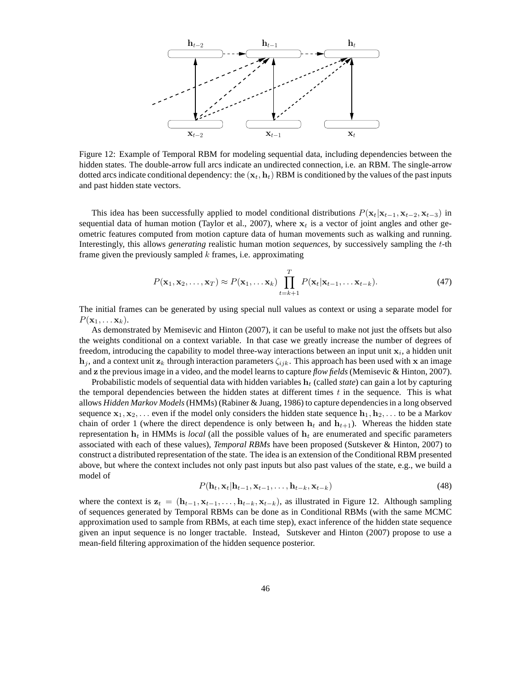

Figure 12: Example of Temporal RBM for modeling sequential data, including dependencies between the hidden states. The double-arrow full arcs indicate an undirected connection, i.e. an RBM. The single-arrow dotted arcs indicate conditional dependency: the  $(x_t, h_t)$  RBM is conditioned by the values of the past inputs and past hidden state vectors.

This idea has been successfully applied to model conditional distributions  $P(\mathbf{x}_t|\mathbf{x}_{t-1}, \mathbf{x}_{t-2}, \mathbf{x}_{t-3})$  in sequential data of human motion (Taylor et al., 2007), where  $x_t$  is a vector of joint angles and other geometric features computed from motion capture data of human movements such as walking and running. Interestingly, this allows *generating* realistic human motion *sequences*, by successively sampling the t-th frame given the previously sampled  $k$  frames, i.e. approximating

$$
P(\mathbf{x}_1, \mathbf{x}_2, \dots, \mathbf{x}_T) \approx P(\mathbf{x}_1, \dots, \mathbf{x}_k) \prod_{t=k+1}^T P(\mathbf{x}_t | \mathbf{x}_{t-1}, \dots, \mathbf{x}_{t-k}).
$$
\n(47)

The initial frames can be generated by using special null values as context or using a separate model for  $P(\mathbf{x}_1, \dots \mathbf{x}_k).$ 

As demonstrated by Memisevic and Hinton (2007), it can be useful to make not just the offsets but also the weights conditional on a context variable. In that case we greatly increase the number of degrees of freedom, introducing the capability to model three-way interactions between an input unit  $x_i$ , a hidden unit  $h_j$ , and a context unit  $z_k$  through interaction parameters  $\zeta_{ijk}$ . This approach has been used with x an image and z the previous image in a video, and the model learns to capture *flow fields* (Memisevic & Hinton, 2007).

Probabilistic models of sequential data with hidden variables  $h_t$  (called *state*) can gain a lot by capturing the temporal dependencies between the hidden states at different times  $t$  in the sequence. This is what allows *Hidden Markov Models*(HMMs) (Rabiner & Juang, 1986) to capture dependencies in a long observed sequence  $x_1, x_2, \ldots$  even if the model only considers the hidden state sequence  $h_1, h_2, \ldots$  to be a Markov chain of order 1 (where the direct dependence is only between  $h_t$  and  $h_{t+1}$ ). Whereas the hidden state representation  $h_t$  in HMMs is *local* (all the possible values of  $h_t$  are enumerated and specific parameters associated with each of these values), *Temporal RBMs* have been proposed (Sutskever & Hinton, 2007) to construct a distributed representation of the state. The idea is an extension of the Conditional RBM presented above, but where the context includes not only past inputs but also past values of the state, e.g., we build a model of

$$
P(\mathbf{h}_t, \mathbf{x}_t | \mathbf{h}_{t-1}, \mathbf{x}_{t-1}, \dots, \mathbf{h}_{t-k}, \mathbf{x}_{t-k})
$$
\n
$$
(48)
$$

where the context is  $z_t = (h_{t-1}, x_{t-1}, \ldots, h_{t-k}, x_{t-k})$ , as illustrated in Figure 12. Although sampling of sequences generated by Temporal RBMs can be done as in Conditional RBMs (with the same MCMC approximation used to sample from RBMs, at each time step), exact inference of the hidden state sequence given an input sequence is no longer tractable. Instead, Sutskever and Hinton (2007) propose to use a mean-field filtering approximation of the hidden sequence posterior.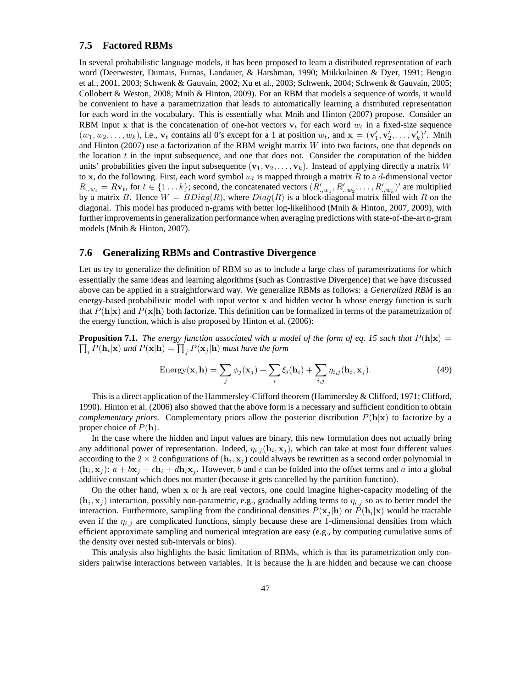## **7.5 Factored RBMs**

In several probabilistic language models, it has been proposed to learn a distributed representation of each word (Deerwester, Dumais, Furnas, Landauer, & Harshman, 1990; Miikkulainen & Dyer, 1991; Bengio et al., 2001, 2003; Schwenk & Gauvain, 2002; Xu et al., 2003; Schwenk, 2004; Schwenk & Gauvain, 2005; Collobert & Weston, 2008; Mnih & Hinton, 2009). For an RBM that models a sequence of words, it would be convenient to have a parametrization that leads to automatically learning a distributed representation for each word in the vocabulary. This is essentially what Mnih and Hinton (2007) propose. Consider an RBM input x that is the concatenation of one-hot vectors  $v_t$  for each word  $w_t$  in a fixed-size sequence  $(w_1, w_2, \ldots, w_k)$ , i.e.,  $\mathbf{v}_t$  contains all 0's except for a 1 at position  $w_t$ , and  $\mathbf{x} = (\mathbf{v}'_1, \mathbf{v}'_2, \ldots, \mathbf{v}'_k)'$ . Mnih and Hinton (2007) use a factorization of the RBM weight matrix  $W$  into two factors, one that depends on the location  $t$  in the input subsequence, and one that does not. Consider the computation of the hidden units' probabilities given the input subsequence  $(\mathbf{v}_1, \mathbf{v}_2, \dots, \mathbf{v}_k)$ . Instead of applying directly a matrix W to x, do the following. First, each word symbol  $w_t$  is mapped through a matrix R to a d-dimensional vector  $R_{.,w_t} = Rv_t$ , for  $t \in \{1...k\}$ ; second, the concatenated vectors  $(R'_{.,w_1}, R'_{.,w_2}, \ldots, R'_{.,w_k})'$  are multiplied by a matrix B. Hence  $W = BDiag(R)$ , where  $Diag(R)$  is a block-diagonal matrix filled with R on the diagonal. This model has produced n-grams with better log-likelihood (Mnih & Hinton, 2007, 2009), with further improvements in generalization performance when averaging predictions with state-of-the-art n-gram models (Mnih & Hinton, 2007).

## **7.6 Generalizing RBMs and Contrastive Divergence**

Let us try to generalize the definition of RBM so as to include a large class of parametrizations for which essentially the same ideas and learning algorithms (such as Contrastive Divergence) that we have discussed above can be applied in a straightforward way. We generalize RBMs as follows: a *Generalized RBM* is an energy-based probabilistic model with input vector x and hidden vector h whose energy function is such that  $P(h|x)$  and  $P(x|h)$  both factorize. This definition can be formalized in terms of the parametrization of the energy function, which is also proposed by Hinton et al. (2006):

**Proposition 7.1.** The energy function associated with a model of the form of eq. 15 such that  $P(\mathbf{h}|\mathbf{x}) =$  $\prod_i \overline{P}(\mathbf{h}_i|\mathbf{x})$  and  $P(\mathbf{x}|\mathbf{h})=\overline{\prod}_j P(\mathbf{x}_j|\mathbf{h})$  must have the form

Energy(
$$
\mathbf{x}, \mathbf{h}
$$
) =  $\sum_{j} \phi_j(\mathbf{x}_j) + \sum_{i} \xi_i(\mathbf{h}_i) + \sum_{i,j} \eta_{i,j}(\mathbf{h}_i, \mathbf{x}_j).$  (49)

This is a direct application of the Hammersley-Clifford theorem (Hammersley & Clifford, 1971; Clifford, 1990). Hinton et al. (2006) also showed that the above form is a necessary and sufficient condition to obtain *complementary priors.* Complementary priors allow the posterior distribution  $P(h|x)$  to factorize by a proper choice of  $P(\bf{h})$ .

In the case where the hidden and input values are binary, this new formulation does not actually bring any additional power of representation. Indeed,  $\eta_{i,j}(\mathbf{h}_i, \mathbf{x}_j)$ , which can take at most four different values according to the 2  $\times$  2 configurations of  $(h_i, x_j)$  could always be rewritten as a second order polynomial in  $(h_i, \mathbf{x}_j): a + b\mathbf{x}_j + ch_i + dh_i\mathbf{x}_j$ . However, b and c can be folded into the offset terms and a into a global additive constant which does not matter (because it gets cancelled by the partition function).

On the other hand, when x or h are real vectors, one could imagine higher-capacity modeling of the  $(h_i, x_j)$  interaction, possibly non-parametric, e.g., gradually adding terms to  $\eta_{i,j}$  so as to better model the interaction. Furthermore, sampling from the conditional densities  $P(\mathbf{x}_j | \mathbf{h})$  or  $P(\mathbf{h}_i | \mathbf{x})$  would be tractable even if the  $\eta_{i,j}$  are complicated functions, simply because these are 1-dimensional densities from which efficient approximate sampling and numerical integration are easy (e.g., by computing cumulative sums of the density over nested sub-intervals or bins).

This analysis also highlights the basic limitation of RBMs, which is that its parametrization only considers pairwise interactions between variables. It is because the h are hidden and because we can choose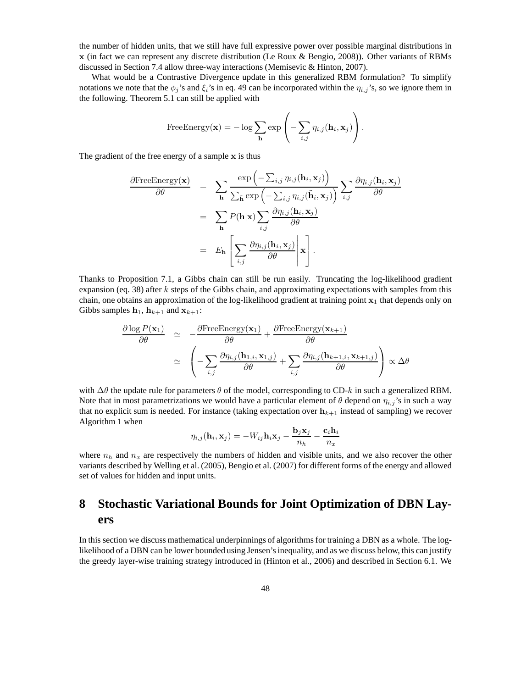the number of hidden units, that we still have full expressive power over possible marginal distributions in x (in fact we can represent any discrete distribution (Le Roux & Bengio, 2008)). Other variants of RBMs discussed in Section 7.4 allow three-way interactions (Memisevic & Hinton, 2007).

What would be a Contrastive Divergence update in this generalized RBM formulation? To simplify notations we note that the  $\phi_j$ 's and  $\xi_i$ 's in eq. 49 can be incorporated within the  $\eta_{i,j}$ 's, so we ignore them in the following. Theorem 5.1 can still be applied with

FreeEnergy(**x**) = 
$$
-\log \sum_{\mathbf{h}} \exp \left(-\sum_{i,j} \eta_{i,j}(\mathbf{h}_i, \mathbf{x}_j)\right)
$$
.

The gradient of the free energy of a sample x is thus

$$
\frac{\partial \text{FreeEnergy}(\mathbf{x})}{\partial \theta} = \sum_{\mathbf{h}} \frac{\exp\left(-\sum_{i,j} \eta_{i,j}(\mathbf{h}_i, \mathbf{x}_j)\right)}{\sum_{\mathbf{\tilde{h}}} \exp\left(-\sum_{i,j} \eta_{i,j}(\tilde{\mathbf{h}}_i, \mathbf{x}_j)\right)} \sum_{i,j} \frac{\partial \eta_{i,j}(\mathbf{h}_i, \mathbf{x}_j)}{\partial \theta}
$$

$$
= \sum_{\mathbf{h}} P(\mathbf{h}|\mathbf{x}) \sum_{i,j} \frac{\partial \eta_{i,j}(\mathbf{h}_i, \mathbf{x}_j)}{\partial \theta}
$$

$$
= E_{\mathbf{h}} \left[ \sum_{i,j} \frac{\partial \eta_{i,j}(\mathbf{h}_i, \mathbf{x}_j)}{\partial \theta} \middle| \mathbf{x} \right].
$$

Thanks to Proposition 7.1, a Gibbs chain can still be run easily. Truncating the log-likelihood gradient expansion (eq. 38) after  $k$  steps of the Gibbs chain, and approximating expectations with samples from this chain, one obtains an approximation of the log-likelihood gradient at training point  $x_1$  that depends only on Gibbs samples  $\mathbf{h}_1$ ,  $\mathbf{h}_{k+1}$  and  $\mathbf{x}_{k+1}$ :

$$
\frac{\partial \log P(\mathbf{x}_1)}{\partial \theta} \simeq -\frac{\partial \text{FreeEnergy}(\mathbf{x}_1)}{\partial \theta} + \frac{\partial \text{FreeEnergy}(\mathbf{x}_{k+1})}{\partial \theta} \simeq \left( -\sum_{i,j} \frac{\partial \eta_{i,j}(\mathbf{h}_{1,i}, \mathbf{x}_{1,j})}{\partial \theta} + \sum_{i,j} \frac{\partial \eta_{i,j}(\mathbf{h}_{k+1,i}, \mathbf{x}_{k+1,j})}{\partial \theta} \right) \propto \Delta \theta
$$

with  $\Delta\theta$  the update rule for parameters  $\theta$  of the model, corresponding to CD-k in such a generalized RBM. Note that in most parametrizations we would have a particular element of  $\theta$  depend on  $\eta_{i,j}$ 's in such a way that no explicit sum is needed. For instance (taking expectation over  $h_{k+1}$  instead of sampling) we recover Algorithm 1 when

$$
\eta_{i,j}(\mathbf{h}_i, \mathbf{x}_j) = -W_{ij}\mathbf{h}_i\mathbf{x}_j - \frac{\mathbf{b}_j\mathbf{x}_j}{n_h} - \frac{\mathbf{c}_i\mathbf{h}_i}{n_x}
$$

where  $n_h$  and  $n_x$  are respectively the numbers of hidden and visible units, and we also recover the other variants described by Welling et al. (2005), Bengio et al. (2007) for different forms of the energy and allowed set of values for hidden and input units.

# **8 Stochastic Variational Bounds for Joint Optimization of DBN Layers**

In this section we discuss mathematical underpinnings of algorithms for training a DBN as a whole. The loglikelihood of a DBN can be lower bounded using Jensen's inequality, and as we discuss below, this can justify the greedy layer-wise training strategy introduced in (Hinton et al., 2006) and described in Section 6.1. We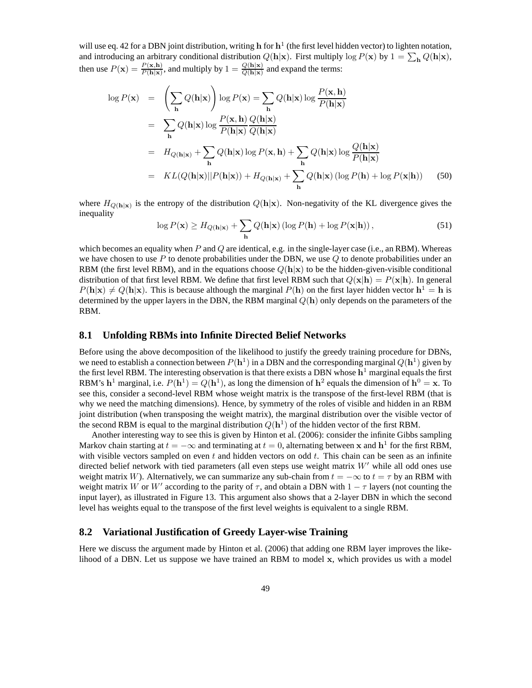will use eq. 42 for a DBN joint distribution, writing h for  $h^1$  (the first level hidden vector) to lighten notation, and introducing an arbitrary conditional distribution  $Q(\bf{h}|\bf{x})$ . First multiply  $\log P(\bf{x})$  by  $1 = \sum_{\bf h} Q(\bf{h}|\bf{x})$ , then use  $P(\mathbf{x}) = \frac{P(\mathbf{x}, \mathbf{h})}{P(\mathbf{h}|\mathbf{x})}$ , and multiply by  $1 = \frac{Q(\mathbf{h}|\mathbf{x})}{Q(\mathbf{h}|\mathbf{x})}$  and expand the terms:

$$
\log P(\mathbf{x}) = \left(\sum_{\mathbf{h}} Q(\mathbf{h}|\mathbf{x})\right) \log P(\mathbf{x}) = \sum_{\mathbf{h}} Q(\mathbf{h}|\mathbf{x}) \log \frac{P(\mathbf{x}, \mathbf{h})}{P(\mathbf{h}|\mathbf{x})}
$$
  
\n
$$
= \sum_{\mathbf{h}} Q(\mathbf{h}|\mathbf{x}) \log \frac{P(\mathbf{x}, \mathbf{h})}{P(\mathbf{h}|\mathbf{x})} \frac{Q(\mathbf{h}|\mathbf{x})}{Q(\mathbf{h}|\mathbf{x})}
$$
  
\n
$$
= H_{Q(\mathbf{h}|\mathbf{x})} + \sum_{\mathbf{h}} Q(\mathbf{h}|\mathbf{x}) \log P(\mathbf{x}, \mathbf{h}) + \sum_{\mathbf{h}} Q(\mathbf{h}|\mathbf{x}) \log \frac{Q(\mathbf{h}|\mathbf{x})}{P(\mathbf{h}|\mathbf{x})}
$$
  
\n
$$
= KL(Q(\mathbf{h}|\mathbf{x})||P(\mathbf{h}|\mathbf{x})) + H_{Q(\mathbf{h}|\mathbf{x})} + \sum_{\mathbf{h}} Q(\mathbf{h}|\mathbf{x}) (\log P(\mathbf{h}) + \log P(\mathbf{x}|\mathbf{h})) \qquad (50)
$$

where  $H_{Q(h|x)}$  is the entropy of the distribution  $Q(h|x)$ . Non-negativity of the KL divergence gives the inequality

$$
\log P(\mathbf{x}) \ge H_{Q(\mathbf{h}|\mathbf{x})} + \sum_{\mathbf{h}} Q(\mathbf{h}|\mathbf{x}) \left( \log P(\mathbf{h}) + \log P(\mathbf{x}|\mathbf{h}) \right),\tag{51}
$$

which becomes an equality when  $P$  and  $Q$  are identical, e.g. in the single-layer case (i.e., an RBM). Whereas we have chosen to use P to denote probabilities under the DBN, we use  $Q$  to denote probabilities under an RBM (the first level RBM), and in the equations choose  $Q(h|x)$  to be the hidden-given-visible conditional distribution of that first level RBM. We define that first level RBM such that  $Q(x|h) = P(x|h)$ . In general  $P(h|x) \neq Q(h|x)$ . This is because although the marginal  $P(h)$  on the first layer hidden vector  $h^1 = h$  is determined by the upper layers in the DBN, the RBM marginal  $Q(h)$  only depends on the parameters of the RBM.

## **8.1 Unfolding RBMs into Infinite Directed Belief Networks**

Before using the above decomposition of the likelihood to justify the greedy training procedure for DBNs, we need to establish a connection between  $P(h^1)$  in a DBN and the corresponding marginal  $Q(h^1)$  given by the first level RBM. The interesting observation is that there exists a DBN whose  $h^1$  marginal equals the first RBM's  $h^1$  marginal, i.e.  $P(h^1) = Q(h^1)$ , as long the dimension of  $h^2$  equals the dimension of  $h^0 = x$ . To see this, consider a second-level RBM whose weight matrix is the transpose of the first-level RBM (that is why we need the matching dimensions). Hence, by symmetry of the roles of visible and hidden in an RBM joint distribution (when transposing the weight matrix), the marginal distribution over the visible vector of the second RBM is equal to the marginal distribution  $Q(\mathbf{h}^1)$  of the hidden vector of the first RBM.

Another interesting way to see this is given by Hinton et al. (2006): consider the infinite Gibbs sampling Markov chain starting at  $t = -\infty$  and terminating at  $t = 0$ , alternating between x and  $h^1$  for the first RBM, with visible vectors sampled on even t and hidden vectors on odd  $t$ . This chain can be seen as an infinite directed belief network with tied parameters (all even steps use weight matrix W′ while all odd ones use weight matrix W). Alternatively, we can summarize any sub-chain from  $t = -\infty$  to  $t = \tau$  by an RBM with weight matrix W or W' according to the parity of  $\tau$ , and obtain a DBN with  $1 - \tau$  layers (not counting the input layer), as illustrated in Figure 13. This argument also shows that a 2-layer DBN in which the second level has weights equal to the transpose of the first level weights is equivalent to a single RBM.

## **8.2 Variational Justification of Greedy Layer-wise Training**

Here we discuss the argument made by Hinton et al. (2006) that adding one RBM layer improves the likelihood of a DBN. Let us suppose we have trained an RBM to model x, which provides us with a model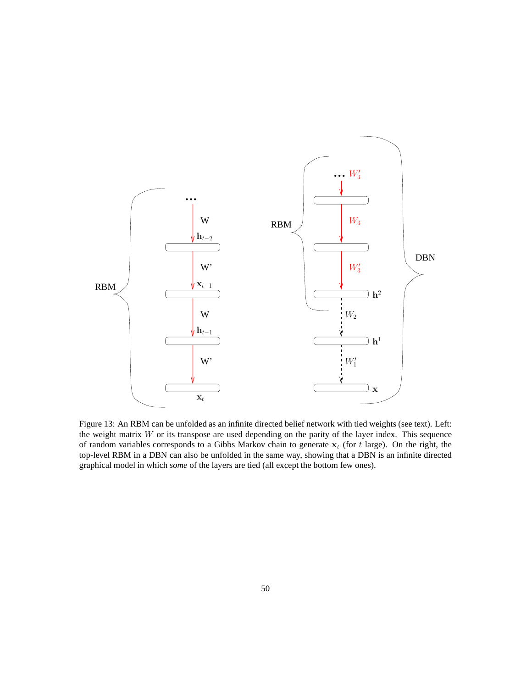

Figure 13: An RBM can be unfolded as an infinite directed belief network with tied weights (see text). Left: the weight matrix  $W$  or its transpose are used depending on the parity of the layer index. This sequence of random variables corresponds to a Gibbs Markov chain to generate  $x_t$  (for t large). On the right, the top-level RBM in a DBN can also be unfolded in the same way, showing that a DBN is an infinite directed graphical model in which *some* of the layers are tied (all except the bottom few ones).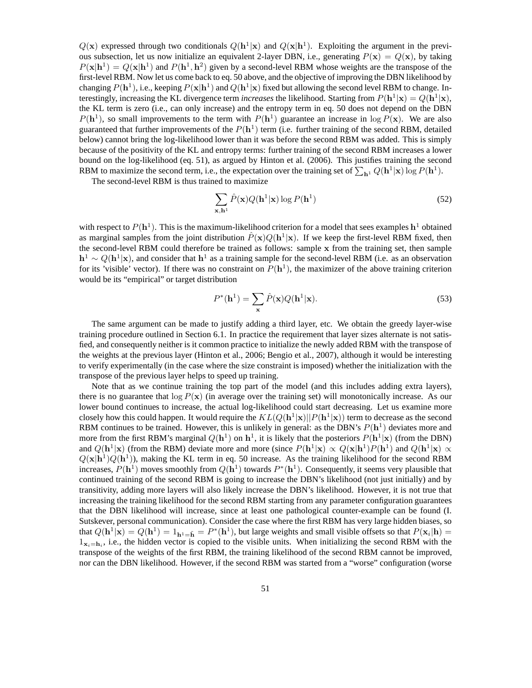$Q(\mathbf{x})$  expressed through two conditionals  $Q(\mathbf{h}^1|\mathbf{x})$  and  $Q(\mathbf{x}|\mathbf{h}^1)$ . Exploiting the argument in the previous subsection, let us now initialize an equivalent 2-layer DBN, i.e., generating  $P(x) = Q(x)$ , by taking  $P(x|h^1) = Q(x|h^1)$  and  $P(h^1, h^2)$  given by a second-level RBM whose weights are the transpose of the first-level RBM. Now let us come back to eq. 50 above, and the objective of improving the DBN likelihood by changing  $P(h^1)$ , i.e., keeping  $P(x|h^1)$  and  $Q(h^1|x)$  fixed but allowing the second level RBM to change. Interestingly, increasing the KL divergence term *increases* the likelihood. Starting from  $P(h^1|x) = Q(h^1|x)$ , the KL term is zero (i.e., can only increase) and the entropy term in eq. 50 does not depend on the DBN  $P(\mathbf{h}^1)$ , so small improvements to the term with  $P(\mathbf{h}^1)$  guarantee an increase in log  $P(\mathbf{x})$ . We are also guaranteed that further improvements of the  $P(h^1)$  term (i.e. further training of the second RBM, detailed below) cannot bring the log-likelihood lower than it was before the second RBM was added. This is simply because of the positivity of the KL and entropy terms: further training of the second RBM increases a lower bound on the log-likelihood (eq. 51), as argued by Hinton et al. (2006). This justifies training the second RBM to maximize the second term, i.e., the expectation over the training set of  $\sum_{h=1} Q(h^1|x) \log P(h^1)$ .

The second-level RBM is thus trained to maximize

$$
\sum_{\mathbf{x}, \mathbf{h}^1} \hat{P}(\mathbf{x}) Q(\mathbf{h}^1 | \mathbf{x}) \log P(\mathbf{h}^1)
$$
\n(52)

with respect to  $P(\mathbf{h}^1)$ . This is the maximum-likelihood criterion for a model that sees examples  $\mathbf{h}^1$  obtained as marginal samples from the joint distribution  $\hat{P}(\mathbf{x})Q(\mathbf{h}^1|\mathbf{x})$ . If we keep the first-level RBM fixed, then the second-level RBM could therefore be trained as follows: sample x from the training set, then sample  $h^1 \sim Q(h^1|x)$ , and consider that  $h^1$  as a training sample for the second-level RBM (i.e. as an observation for its 'visible' vector). If there was no constraint on  $P(h^1)$ , the maximizer of the above training criterion would be its "empirical" or target distribution

$$
P^*(\mathbf{h}^1) = \sum_{\mathbf{x}} \hat{P}(\mathbf{x}) Q(\mathbf{h}^1 | \mathbf{x}).
$$
 (53)

The same argument can be made to justify adding a third layer, etc. We obtain the greedy layer-wise training procedure outlined in Section 6.1. In practice the requirement that layer sizes alternate is not satisfied, and consequently neither is it common practice to initialize the newly added RBM with the transpose of the weights at the previous layer (Hinton et al., 2006; Bengio et al., 2007), although it would be interesting to verify experimentally (in the case where the size constraint is imposed) whether the initialization with the transpose of the previous layer helps to speed up training.

Note that as we continue training the top part of the model (and this includes adding extra layers), there is no guarantee that  $\log P(x)$  (in average over the training set) will monotonically increase. As our lower bound continues to increase, the actual log-likelihood could start decreasing. Let us examine more closely how this could happen. It would require the  $KL(Q(\mathbf{h}^1|\mathbf{x})||P(\mathbf{h}^1|\mathbf{x}))$  term to decrease as the second RBM continues to be trained. However, this is unlikely in general: as the DBN's  $P(\mathbf{h}^1)$  deviates more and more from the first RBM's marginal  $Q(h^1)$  on  $h^1$ , it is likely that the posteriors  $P(h^1|\mathbf{x})$  (from the DBN) and  $Q(\mathbf{h}^1|\mathbf{x})$  (from the RBM) deviate more and more (since  $P(\mathbf{h}^1|\mathbf{x}) \propto Q(\mathbf{x}|\mathbf{h}^1)P(\mathbf{h}^1)$  and  $Q(\mathbf{h}^1|\mathbf{x}) \propto$  $Q(x|h^1)Q(h^1)$ , making the KL term in eq. 50 increase. As the training likelihood for the second RBM increases,  $P(\mathbf{h}^1)$  moves smoothly from  $Q(\mathbf{h}^1)$  towards  $P^*(\mathbf{h}^1)$ . Consequently, it seems very plausible that continued training of the second RBM is going to increase the DBN's likelihood (not just initially) and by transitivity, adding more layers will also likely increase the DBN's likelihood. However, it is not true that increasing the training likelihood for the second RBM starting from any parameter configuration guarantees that the DBN likelihood will increase, since at least one pathological counter-example can be found (I. Sutskever, personal communication). Consider the case where the first RBM has very large hidden biases, so that  $Q(\mathbf{h}^1 | \mathbf{x}) = Q(\mathbf{h}^1) = 1_{\mathbf{h}^1 = \tilde{\mathbf{h}}} = P^*(\mathbf{h}^1)$ , but large weights and small visible offsets so that  $P(\mathbf{x}_i | \mathbf{h}) =$  $1_{\mathbf{x}_i=\mathbf{h}_i}$ , i.e., the hidden vector is copied to the visible units. When initializing the second RBM with the transpose of the weights of the first RBM, the training likelihood of the second RBM cannot be improved, nor can the DBN likelihood. However, if the second RBM was started from a "worse" configuration (worse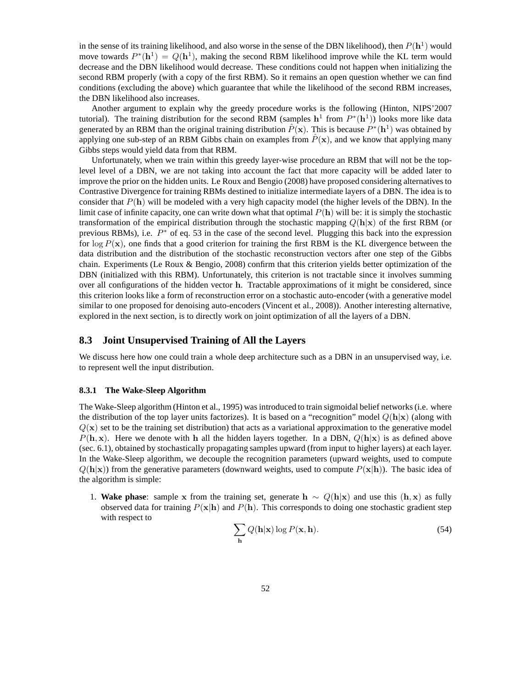in the sense of its training likelihood, and also worse in the sense of the DBN likelihood), then  $P(\mathbf{h}^1)$  would move towards  $P^*(h^1) = Q(h^1)$ , making the second RBM likelihood improve while the KL term would decrease and the DBN likelihood would decrease. These conditions could not happen when initializing the second RBM properly (with a copy of the first RBM). So it remains an open question whether we can find conditions (excluding the above) which guarantee that while the likelihood of the second RBM increases, the DBN likelihood also increases.

Another argument to explain why the greedy procedure works is the following (Hinton, NIPS'2007 tutorial). The training distribution for the second RBM (samples  $h^1$  from  $P^*(h^1)$ ) looks more like data generated by an RBM than the original training distribution  $\hat{P}(\mathbf{x})$ . This is because  $P^*(\mathbf{h}^1)$  was obtained by applying one sub-step of an RBM Gibbs chain on examples from  $\bar{P}(\mathbf{x})$ , and we know that applying many Gibbs steps would yield data from that RBM.

Unfortunately, when we train within this greedy layer-wise procedure an RBM that will not be the toplevel level of a DBN, we are not taking into account the fact that more capacity will be added later to improve the prior on the hidden units. Le Roux and Bengio (2008) have proposed considering alternatives to Contrastive Divergence for training RBMs destined to initialize intermediate layers of a DBN. The idea is to consider that  $P(h)$  will be modeled with a very high capacity model (the higher levels of the DBN). In the limit case of infinite capacity, one can write down what that optimal  $P(\mathbf{h})$  will be: it is simply the stochastic transformation of the empirical distribution through the stochastic mapping  $Q(h|x)$  of the first RBM (or previous RBMs), i.e.  $P^*$  of eq. 53 in the case of the second level. Plugging this back into the expression for  $\log P(x)$ , one finds that a good criterion for training the first RBM is the KL divergence between the data distribution and the distribution of the stochastic reconstruction vectors after one step of the Gibbs chain. Experiments (Le Roux & Bengio, 2008) confirm that this criterion yields better optimization of the DBN (initialized with this RBM). Unfortunately, this criterion is not tractable since it involves summing over all configurations of the hidden vector h. Tractable approximations of it might be considered, since this criterion looks like a form of reconstruction error on a stochastic auto-encoder (with a generative model similar to one proposed for denoising auto-encoders (Vincent et al., 2008)). Another interesting alternative, explored in the next section, is to directly work on joint optimization of all the layers of a DBN.

## **8.3 Joint Unsupervised Training of All the Layers**

We discuss here how one could train a whole deep architecture such as a DBN in an unsupervised way, i.e. to represent well the input distribution.

#### **8.3.1 The Wake-Sleep Algorithm**

The Wake-Sleep algorithm (Hinton et al., 1995) was introduced to train sigmoidal belief networks (i.e. where the distribution of the top layer units factorizes). It is based on a "recognition" model  $Q(\mathbf{h}|\mathbf{x})$  (along with  $Q(x)$  set to be the training set distribution) that acts as a variational approximation to the generative model  $P(\mathbf{h}, \mathbf{x})$ . Here we denote with h all the hidden layers together. In a DBN,  $Q(\mathbf{h}|\mathbf{x})$  is as defined above (sec. 6.1), obtained by stochastically propagating samples upward (from input to higher layers) at each layer. In the Wake-Sleep algorithm, we decouple the recognition parameters (upward weights, used to compute  $Q(h|x)$  from the generative parameters (downward weights, used to compute  $P(x|h)$ ). The basic idea of the algorithm is simple:

1. **Wake phase**: sample x from the training set, generate  $h \sim Q(h|x)$  and use this  $(h, x)$  as fully observed data for training  $P(x|h)$  and  $P(h)$ . This corresponds to doing one stochastic gradient step with respect to

$$
\sum_{\mathbf{h}} Q(\mathbf{h}|\mathbf{x}) \log P(\mathbf{x}, \mathbf{h}).
$$
 (54)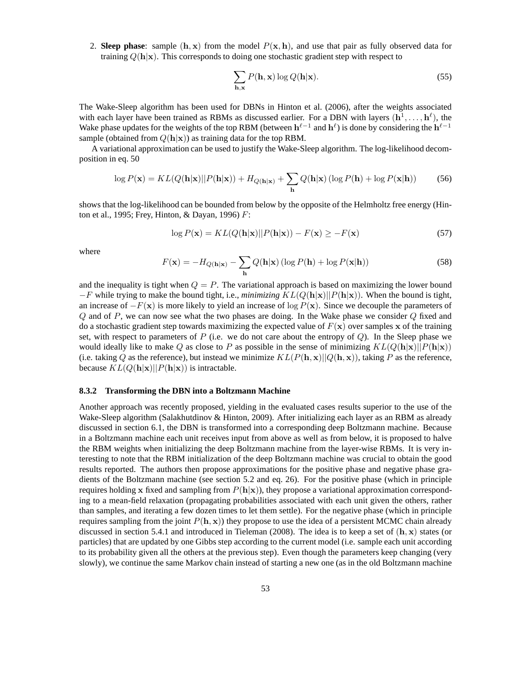2. **Sleep phase**: sample  $(h, x)$  from the model  $P(x, h)$ , and use that pair as fully observed data for training  $Q(\mathbf{h}|\mathbf{x})$ . This corresponds to doing one stochastic gradient step with respect to

$$
\sum_{\mathbf{h}, \mathbf{x}} P(\mathbf{h}, \mathbf{x}) \log Q(\mathbf{h}|\mathbf{x}).
$$
 (55)

The Wake-Sleep algorithm has been used for DBNs in Hinton et al. (2006), after the weights associated with each layer have been trained as RBMs as discussed earlier. For a DBN with layers  $(h<sup>1</sup>, ..., h<sup>\ell</sup>)$ , the Wake phase updates for the weights of the top RBM (between  $h^{\ell-1}$  and  $h^{\ell}$ ) is done by considering the  $h^{\ell-1}$ sample (obtained from  $Q(h|x)$ ) as training data for the top RBM.

A variational approximation can be used to justify the Wake-Sleep algorithm. The log-likelihood decomposition in eq. 50

$$
\log P(\mathbf{x}) = KL(Q(\mathbf{h}|\mathbf{x})||P(\mathbf{h}|\mathbf{x})) + H_{Q(\mathbf{h}|\mathbf{x})} + \sum_{\mathbf{h}} Q(\mathbf{h}|\mathbf{x}) (\log P(\mathbf{h}) + \log P(\mathbf{x}|\mathbf{h}))
$$
 (56)

shows that the log-likelihood can be bounded from below by the opposite of the Helmholtz free energy (Hinton et al., 1995; Frey, Hinton, & Dayan, 1996) F:

$$
\log P(\mathbf{x}) = KL(Q(\mathbf{h}|\mathbf{x})||P(\mathbf{h}|\mathbf{x})) - F(\mathbf{x}) \ge -F(\mathbf{x})
$$
\n(57)

where

$$
F(\mathbf{x}) = -H_{Q(\mathbf{h}|\mathbf{x})} - \sum_{\mathbf{h}} Q(\mathbf{h}|\mathbf{x}) (\log P(\mathbf{h}) + \log P(\mathbf{x}|\mathbf{h}))
$$
 (58)

and the inequality is tight when  $Q = P$ . The variational approach is based on maximizing the lower bound  $-F$  while trying to make the bound tight, i.e., *minimizing*  $KL(Q(\mathbf{h}|\mathbf{x})||P(\mathbf{h}|\mathbf{x}))$ . When the bound is tight, an increase of  $-F(x)$  is more likely to yield an increase of log  $P(x)$ . Since we decouple the parameters of  $Q$  and of  $P$ , we can now see what the two phases are doing. In the Wake phase we consider  $Q$  fixed and do a stochastic gradient step towards maximizing the expected value of  $F(\mathbf{x})$  over samples x of the training set, with respect to parameters of P (i.e. we do not care about the entropy of  $Q$ ). In the Sleep phase we would ideally like to make Q as close to P as possible in the sense of minimizing  $KL(Q(h|\mathbf{x})||P(h|\mathbf{x}))$ (i.e. taking Q as the reference), but instead we minimize  $KL(P(\mathbf{h}, \mathbf{x})||Q(\mathbf{h}, \mathbf{x}))$ , taking P as the reference, because  $KL(Q(\mathbf{h}|\mathbf{x})||P(\mathbf{h}|\mathbf{x}))$  is intractable.

#### **8.3.2 Transforming the DBN into a Boltzmann Machine**

Another approach was recently proposed, yielding in the evaluated cases results superior to the use of the Wake-Sleep algorithm (Salakhutdinov & Hinton, 2009). After initializing each layer as an RBM as already discussed in section 6.1, the DBN is transformed into a corresponding deep Boltzmann machine. Because in a Boltzmann machine each unit receives input from above as well as from below, it is proposed to halve the RBM weights when initializing the deep Boltzmann machine from the layer-wise RBMs. It is very interesting to note that the RBM initialization of the deep Boltzmann machine was crucial to obtain the good results reported. The authors then propose approximations for the positive phase and negative phase gradients of the Boltzmann machine (see section 5.2 and eq. 26). For the positive phase (which in principle requires holding x fixed and sampling from  $P(h|x)$ , they propose a variational approximation corresponding to a mean-field relaxation (propagating probabilities associated with each unit given the others, rather than samples, and iterating a few dozen times to let them settle). For the negative phase (which in principle requires sampling from the joint  $P(\mathbf{h}, \mathbf{x})$ ) they propose to use the idea of a persistent MCMC chain already discussed in section 5.4.1 and introduced in Tieleman (2008). The idea is to keep a set of  $(h, x)$  states (or particles) that are updated by one Gibbs step according to the current model (i.e. sample each unit according to its probability given all the others at the previous step). Even though the parameters keep changing (very slowly), we continue the same Markov chain instead of starting a new one (as in the old Boltzmann machine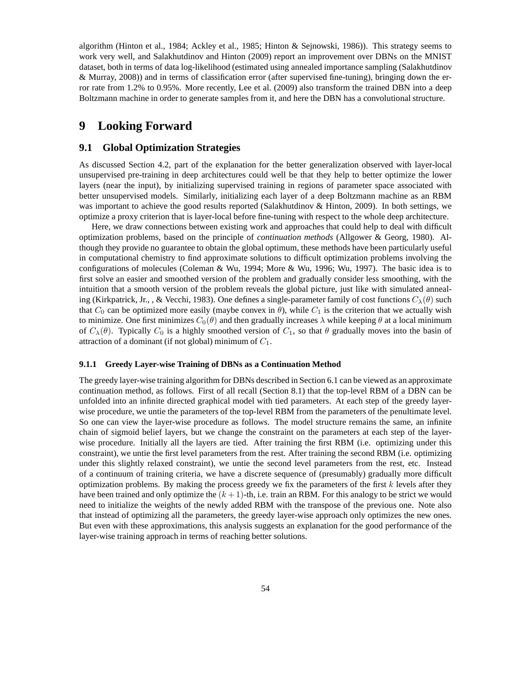algorithm (Hinton et al., 1984; Ackley et al., 1985; Hinton & Sejnowski, 1986)). This strategy seems to work very well, and Salakhutdinov and Hinton (2009) report an improvement over DBNs on the MNIST dataset, both in terms of data log-likelihood (estimated using annealed importance sampling (Salakhutdinov & Murray, 2008)) and in terms of classification error (after supervised fine-tuning), bringing down the error rate from 1.2% to 0.95%. More recently, Lee et al. (2009) also transform the trained DBN into a deep Boltzmann machine in order to generate samples from it, and here the DBN has a convolutional structure.

# **9 Looking Forward**

## **9.1 Global Optimization Strategies**

As discussed Section 4.2, part of the explanation for the better generalization observed with layer-local unsupervised pre-training in deep architectures could well be that they help to better optimize the lower layers (near the input), by initializing supervised training in regions of parameter space associated with better unsupervised models. Similarly, initializing each layer of a deep Boltzmann machine as an RBM was important to achieve the good results reported (Salakhutdinov & Hinton, 2009). In both settings, we optimize a proxy criterion that is layer-local before fine-tuning with respect to the whole deep architecture.

Here, we draw connections between existing work and approaches that could help to deal with difficult optimization problems, based on the principle of *continuation methods* (Allgower & Georg, 1980). Although they provide no guarantee to obtain the global optimum, these methods have been particularly useful in computational chemistry to find approximate solutions to difficult optimization problems involving the configurations of molecules (Coleman & Wu, 1994; More & Wu, 1996; Wu, 1997). The basic idea is to first solve an easier and smoothed version of the problem and gradually consider less smoothing, with the intuition that a smooth version of the problem reveals the global picture, just like with simulated annealing (Kirkpatrick, Jr., , & Vecchi, 1983). One defines a single-parameter family of cost functions  $C_{\lambda}(\theta)$  such that  $C_0$  can be optimized more easily (maybe convex in  $\theta$ ), while  $C_1$  is the criterion that we actually wish to minimize. One first minimizes  $C_0(\theta)$  and then gradually increases  $\lambda$  while keeping  $\theta$  at a local minimum of  $C_{\lambda}(\theta)$ . Typically  $C_0$  is a highly smoothed version of  $C_1$ , so that  $\theta$  gradually moves into the basin of attraction of a dominant (if not global) minimum of  $C_1$ .

#### **9.1.1 Greedy Layer-wise Training of DBNs as a Continuation Method**

The greedy layer-wise training algorithm for DBNs described in Section 6.1 can be viewed as an approximate continuation method, as follows. First of all recall (Section 8.1) that the top-level RBM of a DBN can be unfolded into an infinite directed graphical model with tied parameters. At each step of the greedy layerwise procedure, we untie the parameters of the top-level RBM from the parameters of the penultimate level. So one can view the layer-wise procedure as follows. The model structure remains the same, an infinite chain of sigmoid belief layers, but we change the constraint on the parameters at each step of the layerwise procedure. Initially all the layers are tied. After training the first RBM (i.e. optimizing under this constraint), we untie the first level parameters from the rest. After training the second RBM (i.e. optimizing under this slightly relaxed constraint), we untie the second level parameters from the rest, etc. Instead of a continuum of training criteria, we have a discrete sequence of (presumably) gradually more difficult optimization problems. By making the process greedy we fix the parameters of the first  $k$  levels after they have been trained and only optimize the  $(k + 1)$ -th, i.e. train an RBM. For this analogy to be strict we would need to initialize the weights of the newly added RBM with the transpose of the previous one. Note also that instead of optimizing all the parameters, the greedy layer-wise approach only optimizes the new ones. But even with these approximations, this analysis suggests an explanation for the good performance of the layer-wise training approach in terms of reaching better solutions.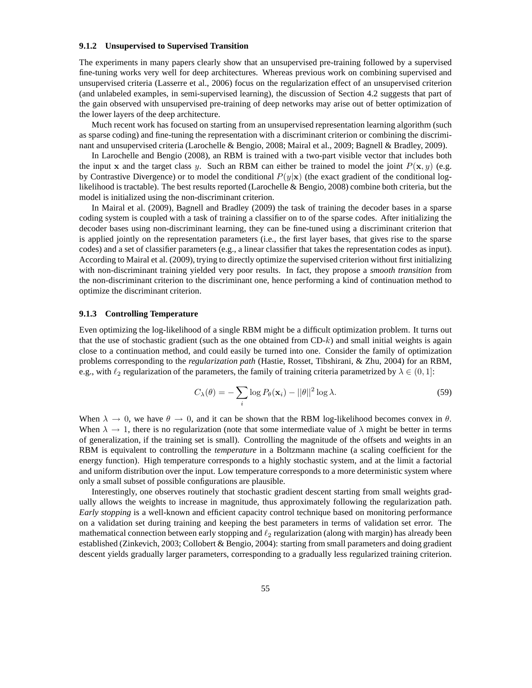#### **9.1.2 Unsupervised to Supervised Transition**

The experiments in many papers clearly show that an unsupervised pre-training followed by a supervised fine-tuning works very well for deep architectures. Whereas previous work on combining supervised and unsupervised criteria (Lasserre et al., 2006) focus on the regularization effect of an unsupervised criterion (and unlabeled examples, in semi-supervised learning), the discussion of Section 4.2 suggests that part of the gain observed with unsupervised pre-training of deep networks may arise out of better optimization of the lower layers of the deep architecture.

Much recent work has focused on starting from an unsupervised representation learning algorithm (such as sparse coding) and fine-tuning the representation with a discriminant criterion or combining the discriminant and unsupervised criteria (Larochelle & Bengio, 2008; Mairal et al., 2009; Bagnell & Bradley, 2009).

In Larochelle and Bengio (2008), an RBM is trained with a two-part visible vector that includes both the input x and the target class y. Such an RBM can either be trained to model the joint  $P(\mathbf{x}, y)$  (e.g. by Contrastive Divergence) or to model the conditional  $P(y|x)$  (the exact gradient of the conditional loglikelihood is tractable). The best results reported (Larochelle & Bengio, 2008) combine both criteria, but the model is initialized using the non-discriminant criterion.

In Mairal et al. (2009), Bagnell and Bradley (2009) the task of training the decoder bases in a sparse coding system is coupled with a task of training a classifier on to of the sparse codes. After initializing the decoder bases using non-discriminant learning, they can be fine-tuned using a discriminant criterion that is applied jointly on the representation parameters (i.e., the first layer bases, that gives rise to the sparse codes) and a set of classifier parameters (e.g., a linear classifier that takes the representation codes as input). According to Mairal et al. (2009), trying to directly optimize the supervised criterion without first initializing with non-discriminant training yielded very poor results. In fact, they propose a *smooth transition* from the non-discriminant criterion to the discriminant one, hence performing a kind of continuation method to optimize the discriminant criterion.

#### **9.1.3 Controlling Temperature**

Even optimizing the log-likelihood of a single RBM might be a difficult optimization problem. It turns out that the use of stochastic gradient (such as the one obtained from  $CD-k$ ) and small initial weights is again close to a continuation method, and could easily be turned into one. Consider the family of optimization problems corresponding to the *regularization path* (Hastie, Rosset, Tibshirani, & Zhu, 2004) for an RBM, e.g., with  $\ell_2$  regularization of the parameters, the family of training criteria parametrized by  $\lambda \in (0, 1]$ :

$$
C_{\lambda}(\theta) = -\sum_{i} \log P_{\theta}(\mathbf{x}_{i}) - ||\theta||^{2} \log \lambda.
$$
 (59)

When  $\lambda \to 0$ , we have  $\theta \to 0$ , and it can be shown that the RBM log-likelihood becomes convex in  $\theta$ . When  $\lambda \to 1$ , there is no regularization (note that some intermediate value of  $\lambda$  might be better in terms of generalization, if the training set is small). Controlling the magnitude of the offsets and weights in an RBM is equivalent to controlling the *temperature* in a Boltzmann machine (a scaling coefficient for the energy function). High temperature corresponds to a highly stochastic system, and at the limit a factorial and uniform distribution over the input. Low temperature corresponds to a more deterministic system where only a small subset of possible configurations are plausible.

Interestingly, one observes routinely that stochastic gradient descent starting from small weights gradually allows the weights to increase in magnitude, thus approximately following the regularization path. *Early stopping* is a well-known and efficient capacity control technique based on monitoring performance on a validation set during training and keeping the best parameters in terms of validation set error. The mathematical connection between early stopping and  $\ell_2$  regularization (along with margin) has already been established (Zinkevich, 2003; Collobert & Bengio, 2004): starting from small parameters and doing gradient descent yields gradually larger parameters, corresponding to a gradually less regularized training criterion.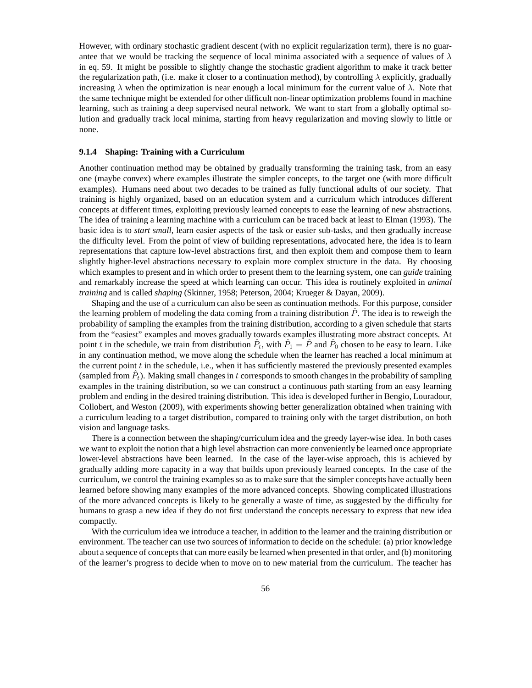However, with ordinary stochastic gradient descent (with no explicit regularization term), there is no guarantee that we would be tracking the sequence of local minima associated with a sequence of values of  $\lambda$ in eq. 59. It might be possible to slightly change the stochastic gradient algorithm to make it track better the regularization path, (i.e. make it closer to a continuation method), by controlling  $\lambda$  explicitly, gradually increasing  $\lambda$  when the optimization is near enough a local minimum for the current value of  $\lambda$ . Note that the same technique might be extended for other difficult non-linear optimization problems found in machine learning, such as training a deep supervised neural network. We want to start from a globally optimal solution and gradually track local minima, starting from heavy regularization and moving slowly to little or none.

#### **9.1.4 Shaping: Training with a Curriculum**

Another continuation method may be obtained by gradually transforming the training task, from an easy one (maybe convex) where examples illustrate the simpler concepts, to the target one (with more difficult examples). Humans need about two decades to be trained as fully functional adults of our society. That training is highly organized, based on an education system and a curriculum which introduces different concepts at different times, exploiting previously learned concepts to ease the learning of new abstractions. The idea of training a learning machine with a curriculum can be traced back at least to Elman (1993). The basic idea is to *start small*, learn easier aspects of the task or easier sub-tasks, and then gradually increase the difficulty level. From the point of view of building representations, advocated here, the idea is to learn representations that capture low-level abstractions first, and then exploit them and compose them to learn slightly higher-level abstractions necessary to explain more complex structure in the data. By choosing which examples to present and in which order to present them to the learning system, one can *guide* training and remarkably increase the speed at which learning can occur. This idea is routinely exploited in *animal training* and is called *shaping* (Skinner, 1958; Peterson, 2004; Krueger & Dayan, 2009).

Shaping and the use of a curriculum can also be seen as continuation methods. For this purpose, consider the learning problem of modeling the data coming from a training distribution P. The idea is to reweigh the probability of sampling the examples from the training distribution, according to a given schedule that starts from the "easiest" examples and moves gradually towards examples illustrating more abstract concepts. At point t in the schedule, we train from distribution  $\hat{P}_t$ , with  $\hat{P}_1 = \hat{P}$  and  $\hat{P}_0$  chosen to be easy to learn. Like in any continuation method, we move along the schedule when the learner has reached a local minimum at the current point  $t$  in the schedule, i.e., when it has sufficiently mastered the previously presented examples (sampled from  $\hat{P}_t$ ). Making small changes in t corresponds to smooth changes in the probability of sampling examples in the training distribution, so we can construct a continuous path starting from an easy learning problem and ending in the desired training distribution. This idea is developed further in Bengio, Louradour, Collobert, and Weston (2009), with experiments showing better generalization obtained when training with a curriculum leading to a target distribution, compared to training only with the target distribution, on both vision and language tasks.

There is a connection between the shaping/curriculum idea and the greedy layer-wise idea. In both cases we want to exploit the notion that a high level abstraction can more conveniently be learned once appropriate lower-level abstractions have been learned. In the case of the layer-wise approach, this is achieved by gradually adding more capacity in a way that builds upon previously learned concepts. In the case of the curriculum, we control the training examples so as to make sure that the simpler concepts have actually been learned before showing many examples of the more advanced concepts. Showing complicated illustrations of the more advanced concepts is likely to be generally a waste of time, as suggested by the difficulty for humans to grasp a new idea if they do not first understand the concepts necessary to express that new idea compactly.

With the curriculum idea we introduce a teacher, in addition to the learner and the training distribution or environment. The teacher can use two sources of information to decide on the schedule: (a) prior knowledge about a sequence of concepts that can more easily be learned when presented in that order, and (b) monitoring of the learner's progress to decide when to move on to new material from the curriculum. The teacher has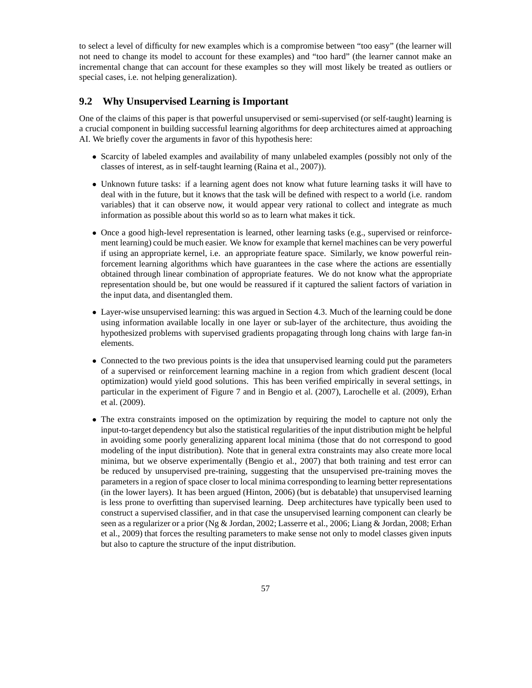to select a level of difficulty for new examples which is a compromise between "too easy" (the learner will not need to change its model to account for these examples) and "too hard" (the learner cannot make an incremental change that can account for these examples so they will most likely be treated as outliers or special cases, i.e. not helping generalization).

## **9.2 Why Unsupervised Learning is Important**

One of the claims of this paper is that powerful unsupervised or semi-supervised (or self-taught) learning is a crucial component in building successful learning algorithms for deep architectures aimed at approaching AI. We briefly cover the arguments in favor of this hypothesis here:

- Scarcity of labeled examples and availability of many unlabeled examples (possibly not only of the classes of interest, as in self-taught learning (Raina et al., 2007)).
- Unknown future tasks: if a learning agent does not know what future learning tasks it will have to deal with in the future, but it knows that the task will be defined with respect to a world (i.e. random variables) that it can observe now, it would appear very rational to collect and integrate as much information as possible about this world so as to learn what makes it tick.
- Once a good high-level representation is learned, other learning tasks (e.g., supervised or reinforcement learning) could be much easier. We know for example that kernel machines can be very powerful if using an appropriate kernel, i.e. an appropriate feature space. Similarly, we know powerful reinforcement learning algorithms which have guarantees in the case where the actions are essentially obtained through linear combination of appropriate features. We do not know what the appropriate representation should be, but one would be reassured if it captured the salient factors of variation in the input data, and disentangled them.
- Layer-wise unsupervised learning: this was argued in Section 4.3. Much of the learning could be done using information available locally in one layer or sub-layer of the architecture, thus avoiding the hypothesized problems with supervised gradients propagating through long chains with large fan-in elements.
- Connected to the two previous points is the idea that unsupervised learning could put the parameters of a supervised or reinforcement learning machine in a region from which gradient descent (local optimization) would yield good solutions. This has been verified empirically in several settings, in particular in the experiment of Figure 7 and in Bengio et al. (2007), Larochelle et al. (2009), Erhan et al. (2009).
- The extra constraints imposed on the optimization by requiring the model to capture not only the input-to-target dependency but also the statistical regularities of the input distribution might be helpful in avoiding some poorly generalizing apparent local minima (those that do not correspond to good modeling of the input distribution). Note that in general extra constraints may also create more local minima, but we observe experimentally (Bengio et al., 2007) that both training and test error can be reduced by unsupervised pre-training, suggesting that the unsupervised pre-training moves the parameters in a region of space closer to local minima corresponding to learning better representations (in the lower layers). It has been argued (Hinton, 2006) (but is debatable) that unsupervised learning is less prone to overfitting than supervised learning. Deep architectures have typically been used to construct a supervised classifier, and in that case the unsupervised learning component can clearly be seen as a regularizer or a prior (Ng & Jordan, 2002; Lasserre et al., 2006; Liang & Jordan, 2008; Erhan et al., 2009) that forces the resulting parameters to make sense not only to model classes given inputs but also to capture the structure of the input distribution.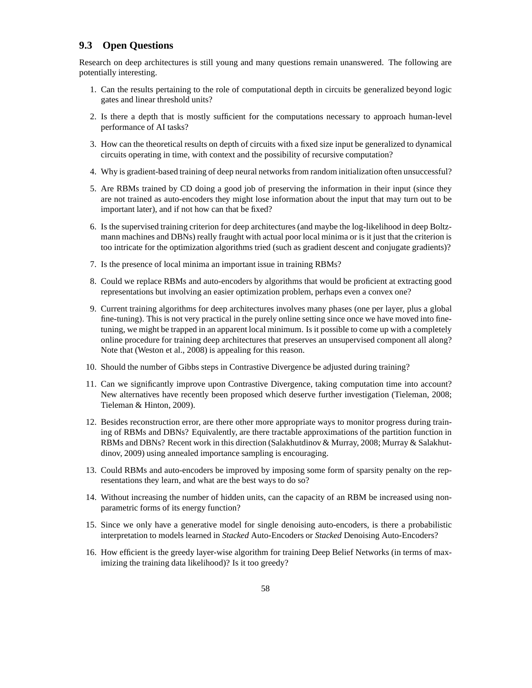## **9.3 Open Questions**

Research on deep architectures is still young and many questions remain unanswered. The following are potentially interesting.

- 1. Can the results pertaining to the role of computational depth in circuits be generalized beyond logic gates and linear threshold units?
- 2. Is there a depth that is mostly sufficient for the computations necessary to approach human-level performance of AI tasks?
- 3. How can the theoretical results on depth of circuits with a fixed size input be generalized to dynamical circuits operating in time, with context and the possibility of recursive computation?
- 4. Why is gradient-based training of deep neural networks from random initialization often unsuccessful?
- 5. Are RBMs trained by CD doing a good job of preserving the information in their input (since they are not trained as auto-encoders they might lose information about the input that may turn out to be important later), and if not how can that be fixed?
- 6. Is the supervised training criterion for deep architectures (and maybe the log-likelihood in deep Boltzmann machines and DBNs) really fraught with actual poor local minima or is it just that the criterion is too intricate for the optimization algorithms tried (such as gradient descent and conjugate gradients)?
- 7. Is the presence of local minima an important issue in training RBMs?
- 8. Could we replace RBMs and auto-encoders by algorithms that would be proficient at extracting good representations but involving an easier optimization problem, perhaps even a convex one?
- 9. Current training algorithms for deep architectures involves many phases (one per layer, plus a global fine-tuning). This is not very practical in the purely online setting since once we have moved into finetuning, we might be trapped in an apparent local minimum. Is it possible to come up with a completely online procedure for training deep architectures that preserves an unsupervised component all along? Note that (Weston et al., 2008) is appealing for this reason.
- 10. Should the number of Gibbs steps in Contrastive Divergence be adjusted during training?
- 11. Can we significantly improve upon Contrastive Divergence, taking computation time into account? New alternatives have recently been proposed which deserve further investigation (Tieleman, 2008; Tieleman & Hinton, 2009).
- 12. Besides reconstruction error, are there other more appropriate ways to monitor progress during training of RBMs and DBNs? Equivalently, are there tractable approximations of the partition function in RBMs and DBNs? Recent work in this direction (Salakhutdinov & Murray, 2008; Murray & Salakhutdinov, 2009) using annealed importance sampling is encouraging.
- 13. Could RBMs and auto-encoders be improved by imposing some form of sparsity penalty on the representations they learn, and what are the best ways to do so?
- 14. Without increasing the number of hidden units, can the capacity of an RBM be increased using nonparametric forms of its energy function?
- 15. Since we only have a generative model for single denoising auto-encoders, is there a probabilistic interpretation to models learned in *Stacked* Auto-Encoders or *Stacked* Denoising Auto-Encoders?
- 16. How efficient is the greedy layer-wise algorithm for training Deep Belief Networks (in terms of maximizing the training data likelihood)? Is it too greedy?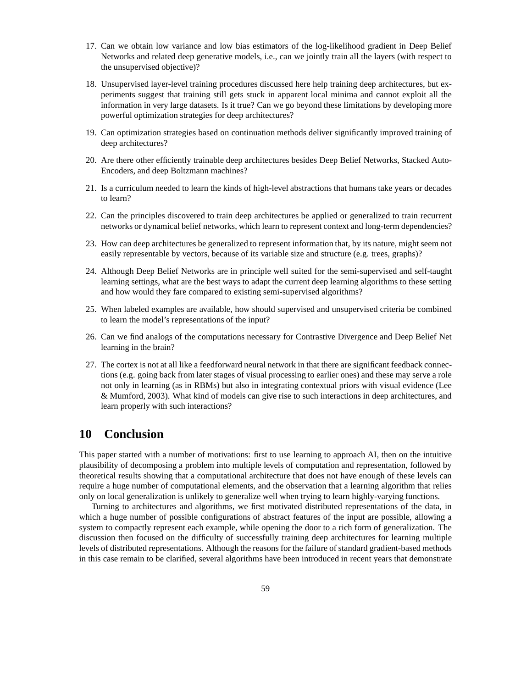- 17. Can we obtain low variance and low bias estimators of the log-likelihood gradient in Deep Belief Networks and related deep generative models, i.e., can we jointly train all the layers (with respect to the unsupervised objective)?
- 18. Unsupervised layer-level training procedures discussed here help training deep architectures, but experiments suggest that training still gets stuck in apparent local minima and cannot exploit all the information in very large datasets. Is it true? Can we go beyond these limitations by developing more powerful optimization strategies for deep architectures?
- 19. Can optimization strategies based on continuation methods deliver significantly improved training of deep architectures?
- 20. Are there other efficiently trainable deep architectures besides Deep Belief Networks, Stacked Auto-Encoders, and deep Boltzmann machines?
- 21. Is a curriculum needed to learn the kinds of high-level abstractions that humans take years or decades to learn?
- 22. Can the principles discovered to train deep architectures be applied or generalized to train recurrent networks or dynamical belief networks, which learn to represent context and long-term dependencies?
- 23. How can deep architectures be generalized to represent information that, by its nature, might seem not easily representable by vectors, because of its variable size and structure (e.g. trees, graphs)?
- 24. Although Deep Belief Networks are in principle well suited for the semi-supervised and self-taught learning settings, what are the best ways to adapt the current deep learning algorithms to these setting and how would they fare compared to existing semi-supervised algorithms?
- 25. When labeled examples are available, how should supervised and unsupervised criteria be combined to learn the model's representations of the input?
- 26. Can we find analogs of the computations necessary for Contrastive Divergence and Deep Belief Net learning in the brain?
- 27. The cortex is not at all like a feedforward neural network in that there are significant feedback connections (e.g. going back from later stages of visual processing to earlier ones) and these may serve a role not only in learning (as in RBMs) but also in integrating contextual priors with visual evidence (Lee & Mumford, 2003). What kind of models can give rise to such interactions in deep architectures, and learn properly with such interactions?

# **10 Conclusion**

This paper started with a number of motivations: first to use learning to approach AI, then on the intuitive plausibility of decomposing a problem into multiple levels of computation and representation, followed by theoretical results showing that a computational architecture that does not have enough of these levels can require a huge number of computational elements, and the observation that a learning algorithm that relies only on local generalization is unlikely to generalize well when trying to learn highly-varying functions.

Turning to architectures and algorithms, we first motivated distributed representations of the data, in which a huge number of possible configurations of abstract features of the input are possible, allowing a system to compactly represent each example, while opening the door to a rich form of generalization. The discussion then focused on the difficulty of successfully training deep architectures for learning multiple levels of distributed representations. Although the reasons for the failure of standard gradient-based methods in this case remain to be clarified, several algorithms have been introduced in recent years that demonstrate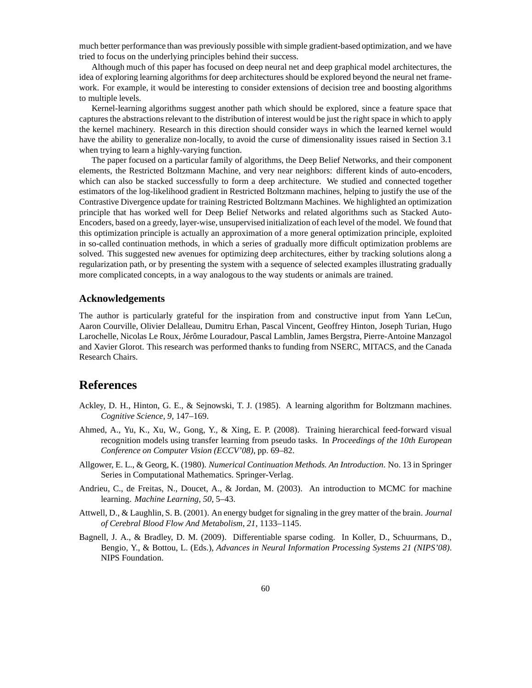much better performance than was previously possible with simple gradient-based optimization, and we have tried to focus on the underlying principles behind their success.

Although much of this paper has focused on deep neural net and deep graphical model architectures, the idea of exploring learning algorithms for deep architectures should be explored beyond the neural net framework. For example, it would be interesting to consider extensions of decision tree and boosting algorithms to multiple levels.

Kernel-learning algorithms suggest another path which should be explored, since a feature space that captures the abstractions relevant to the distribution of interest would be just the right space in which to apply the kernel machinery. Research in this direction should consider ways in which the learned kernel would have the ability to generalize non-locally, to avoid the curse of dimensionality issues raised in Section 3.1 when trying to learn a highly-varying function.

The paper focused on a particular family of algorithms, the Deep Belief Networks, and their component elements, the Restricted Boltzmann Machine, and very near neighbors: different kinds of auto-encoders, which can also be stacked successfully to form a deep architecture. We studied and connected together estimators of the log-likelihood gradient in Restricted Boltzmann machines, helping to justify the use of the Contrastive Divergence update for training Restricted Boltzmann Machines. We highlighted an optimization principle that has worked well for Deep Belief Networks and related algorithms such as Stacked Auto-Encoders, based on a greedy, layer-wise, unsupervised initialization of each level of the model. We found that this optimization principle is actually an approximation of a more general optimization principle, exploited in so-called continuation methods, in which a series of gradually more difficult optimization problems are solved. This suggested new avenues for optimizing deep architectures, either by tracking solutions along a regularization path, or by presenting the system with a sequence of selected examples illustrating gradually more complicated concepts, in a way analogous to the way students or animals are trained.

## **Acknowledgements**

The author is particularly grateful for the inspiration from and constructive input from Yann LeCun, Aaron Courville, Olivier Delalleau, Dumitru Erhan, Pascal Vincent, Geoffrey Hinton, Joseph Turian, Hugo Larochelle, Nicolas Le Roux, Jérôme Louradour, Pascal Lamblin, James Bergstra, Pierre-Antoine Manzagol and Xavier Glorot. This research was performed thanks to funding from NSERC, MITACS, and the Canada Research Chairs.

# **References**

- Ackley, D. H., Hinton, G. E., & Sejnowski, T. J. (1985). A learning algorithm for Boltzmann machines. *Cognitive Science*, *9*, 147–169.
- Ahmed, A., Yu, K., Xu, W., Gong, Y., & Xing, E. P. (2008). Training hierarchical feed-forward visual recognition models using transfer learning from pseudo tasks. In *Proceedings of the 10th European Conference on Computer Vision (ECCV'08)*, pp. 69–82.
- Allgower, E. L., & Georg, K. (1980). *Numerical Continuation Methods. An Introduction*. No. 13 in Springer Series in Computational Mathematics. Springer-Verlag.
- Andrieu, C., de Freitas, N., Doucet, A., & Jordan, M. (2003). An introduction to MCMC for machine learning. *Machine Learning*, *50*, 5–43.
- Attwell, D., & Laughlin, S. B. (2001). An energy budget for signaling in the grey matter of the brain. *Journal of Cerebral Blood Flow And Metabolism*, *21*, 1133–1145.
- Bagnell, J. A., & Bradley, D. M. (2009). Differentiable sparse coding. In Koller, D., Schuurmans, D., Bengio, Y., & Bottou, L. (Eds.), *Advances in Neural Information Processing Systems 21 (NIPS'08)*. NIPS Foundation.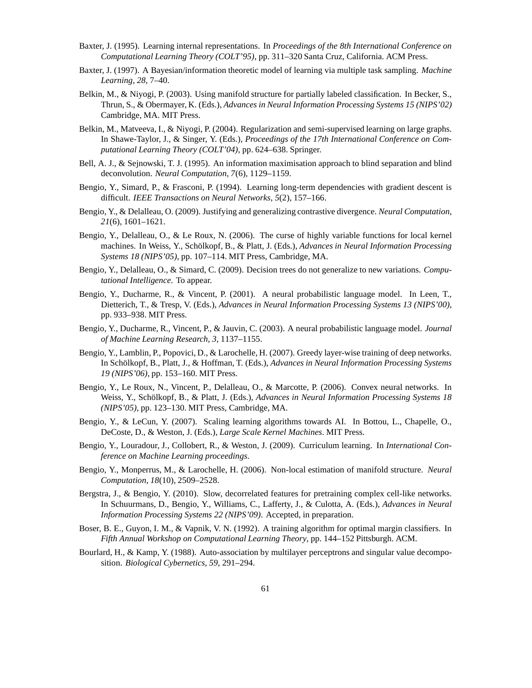- Baxter, J. (1995). Learning internal representations. In *Proceedings of the 8th International Conference on Computational Learning Theory (COLT'95)*, pp. 311–320 Santa Cruz, California. ACM Press.
- Baxter, J. (1997). A Bayesian/information theoretic model of learning via multiple task sampling. *Machine Learning*, *28*, 7–40.
- Belkin, M., & Niyogi, P. (2003). Using manifold structure for partially labeled classification. In Becker, S., Thrun, S., & Obermayer, K. (Eds.), *Advances in Neural Information Processing Systems 15 (NIPS'02)* Cambridge, MA. MIT Press.
- Belkin, M., Matveeva, I., & Niyogi, P. (2004). Regularization and semi-supervised learning on large graphs. In Shawe-Taylor, J., & Singer, Y. (Eds.), *Proceedings of the 17th International Conference on Computational Learning Theory (COLT'04)*, pp. 624–638. Springer.
- Bell, A. J., & Sejnowski, T. J. (1995). An information maximisation approach to blind separation and blind deconvolution. *Neural Computation*, *7*(6), 1129–1159.
- Bengio, Y., Simard, P., & Frasconi, P. (1994). Learning long-term dependencies with gradient descent is difficult. *IEEE Transactions on Neural Networks*, *5*(2), 157–166.
- Bengio, Y., & Delalleau, O. (2009). Justifying and generalizing contrastive divergence. *Neural Computation*, *21*(6), 1601–1621.
- Bengio, Y., Delalleau, O., & Le Roux, N. (2006). The curse of highly variable functions for local kernel machines. In Weiss, Y., Schölkopf, B., & Platt, J. (Eds.), *Advances in Neural Information Processing Systems 18 (NIPS'05)*, pp. 107–114. MIT Press, Cambridge, MA.
- Bengio, Y., Delalleau, O., & Simard, C. (2009). Decision trees do not generalize to new variations. *Computational Intelligence*. To appear.
- Bengio, Y., Ducharme, R., & Vincent, P. (2001). A neural probabilistic language model. In Leen, T., Dietterich, T., & Tresp, V. (Eds.), *Advances in Neural Information Processing Systems 13 (NIPS'00)*, pp. 933–938. MIT Press.
- Bengio, Y., Ducharme, R., Vincent, P., & Jauvin, C. (2003). A neural probabilistic language model. *Journal of Machine Learning Research*, *3*, 1137–1155.
- Bengio, Y., Lamblin, P., Popovici, D., & Larochelle, H. (2007). Greedy layer-wise training of deep networks. In Schölkopf, B., Platt, J., & Hoffman, T. (Eds.), *Advances in Neural Information Processing Systems 19 (NIPS'06)*, pp. 153–160. MIT Press.
- Bengio, Y., Le Roux, N., Vincent, P., Delalleau, O., & Marcotte, P. (2006). Convex neural networks. In Weiss, Y., Schölkopf, B., & Platt, J. (Eds.), *Advances in Neural Information Processing Systems 18 (NIPS'05)*, pp. 123–130. MIT Press, Cambridge, MA.
- Bengio, Y., & LeCun, Y. (2007). Scaling learning algorithms towards AI. In Bottou, L., Chapelle, O., DeCoste, D., & Weston, J. (Eds.), *Large Scale Kernel Machines*. MIT Press.
- Bengio, Y., Louradour, J., Collobert, R., & Weston, J. (2009). Curriculum learning. In *International Conference on Machine Learning proceedings*.
- Bengio, Y., Monperrus, M., & Larochelle, H. (2006). Non-local estimation of manifold structure. *Neural Computation*, *18*(10), 2509–2528.
- Bergstra, J., & Bengio, Y. (2010). Slow, decorrelated features for pretraining complex cell-like networks. In Schuurmans, D., Bengio, Y., Williams, C., Lafferty, J., & Culotta, A. (Eds.), *Advances in Neural Information Processing Systems 22 (NIPS'09)*. Accepted, in preparation.
- Boser, B. E., Guyon, I. M., & Vapnik, V. N. (1992). A training algorithm for optimal margin classifiers. In *Fifth Annual Workshop on Computational Learning Theory*, pp. 144–152 Pittsburgh. ACM.
- Bourlard, H., & Kamp, Y. (1988). Auto-association by multilayer perceptrons and singular value decomposition. *Biological Cybernetics*, *59*, 291–294.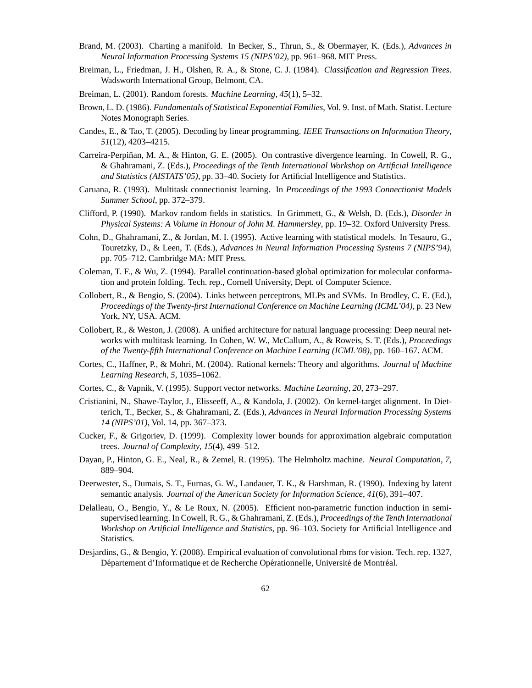- Brand, M. (2003). Charting a manifold. In Becker, S., Thrun, S., & Obermayer, K. (Eds.), *Advances in Neural Information Processing Systems 15 (NIPS'02)*, pp. 961–968. MIT Press.
- Breiman, L., Friedman, J. H., Olshen, R. A., & Stone, C. J. (1984). *Classification and Regression Trees*. Wadsworth International Group, Belmont, CA.
- Breiman, L. (2001). Random forests. *Machine Learning*, *45*(1), 5–32.
- Brown, L. D. (1986). *Fundamentals of Statistical Exponential Families*, Vol. 9. Inst. of Math. Statist. Lecture Notes Monograph Series.
- Candes, E., & Tao, T. (2005). Decoding by linear programming. *IEEE Transactions on Information Theory*, *51*(12), 4203–4215.
- Carreira-Perpiñan, M. A., & Hinton, G. E. (2005). On contrastive divergence learning. In Cowell, R. G., & Ghahramani, Z. (Eds.), *Proceedings of the Tenth International Workshop on Artificial Intelligence and Statistics (AISTATS'05)*, pp. 33–40. Society for Artificial Intelligence and Statistics.
- Caruana, R. (1993). Multitask connectionist learning. In *Proceedings of the 1993 Connectionist Models Summer School*, pp. 372–379.
- Clifford, P. (1990). Markov random fields in statistics. In Grimmett, G., & Welsh, D. (Eds.), *Disorder in Physical Systems: A Volume in Honour of John M. Hammersley*, pp. 19–32. Oxford University Press.
- Cohn, D., Ghahramani, Z., & Jordan, M. I. (1995). Active learning with statistical models. In Tesauro, G., Touretzky, D., & Leen, T. (Eds.), *Advances in Neural Information Processing Systems 7 (NIPS'94)*, pp. 705–712. Cambridge MA: MIT Press.
- Coleman, T. F., & Wu, Z. (1994). Parallel continuation-based global optimization for molecular conformation and protein folding. Tech. rep., Cornell University, Dept. of Computer Science.
- Collobert, R., & Bengio, S. (2004). Links between perceptrons, MLPs and SVMs. In Brodley, C. E. (Ed.), *Proceedings of the Twenty-first International Conference on Machine Learning (ICML'04)*, p. 23 New York, NY, USA. ACM.
- Collobert, R., & Weston, J. (2008). A unified architecture for natural language processing: Deep neural networks with multitask learning. In Cohen, W. W., McCallum, A., & Roweis, S. T. (Eds.), *Proceedings of the Twenty-fifth International Conference on Machine Learning (ICML'08)*, pp. 160–167. ACM.
- Cortes, C., Haffner, P., & Mohri, M. (2004). Rational kernels: Theory and algorithms. *Journal of Machine Learning Research*, *5*, 1035–1062.
- Cortes, C., & Vapnik, V. (1995). Support vector networks. *Machine Learning*, *20*, 273–297.
- Cristianini, N., Shawe-Taylor, J., Elisseeff, A., & Kandola, J. (2002). On kernel-target alignment. In Dietterich, T., Becker, S., & Ghahramani, Z. (Eds.), *Advances in Neural Information Processing Systems 14 (NIPS'01)*, Vol. 14, pp. 367–373.
- Cucker, F., & Grigoriev, D. (1999). Complexity lower bounds for approximation algebraic computation trees. *Journal of Complexity*, *15*(4), 499–512.
- Dayan, P., Hinton, G. E., Neal, R., & Zemel, R. (1995). The Helmholtz machine. *Neural Computation*, *7*, 889–904.
- Deerwester, S., Dumais, S. T., Furnas, G. W., Landauer, T. K., & Harshman, R. (1990). Indexing by latent semantic analysis. *Journal of the American Society for Information Science*, *41*(6), 391–407.
- Delalleau, O., Bengio, Y., & Le Roux, N. (2005). Efficient non-parametric function induction in semisupervised learning. In Cowell, R. G., & Ghahramani, Z. (Eds.), *Proceedings of the Tenth International Workshop on Artificial Intelligence and Statistics*, pp. 96–103. Society for Artificial Intelligence and Statistics.
- Desjardins, G., & Bengio, Y. (2008). Empirical evaluation of convolutional rbms for vision. Tech. rep. 1327, Département d'Informatique et de Recherche Opérationnelle, Université de Montréal.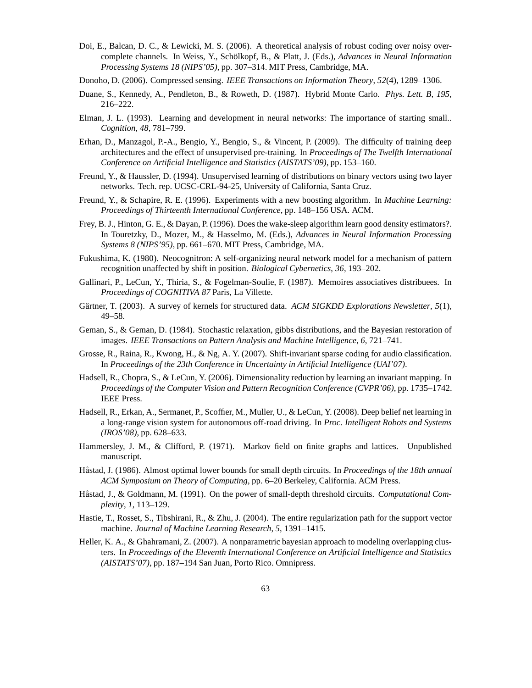- Doi, E., Balcan, D. C., & Lewicki, M. S. (2006). A theoretical analysis of robust coding over noisy overcomplete channels. In Weiss, Y., Schölkopf, B., & Platt, J. (Eds.), *Advances in Neural Information Processing Systems 18 (NIPS'05)*, pp. 307–314. MIT Press, Cambridge, MA.
- Donoho, D. (2006). Compressed sensing. *IEEE Transactions on Information Theory*, *52*(4), 1289–1306.
- Duane, S., Kennedy, A., Pendleton, B., & Roweth, D. (1987). Hybrid Monte Carlo. *Phys. Lett. B*, *195*, 216–222.
- Elman, J. L. (1993). Learning and development in neural networks: The importance of starting small.. *Cognition*, *48*, 781–799.
- Erhan, D., Manzagol, P.-A., Bengio, Y., Bengio, S., & Vincent, P. (2009). The difficulty of training deep architectures and the effect of unsupervised pre-training. In *Proceedings of The Twelfth International Conference on Artificial Intelligence and Statistics (AISTATS'09)*, pp. 153–160.
- Freund, Y., & Haussler, D. (1994). Unsupervised learning of distributions on binary vectors using two layer networks. Tech. rep. UCSC-CRL-94-25, University of California, Santa Cruz.
- Freund, Y., & Schapire, R. E. (1996). Experiments with a new boosting algorithm. In *Machine Learning: Proceedings of Thirteenth International Conference*, pp. 148–156 USA. ACM.
- Frey, B. J., Hinton, G. E., & Dayan, P. (1996). Does the wake-sleep algorithm learn good density estimators?. In Touretzky, D., Mozer, M., & Hasselmo, M. (Eds.), *Advances in Neural Information Processing Systems 8 (NIPS'95)*, pp. 661–670. MIT Press, Cambridge, MA.
- Fukushima, K. (1980). Neocognitron: A self-organizing neural network model for a mechanism of pattern recognition unaffected by shift in position. *Biological Cybernetics*, *36*, 193–202.
- Gallinari, P., LeCun, Y., Thiria, S., & Fogelman-Soulie, F. (1987). Memoires associatives distribuees. In *Proceedings of COGNITIVA 87* Paris, La Villette.
- Gärtner, T. (2003). A survey of kernels for structured data. *ACM SIGKDD Explorations Newsletter*, 5(1), 49–58.
- Geman, S., & Geman, D. (1984). Stochastic relaxation, gibbs distributions, and the Bayesian restoration of images. *IEEE Transactions on Pattern Analysis and Machine Intelligence*, *6*, 721–741.
- Grosse, R., Raina, R., Kwong, H., & Ng, A. Y. (2007). Shift-invariant sparse coding for audio classification. In *Proceedings of the 23th Conference in Uncertainty in Artificial Intelligence (UAI'07)*.
- Hadsell, R., Chopra, S., & LeCun, Y. (2006). Dimensionality reduction by learning an invariant mapping. In *Proceedings of the Computer Vision and Pattern Recognition Conference (CVPR'06)*, pp. 1735–1742. IEEE Press.
- Hadsell, R., Erkan, A., Sermanet, P., Scoffier, M., Muller, U., & LeCun, Y. (2008). Deep belief net learning in a long-range vision system for autonomous off-road driving. In *Proc. Intelligent Robots and Systems (IROS'08)*, pp. 628–633.
- Hammersley, J. M., & Clifford, P. (1971). Markov field on finite graphs and lattices. Unpublished manuscript.
- Håstad, J. (1986). Almost optimal lower bounds for small depth circuits. In *Proceedings of the 18th annual ACM Symposium on Theory of Computing*, pp. 6–20 Berkeley, California. ACM Press.
- Håstad, J., & Goldmann, M. (1991). On the power of small-depth threshold circuits. *Computational Complexity*, *1*, 113–129.
- Hastie, T., Rosset, S., Tibshirani, R., & Zhu, J. (2004). The entire regularization path for the support vector machine. *Journal of Machine Learning Research*, *5*, 1391–1415.
- Heller, K. A., & Ghahramani, Z. (2007). A nonparametric bayesian approach to modeling overlapping clusters. In *Proceedings of the Eleventh International Conference on Artificial Intelligence and Statistics (AISTATS'07)*, pp. 187–194 San Juan, Porto Rico. Omnipress.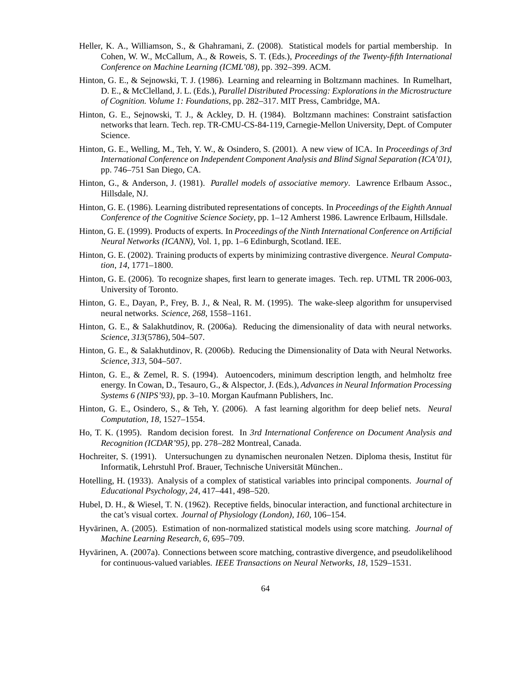- Heller, K. A., Williamson, S., & Ghahramani, Z. (2008). Statistical models for partial membership. In Cohen, W. W., McCallum, A., & Roweis, S. T. (Eds.), *Proceedings of the Twenty-fifth International Conference on Machine Learning (ICML'08)*, pp. 392–399. ACM.
- Hinton, G. E., & Sejnowski, T. J. (1986). Learning and relearning in Boltzmann machines. In Rumelhart, D. E., & McClelland, J. L. (Eds.), *Parallel Distributed Processing: Explorations in the Microstructure of Cognition. Volume 1: Foundations*, pp. 282–317. MIT Press, Cambridge, MA.
- Hinton, G. E., Sejnowski, T. J., & Ackley, D. H. (1984). Boltzmann machines: Constraint satisfaction networks that learn. Tech. rep. TR-CMU-CS-84-119, Carnegie-Mellon University, Dept. of Computer Science.
- Hinton, G. E., Welling, M., Teh, Y. W., & Osindero, S. (2001). A new view of ICA. In *Proceedings of 3rd International Conference on Independent Component Analysis and Blind Signal Separation (ICA'01)*, pp. 746–751 San Diego, CA.
- Hinton, G., & Anderson, J. (1981). *Parallel models of associative memory*. Lawrence Erlbaum Assoc., Hillsdale, NJ.
- Hinton, G. E. (1986). Learning distributed representations of concepts. In *Proceedings of the Eighth Annual Conference of the Cognitive Science Society*, pp. 1–12 Amherst 1986. Lawrence Erlbaum, Hillsdale.
- Hinton, G. E. (1999). Products of experts. In *Proceedings of the Ninth International Conference on Artificial Neural Networks (ICANN)*, Vol. 1, pp. 1–6 Edinburgh, Scotland. IEE.
- Hinton, G. E. (2002). Training products of experts by minimizing contrastive divergence. *Neural Computation*, *14*, 1771–1800.
- Hinton, G. E. (2006). To recognize shapes, first learn to generate images. Tech. rep. UTML TR 2006-003, University of Toronto.
- Hinton, G. E., Dayan, P., Frey, B. J., & Neal, R. M. (1995). The wake-sleep algorithm for unsupervised neural networks. *Science*, *268*, 1558–1161.
- Hinton, G. E., & Salakhutdinov, R. (2006a). Reducing the dimensionality of data with neural networks. *Science*, *313*(5786), 504–507.
- Hinton, G. E., & Salakhutdinov, R. (2006b). Reducing the Dimensionality of Data with Neural Networks. *Science*, *313*, 504–507.
- Hinton, G. E., & Zemel, R. S. (1994). Autoencoders, minimum description length, and helmholtz free energy. In Cowan, D., Tesauro, G., & Alspector, J. (Eds.), *Advances in Neural Information Processing Systems 6 (NIPS'93)*, pp. 3–10. Morgan Kaufmann Publishers, Inc.
- Hinton, G. E., Osindero, S., & Teh, Y. (2006). A fast learning algorithm for deep belief nets. *Neural Computation*, *18*, 1527–1554.
- Ho, T. K. (1995). Random decision forest. In *3rd International Conference on Document Analysis and Recognition (ICDAR'95)*, pp. 278–282 Montreal, Canada.
- Hochreiter, S. (1991). Untersuchungen zu dynamischen neuronalen Netzen. Diploma thesis, Institut für Informatik, Lehrstuhl Prof. Brauer, Technische Universität München..
- Hotelling, H. (1933). Analysis of a complex of statistical variables into principal components. *Journal of Educational Psychology*, *24*, 417–441, 498–520.
- Hubel, D. H., & Wiesel, T. N. (1962). Receptive fields, binocular interaction, and functional architecture in the cat's visual cortex. *Journal of Physiology (London)*, *160*, 106–154.
- Hyvärinen, A. (2005). Estimation of non-normalized statistical models using score matching. *Journal of Machine Learning Research*, *6*, 695–709.
- Hyvärinen, A. (2007a). Connections between score matching, contrastive divergence, and pseudolikelihood for continuous-valued variables. *IEEE Transactions on Neural Networks*, *18*, 1529–1531.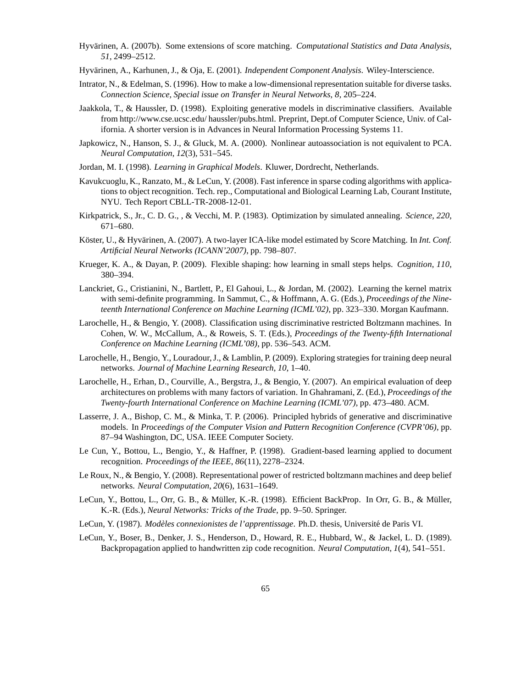- Hyvärinen, A. (2007b). Some extensions of score matching. *Computational Statistics and Data Analysis*, *51*, 2499–2512.
- Hyvärinen, A., Karhunen, J., & Oja, E. (2001). *Independent Component Analysis*. Wiley-Interscience.
- Intrator, N., & Edelman, S. (1996). How to make a low-dimensional representation suitable for diverse tasks. *Connection Science, Special issue on Transfer in Neural Networks*, *8*, 205–224.
- Jaakkola, T., & Haussler, D. (1998). Exploiting generative models in discriminative classifiers. Available from http://www.cse.ucsc.edu/ haussler/pubs.html. Preprint, Dept.of Computer Science, Univ. of California. A shorter version is in Advances in Neural Information Processing Systems 11.
- Japkowicz, N., Hanson, S. J., & Gluck, M. A. (2000). Nonlinear autoassociation is not equivalent to PCA. *Neural Computation*, *12*(3), 531–545.
- Jordan, M. I. (1998). *Learning in Graphical Models*. Kluwer, Dordrecht, Netherlands.
- Kavukcuoglu, K., Ranzato, M., & LeCun, Y. (2008). Fast inference in sparse coding algorithms with applications to object recognition. Tech. rep., Computational and Biological Learning Lab, Courant Institute, NYU. Tech Report CBLL-TR-2008-12-01.
- Kirkpatrick, S., Jr., C. D. G., , & Vecchi, M. P. (1983). Optimization by simulated annealing. *Science*, *220*, 671–680.
- Köster, U., & Hyvärinen, A. (2007). A two-layer ICA-like model estimated by Score Matching. In *Int. Conf. Artificial Neural Networks (ICANN'2007)*, pp. 798–807.
- Krueger, K. A., & Dayan, P. (2009). Flexible shaping: how learning in small steps helps. *Cognition*, *110*, 380–394.
- Lanckriet, G., Cristianini, N., Bartlett, P., El Gahoui, L., & Jordan, M. (2002). Learning the kernel matrix with semi-definite programming. In Sammut, C., & Hoffmann, A. G. (Eds.), *Proceedings of the Nineteenth International Conference on Machine Learning (ICML'02)*, pp. 323–330. Morgan Kaufmann.
- Larochelle, H., & Bengio, Y. (2008). Classification using discriminative restricted Boltzmann machines. In Cohen, W. W., McCallum, A., & Roweis, S. T. (Eds.), *Proceedings of the Twenty-fifth International Conference on Machine Learning (ICML'08)*, pp. 536–543. ACM.
- Larochelle, H., Bengio, Y., Louradour, J., & Lamblin, P. (2009). Exploring strategies for training deep neural networks. *Journal of Machine Learning Research*, *10*, 1–40.
- Larochelle, H., Erhan, D., Courville, A., Bergstra, J., & Bengio, Y. (2007). An empirical evaluation of deep architectures on problems with many factors of variation. In Ghahramani, Z. (Ed.), *Proceedings of the Twenty-fourth International Conference on Machine Learning (ICML'07)*, pp. 473–480. ACM.
- Lasserre, J. A., Bishop, C. M., & Minka, T. P. (2006). Principled hybrids of generative and discriminative models. In *Proceedings of the Computer Vision and Pattern Recognition Conference (CVPR'06)*, pp. 87–94 Washington, DC, USA. IEEE Computer Society.
- Le Cun, Y., Bottou, L., Bengio, Y., & Haffner, P. (1998). Gradient-based learning applied to document recognition. *Proceedings of the IEEE*, *86*(11), 2278–2324.
- Le Roux, N., & Bengio, Y. (2008). Representational power of restricted boltzmann machines and deep belief networks. *Neural Computation*, *20*(6), 1631–1649.
- LeCun, Y., Bottou, L., Orr, G. B., & Müller, K.-R. (1998). Efficient BackProp. In Orr, G. B., & Müller, K.-R. (Eds.), *Neural Networks: Tricks of the Trade*, pp. 9–50. Springer.
- LeCun, Y. (1987). *Modèles connexionistes de l'apprentissage*. Ph.D. thesis, Université de Paris VI.
- LeCun, Y., Boser, B., Denker, J. S., Henderson, D., Howard, R. E., Hubbard, W., & Jackel, L. D. (1989). Backpropagation applied to handwritten zip code recognition. *Neural Computation*, *1*(4), 541–551.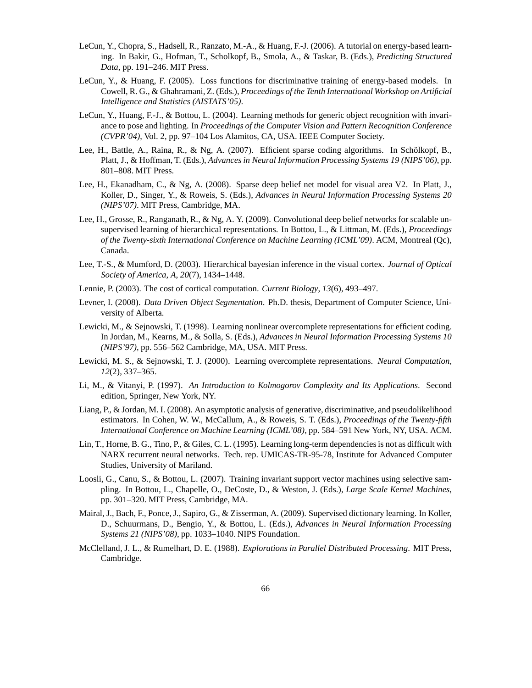- LeCun, Y., Chopra, S., Hadsell, R., Ranzato, M.-A., & Huang, F.-J. (2006). A tutorial on energy-based learning. In Bakir, G., Hofman, T., Scholkopf, B., Smola, A., & Taskar, B. (Eds.), *Predicting Structured Data*, pp. 191–246. MIT Press.
- LeCun, Y., & Huang, F. (2005). Loss functions for discriminative training of energy-based models. In Cowell, R. G., & Ghahramani, Z. (Eds.), *Proceedings of the Tenth International Workshop on Artificial Intelligence and Statistics (AISTATS'05)*.
- LeCun, Y., Huang, F.-J., & Bottou, L. (2004). Learning methods for generic object recognition with invariance to pose and lighting. In *Proceedings of the Computer Vision and Pattern Recognition Conference (CVPR'04)*, Vol. 2, pp. 97–104 Los Alamitos, CA, USA. IEEE Computer Society.
- Lee, H., Battle, A., Raina, R., & Ng, A. (2007). Efficient sparse coding algorithms. In Schölkopf, B., Platt, J., & Hoffman, T. (Eds.), *Advances in Neural Information Processing Systems 19 (NIPS'06)*, pp. 801–808. MIT Press.
- Lee, H., Ekanadham, C., & Ng, A. (2008). Sparse deep belief net model for visual area V2. In Platt, J., Koller, D., Singer, Y., & Roweis, S. (Eds.), *Advances in Neural Information Processing Systems 20 (NIPS'07)*. MIT Press, Cambridge, MA.
- Lee, H., Grosse, R., Ranganath, R., & Ng, A. Y. (2009). Convolutional deep belief networks for scalable unsupervised learning of hierarchical representations. In Bottou, L., & Littman, M. (Eds.), *Proceedings of the Twenty-sixth International Conference on Machine Learning (ICML'09)*. ACM, Montreal (Qc), Canada.
- Lee, T.-S., & Mumford, D. (2003). Hierarchical bayesian inference in the visual cortex. *Journal of Optical Society of America, A*, *20*(7), 1434–1448.
- Lennie, P. (2003). The cost of cortical computation. *Current Biology*, *13*(6), 493–497.
- Levner, I. (2008). *Data Driven Object Segmentation*. Ph.D. thesis, Department of Computer Science, University of Alberta.
- Lewicki, M., & Sejnowski, T. (1998). Learning nonlinear overcomplete representations for efficient coding. In Jordan, M., Kearns, M., & Solla, S. (Eds.), *Advances in Neural Information Processing Systems 10 (NIPS'97)*, pp. 556–562 Cambridge, MA, USA. MIT Press.
- Lewicki, M. S., & Sejnowski, T. J. (2000). Learning overcomplete representations. *Neural Computation*, *12*(2), 337–365.
- Li, M., & Vitanyi, P. (1997). *An Introduction to Kolmogorov Complexity and Its Applications*. Second edition, Springer, New York, NY.
- Liang, P., & Jordan, M. I. (2008). An asymptotic analysis of generative, discriminative, and pseudolikelihood estimators. In Cohen, W. W., McCallum, A., & Roweis, S. T. (Eds.), *Proceedings of the Twenty-fifth International Conference on Machine Learning (ICML'08)*, pp. 584–591 New York, NY, USA. ACM.
- Lin, T., Horne, B. G., Tino, P., & Giles, C. L. (1995). Learning long-term dependencies is not as difficult with NARX recurrent neural networks. Tech. rep. UMICAS-TR-95-78, Institute for Advanced Computer Studies, University of Mariland.
- Loosli, G., Canu, S., & Bottou, L. (2007). Training invariant support vector machines using selective sampling. In Bottou, L., Chapelle, O., DeCoste, D., & Weston, J. (Eds.), *Large Scale Kernel Machines*, pp. 301–320. MIT Press, Cambridge, MA.
- Mairal, J., Bach, F., Ponce, J., Sapiro, G., & Zisserman, A. (2009). Supervised dictionary learning. In Koller, D., Schuurmans, D., Bengio, Y., & Bottou, L. (Eds.), *Advances in Neural Information Processing Systems 21 (NIPS'08)*, pp. 1033–1040. NIPS Foundation.
- McClelland, J. L., & Rumelhart, D. E. (1988). *Explorations in Parallel Distributed Processing*. MIT Press, Cambridge.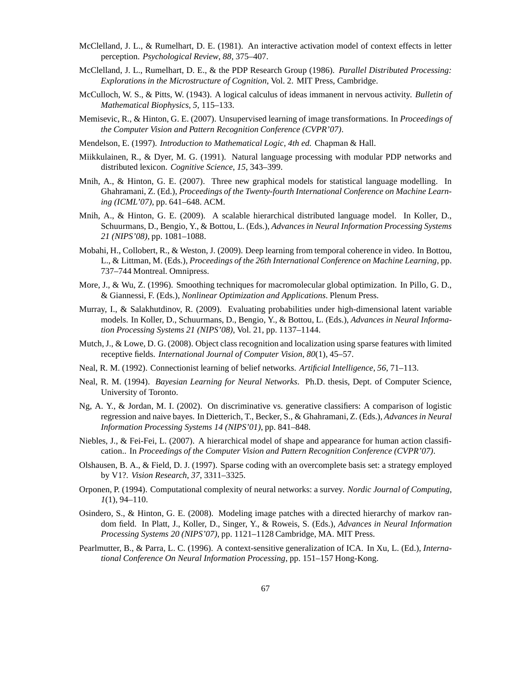- McClelland, J. L., & Rumelhart, D. E. (1981). An interactive activation model of context effects in letter perception. *Psychological Review*, *88*, 375–407.
- McClelland, J. L., Rumelhart, D. E., & the PDP Research Group (1986). *Parallel Distributed Processing: Explorations in the Microstructure of Cognition*, Vol. 2. MIT Press, Cambridge.
- McCulloch, W. S., & Pitts, W. (1943). A logical calculus of ideas immanent in nervous activity. *Bulletin of Mathematical Biophysics*, *5*, 115–133.
- Memisevic, R., & Hinton, G. E. (2007). Unsupervised learning of image transformations. In *Proceedings of the Computer Vision and Pattern Recognition Conference (CVPR'07)*.
- Mendelson, E. (1997). *Introduction to Mathematical Logic, 4th ed.* Chapman & Hall.
- Miikkulainen, R., & Dyer, M. G. (1991). Natural language processing with modular PDP networks and distributed lexicon. *Cognitive Science*, *15*, 343–399.
- Mnih, A., & Hinton, G. E. (2007). Three new graphical models for statistical language modelling. In Ghahramani, Z. (Ed.), *Proceedings of the Twenty-fourth International Conference on Machine Learning (ICML'07)*, pp. 641–648. ACM.
- Mnih, A., & Hinton, G. E. (2009). A scalable hierarchical distributed language model. In Koller, D., Schuurmans, D., Bengio, Y., & Bottou, L. (Eds.), *Advances in Neural Information Processing Systems 21 (NIPS'08)*, pp. 1081–1088.
- Mobahi, H., Collobert, R., & Weston, J. (2009). Deep learning from temporal coherence in video. In Bottou, L., & Littman, M. (Eds.), *Proceedings of the 26th International Conference on Machine Learning*, pp. 737–744 Montreal. Omnipress.
- More, J., & Wu, Z. (1996). Smoothing techniques for macromolecular global optimization. In Pillo, G. D., & Giannessi, F. (Eds.), *Nonlinear Optimization and Applications*. Plenum Press.
- Murray, I., & Salakhutdinov, R. (2009). Evaluating probabilities under high-dimensional latent variable models. In Koller, D., Schuurmans, D., Bengio, Y., & Bottou, L. (Eds.), *Advances in Neural Information Processing Systems 21 (NIPS'08)*, Vol. 21, pp. 1137–1144.
- Mutch, J., & Lowe, D. G. (2008). Object class recognition and localization using sparse features with limited receptive fields. *International Journal of Computer Vision*, *80*(1), 45–57.
- Neal, R. M. (1992). Connectionist learning of belief networks. *Artificial Intelligence*, *56*, 71–113.
- Neal, R. M. (1994). *Bayesian Learning for Neural Networks*. Ph.D. thesis, Dept. of Computer Science, University of Toronto.
- Ng, A. Y., & Jordan, M. I. (2002). On discriminative vs. generative classifiers: A comparison of logistic regression and naive bayes. In Dietterich, T., Becker, S., & Ghahramani, Z. (Eds.), *Advances in Neural Information Processing Systems 14 (NIPS'01)*, pp. 841–848.
- Niebles, J., & Fei-Fei, L. (2007). A hierarchical model of shape and appearance for human action classification.. In *Proceedings of the Computer Vision and Pattern Recognition Conference (CVPR'07)*.
- Olshausen, B. A., & Field, D. J. (1997). Sparse coding with an overcomplete basis set: a strategy employed by V1?. *Vision Research*, *37*, 3311–3325.
- Orponen, P. (1994). Computational complexity of neural networks: a survey. *Nordic Journal of Computing*, *1*(1), 94–110.
- Osindero, S., & Hinton, G. E. (2008). Modeling image patches with a directed hierarchy of markov random field. In Platt, J., Koller, D., Singer, Y., & Roweis, S. (Eds.), *Advances in Neural Information Processing Systems 20 (NIPS'07)*, pp. 1121–1128 Cambridge, MA. MIT Press.
- Pearlmutter, B., & Parra, L. C. (1996). A context-sensitive generalization of ICA. In Xu, L. (Ed.), *International Conference On Neural Information Processing*, pp. 151–157 Hong-Kong.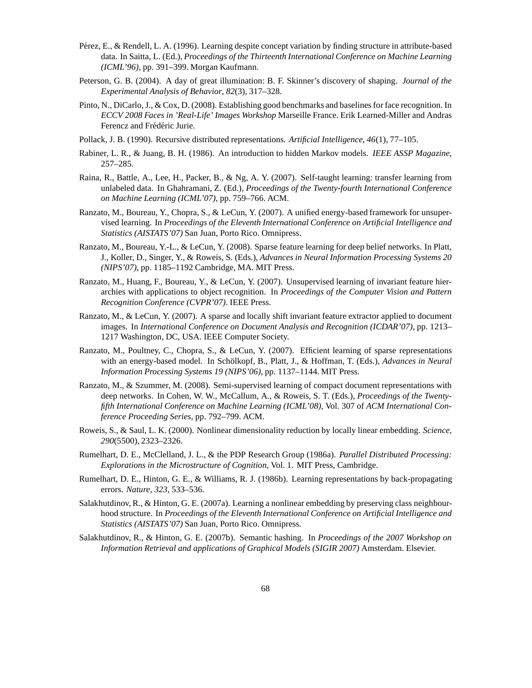- Pérez, E., & Rendell, L. A. (1996). Learning despite concept variation by finding structure in attribute-based data. In Saitta, L. (Ed.), *Proceedings of the Thirteenth International Conference on Machine Learning (ICML'96)*, pp. 391–399. Morgan Kaufmann.
- Peterson, G. B. (2004). A day of great illumination: B. F. Skinner's discovery of shaping. *Journal of the Experimental Analysis of Behavior*, *82*(3), 317–328.
- Pinto, N., DiCarlo, J., & Cox, D. (2008). Establishing good benchmarks and baselines for face recognition. In *ECCV 2008 Faces in 'Real-Life' Images Workshop* Marseille France. Erik Learned-Miller and Andras Ferencz and Frédéric Jurie.
- Pollack, J. B. (1990). Recursive distributed representations. *Artificial Intelligence*, *46*(1), 77–105.
- Rabiner, L. R., & Juang, B. H. (1986). An introduction to hidden Markov models. *IEEE ASSP Magazine*, 257–285.
- Raina, R., Battle, A., Lee, H., Packer, B., & Ng, A. Y. (2007). Self-taught learning: transfer learning from unlabeled data. In Ghahramani, Z. (Ed.), *Proceedings of the Twenty-fourth International Conference on Machine Learning (ICML'07)*, pp. 759–766. ACM.
- Ranzato, M., Boureau, Y., Chopra, S., & LeCun, Y. (2007). A unified energy-based framework for unsupervised learning. In *Proceedings of the Eleventh International Conference on Artificial Intelligence and Statistics (AISTATS'07)* San Juan, Porto Rico. Omnipress.
- Ranzato, M., Boureau, Y.-L., & LeCun, Y. (2008). Sparse feature learning for deep belief networks. In Platt, J., Koller, D., Singer, Y., & Roweis, S. (Eds.), *Advances in Neural Information Processing Systems 20 (NIPS'07)*, pp. 1185–1192 Cambridge, MA. MIT Press.
- Ranzato, M., Huang, F., Boureau, Y., & LeCun, Y. (2007). Unsupervised learning of invariant feature hierarchies with applications to object recognition. In *Proceedings of the Computer Vision and Pattern Recognition Conference (CVPR'07)*. IEEE Press.
- Ranzato, M., & LeCun, Y. (2007). A sparse and locally shift invariant feature extractor applied to document images. In *International Conference on Document Analysis and Recognition (ICDAR'07)*, pp. 1213– 1217 Washington, DC, USA. IEEE Computer Society.
- Ranzato, M., Poultney, C., Chopra, S., & LeCun, Y. (2007). Efficient learning of sparse representations with an energy-based model. In Schölkopf, B., Platt, J., & Hoffman, T. (Eds.), *Advances in Neural Information Processing Systems 19 (NIPS'06)*, pp. 1137–1144. MIT Press.
- Ranzato, M., & Szummer, M. (2008). Semi-supervised learning of compact document representations with deep networks. In Cohen, W. W., McCallum, A., & Roweis, S. T. (Eds.), *Proceedings of the Twentyfifth International Conference on Machine Learning (ICML'08)*, Vol. 307 of *ACM International Conference Proceeding Series*, pp. 792–799. ACM.
- Roweis, S., & Saul, L. K. (2000). Nonlinear dimensionality reduction by locally linear embedding. *Science*, *290*(5500), 2323–2326.
- Rumelhart, D. E., McClelland, J. L., & the PDP Research Group (1986a). *Parallel Distributed Processing: Explorations in the Microstructure of Cognition*, Vol. 1. MIT Press, Cambridge.
- Rumelhart, D. E., Hinton, G. E., & Williams, R. J. (1986b). Learning representations by back-propagating errors. *Nature*, *323*, 533–536.
- Salakhutdinov, R., & Hinton, G. E. (2007a). Learning a nonlinear embedding by preserving class neighbourhood structure. In *Proceedings of the Eleventh International Conference on Artificial Intelligence and Statistics (AISTATS'07)* San Juan, Porto Rico. Omnipress.
- Salakhutdinov, R., & Hinton, G. E. (2007b). Semantic hashing. In *Proceedings of the 2007 Workshop on Information Retrieval and applications of Graphical Models (SIGIR 2007)* Amsterdam. Elsevier.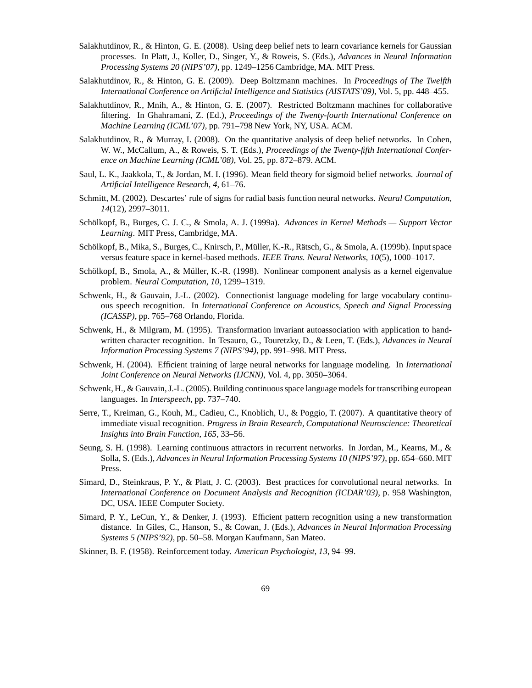- Salakhutdinov, R., & Hinton, G. E. (2008). Using deep belief nets to learn covariance kernels for Gaussian processes. In Platt, J., Koller, D., Singer, Y., & Roweis, S. (Eds.), *Advances in Neural Information Processing Systems 20 (NIPS'07)*, pp. 1249–1256 Cambridge, MA. MIT Press.
- Salakhutdinov, R., & Hinton, G. E. (2009). Deep Boltzmann machines. In *Proceedings of The Twelfth International Conference on Artificial Intelligence and Statistics (AISTATS'09)*, Vol. 5, pp. 448–455.
- Salakhutdinov, R., Mnih, A., & Hinton, G. E. (2007). Restricted Boltzmann machines for collaborative filtering. In Ghahramani, Z. (Ed.), *Proceedings of the Twenty-fourth International Conference on Machine Learning (ICML'07)*, pp. 791–798 New York, NY, USA. ACM.
- Salakhutdinov, R., & Murray, I. (2008). On the quantitative analysis of deep belief networks. In Cohen, W. W., McCallum, A., & Roweis, S. T. (Eds.), *Proceedings of the Twenty-fifth International Conference on Machine Learning (ICML'08)*, Vol. 25, pp. 872–879. ACM.
- Saul, L. K., Jaakkola, T., & Jordan, M. I. (1996). Mean field theory for sigmoid belief networks. *Journal of Artificial Intelligence Research*, *4*, 61–76.
- Schmitt, M. (2002). Descartes' rule of signs for radial basis function neural networks. *Neural Computation*, *14*(12), 2997–3011.
- Schölkopf, B., Burges, C. J. C., & Smola, A. J. (1999a). *Advances in Kernel Methods Support Vector Learning*. MIT Press, Cambridge, MA.
- Schölkopf, B., Mika, S., Burges, C., Knirsch, P., Müller, K.-R., Rätsch, G., & Smola, A. (1999b). Input space versus feature space in kernel-based methods. *IEEE Trans. Neural Networks*, *10*(5), 1000–1017.
- Schölkopf, B., Smola, A., & Müller, K.-R. (1998). Nonlinear component analysis as a kernel eigenvalue problem. *Neural Computation*, *10*, 1299–1319.
- Schwenk, H., & Gauvain, J.-L. (2002). Connectionist language modeling for large vocabulary continuous speech recognition. In *International Conference on Acoustics, Speech and Signal Processing (ICASSP)*, pp. 765–768 Orlando, Florida.
- Schwenk, H., & Milgram, M. (1995). Transformation invariant autoassociation with application to handwritten character recognition. In Tesauro, G., Touretzky, D., & Leen, T. (Eds.), *Advances in Neural Information Processing Systems 7 (NIPS'94)*, pp. 991–998. MIT Press.
- Schwenk, H. (2004). Efficient training of large neural networks for language modeling. In *International Joint Conference on Neural Networks (IJCNN)*, Vol. 4, pp. 3050–3064.
- Schwenk, H., & Gauvain, J.-L. (2005). Building continuous space language models for transcribing european languages. In *Interspeech*, pp. 737–740.
- Serre, T., Kreiman, G., Kouh, M., Cadieu, C., Knoblich, U., & Poggio, T. (2007). A quantitative theory of immediate visual recognition. *Progress in Brain Research, Computational Neuroscience: Theoretical Insights into Brain Function*, *165*, 33–56.
- Seung, S. H. (1998). Learning continuous attractors in recurrent networks. In Jordan, M., Kearns, M., & Solla, S. (Eds.), *Advances in Neural Information Processing Systems 10 (NIPS'97)*, pp. 654–660. MIT Press.
- Simard, D., Steinkraus, P. Y., & Platt, J. C. (2003). Best practices for convolutional neural networks. In *International Conference on Document Analysis and Recognition (ICDAR'03)*, p. 958 Washington, DC, USA. IEEE Computer Society.
- Simard, P. Y., LeCun, Y., & Denker, J. (1993). Efficient pattern recognition using a new transformation distance. In Giles, C., Hanson, S., & Cowan, J. (Eds.), *Advances in Neural Information Processing Systems 5 (NIPS'92)*, pp. 50–58. Morgan Kaufmann, San Mateo.
- Skinner, B. F. (1958). Reinforcement today. *American Psychologist*, *13*, 94–99.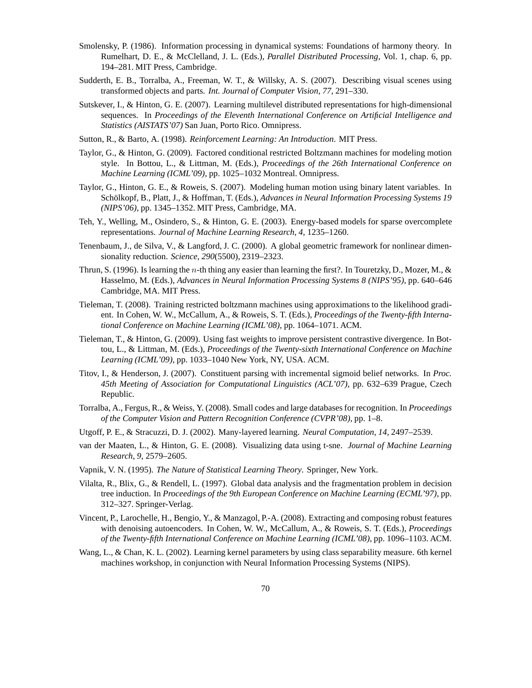- Smolensky, P. (1986). Information processing in dynamical systems: Foundations of harmony theory. In Rumelhart, D. E., & McClelland, J. L. (Eds.), *Parallel Distributed Processing*, Vol. 1, chap. 6, pp. 194–281. MIT Press, Cambridge.
- Sudderth, E. B., Torralba, A., Freeman, W. T., & Willsky, A. S. (2007). Describing visual scenes using transformed objects and parts. *Int. Journal of Computer Vision*, *77*, 291–330.
- Sutskever, I., & Hinton, G. E. (2007). Learning multilevel distributed representations for high-dimensional sequences. In *Proceedings of the Eleventh International Conference on Artificial Intelligence and Statistics (AISTATS'07)* San Juan, Porto Rico. Omnipress.
- Sutton, R., & Barto, A. (1998). *Reinforcement Learning: An Introduction*. MIT Press.
- Taylor, G., & Hinton, G. (2009). Factored conditional restricted Boltzmann machines for modeling motion style. In Bottou, L., & Littman, M. (Eds.), *Proceedings of the 26th International Conference on Machine Learning (ICML'09)*, pp. 1025–1032 Montreal. Omnipress.
- Taylor, G., Hinton, G. E., & Roweis, S. (2007). Modeling human motion using binary latent variables. In Schölkopf, B., Platt, J., & Hoffman, T. (Eds.), *Advances in Neural Information Processing Systems 19 (NIPS'06)*, pp. 1345–1352. MIT Press, Cambridge, MA.
- Teh, Y., Welling, M., Osindero, S., & Hinton, G. E. (2003). Energy-based models for sparse overcomplete representations. *Journal of Machine Learning Research*, *4*, 1235–1260.
- Tenenbaum, J., de Silva, V., & Langford, J. C. (2000). A global geometric framework for nonlinear dimensionality reduction. *Science*, *290*(5500), 2319–2323.
- Thrun, S. (1996). Is learning the *n*-th thing any easier than learning the first?. In Touretzky, D., Mozer, M., & Hasselmo, M. (Eds.), *Advances in Neural Information Processing Systems 8 (NIPS'95)*, pp. 640–646 Cambridge, MA. MIT Press.
- Tieleman, T. (2008). Training restricted boltzmann machines using approximations to the likelihood gradient. In Cohen, W. W., McCallum, A., & Roweis, S. T. (Eds.), *Proceedings of the Twenty-fifth International Conference on Machine Learning (ICML'08)*, pp. 1064–1071. ACM.
- Tieleman, T., & Hinton, G. (2009). Using fast weights to improve persistent contrastive divergence. In Bottou, L., & Littman, M. (Eds.), *Proceedings of the Twenty-sixth International Conference on Machine Learning (ICML'09)*, pp. 1033–1040 New York, NY, USA. ACM.
- Titov, I., & Henderson, J. (2007). Constituent parsing with incremental sigmoid belief networks. In *Proc. 45th Meeting of Association for Computational Linguistics (ACL'07)*, pp. 632–639 Prague, Czech Republic.
- Torralba, A., Fergus, R., & Weiss, Y. (2008). Small codes and large databases for recognition. In *Proceedings of the Computer Vision and Pattern Recognition Conference (CVPR'08)*, pp. 1–8.
- Utgoff, P. E., & Stracuzzi, D. J. (2002). Many-layered learning. *Neural Computation*, *14*, 2497–2539.
- van der Maaten, L., & Hinton, G. E. (2008). Visualizing data using t-sne. *Journal of Machine Learning Research*, *9*, 2579–2605.
- Vapnik, V. N. (1995). *The Nature of Statistical Learning Theory*. Springer, New York.
- Vilalta, R., Blix, G., & Rendell, L. (1997). Global data analysis and the fragmentation problem in decision tree induction. In *Proceedings of the 9th European Conference on Machine Learning (ECML'97)*, pp. 312–327. Springer-Verlag.
- Vincent, P., Larochelle, H., Bengio, Y., & Manzagol, P.-A. (2008). Extracting and composing robust features with denoising autoencoders. In Cohen, W. W., McCallum, A., & Roweis, S. T. (Eds.), *Proceedings of the Twenty-fifth International Conference on Machine Learning (ICML'08)*, pp. 1096–1103. ACM.
- Wang, L., & Chan, K. L. (2002). Learning kernel parameters by using class separability measure. 6th kernel machines workshop, in conjunction with Neural Information Processing Systems (NIPS).